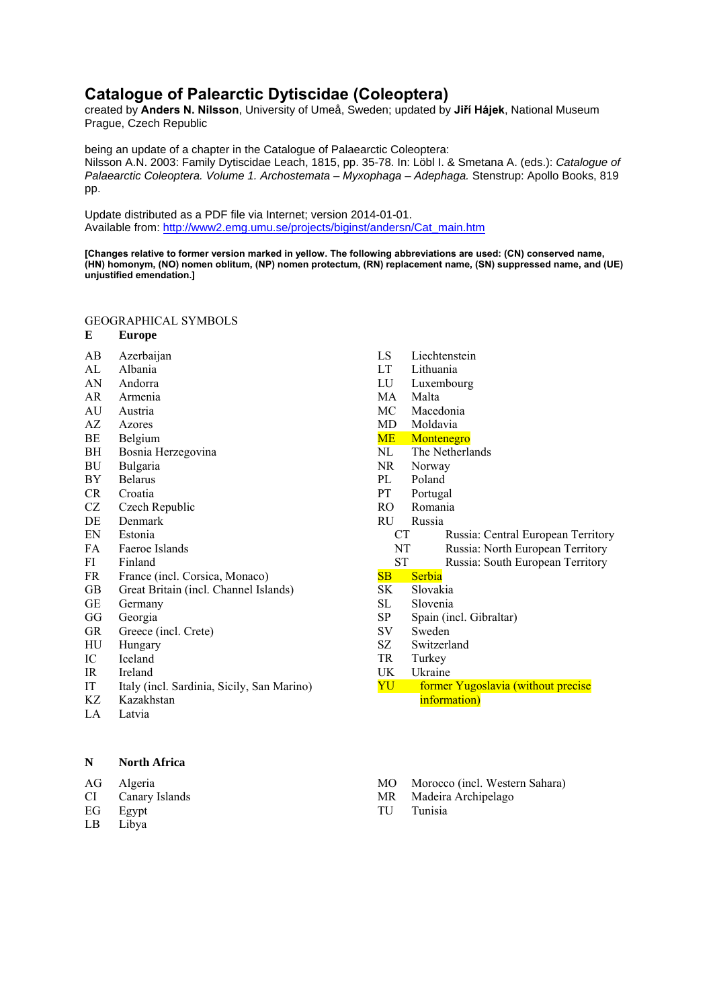# **Catalogue of Palearctic Dytiscidae (Coleoptera)**

created by **Anders N. Nilsson**, University of Umeå, Sweden; updated by **Jiří Hájek**, National Museum Prague, Czech Republic

being an update of a chapter in the Catalogue of Palaearctic Coleoptera:

Nilsson A.N. 2003: Family Dytiscidae Leach, 1815, pp. 35-78. In: Löbl I. & Smetana A. (eds.): *Catalogue of Palaearctic Coleoptera. Volume 1. Archostemata – Myxophaga – Adephaga.* Stenstrup: Apollo Books, 819 pp.

Update distributed as a PDF file via Internet; version 2014-01-01. Available from: [http://www2.emg.umu.se/projects/biginst/andersn/Cat\\_main.htm](http://www.emg.umu.se/biginst/andersn/Cat_main.htm)

**[Changes relative to former version marked in yellow. The following abbreviations are used: (CN) conserved name, (HN) homonym, (NO) nomen oblitum, (NP) nomen protectum, (RN) replacement name, (SN) suppressed name, and (UE) unjustified emendation.]** 

# GEOGRAPHICAL SYMBOLS

| Europe |
|--------|
|        |

- AB Azerbaijan
- AL Albania
- AN Andorra
- AR Armenia
- AU Austria
- AZ Azores<br>BE Belgium
- BE Belgium
- BH Bosnia Herzegovina BU Bulgaria
- BY Belarus
- CR Croatia
- 
- CZ Czech Republic DE Denmark
- EN Estonia
- FA Faeroe Islands
- FI Finland
- 
- FR France (incl. Corsica, Monaco)
- GB Great Britain (incl. Channel Islands)
- GE Germany
- GG Georgia
- GR Greece (incl. Crete)
- HU Hungary
- IC Iceland
- IR Ireland
- IT Italy (incl. Sardinia, Sicily, San Marino)
- KZ Kazakhstan
- LA Latvia

**N North Africa** 

AG Algeria

- CI Canary Islands
- EG Egypt
- LB Libya
- LS Liechtenstein
- LT Lithuania
- LU Luxembourg
- MA Malta
- MC Macedonia
- MD Moldavia
- ME Montenegro
- NL The Netherlands
- NR Norway
- PL Poland
- PT Portugal
- RO Romania
- RU Russia
	- CT Russia: Central European Territory
	- NT Russia: North European Territory
	- ST Russia: South European Territory

# SB Serbia

- SK Slovakia
- SL Slovenia
- SP Spain (incl. Gibraltar)
- SV Sweden
- SZ Switzerland
- TR Turkey
- UK Ukraine
- YU former Yugoslavia (without precise information)
- MO Morocco (incl. Western Sahara)
- MR Madeira Archipelago
- TU Tunisia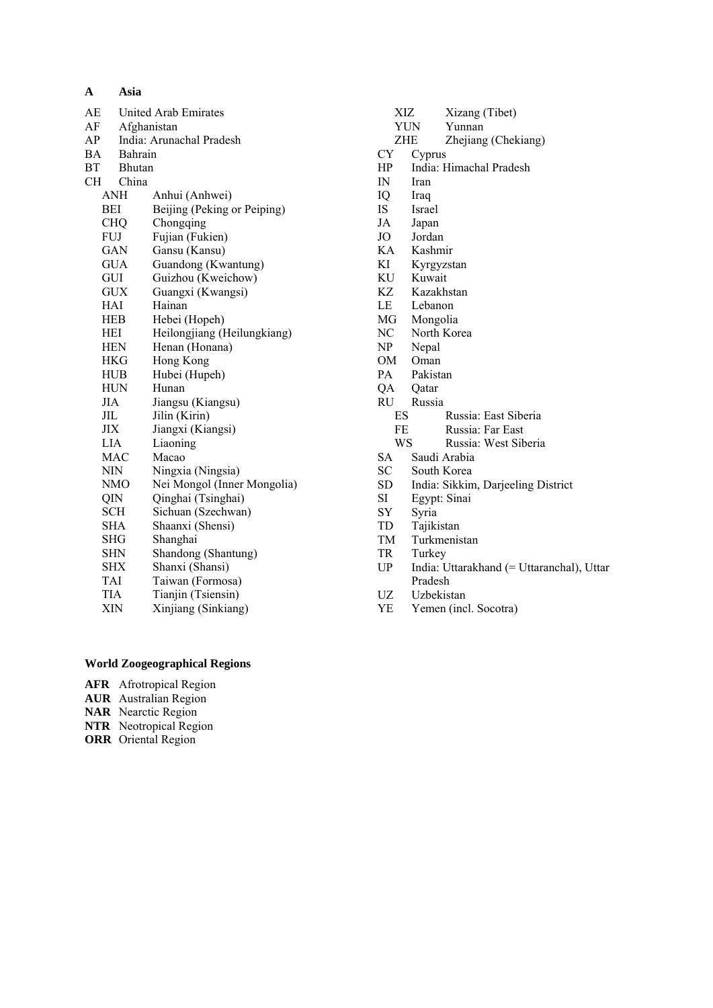| A          | Asia                 |                             |  |
|------------|----------------------|-----------------------------|--|
| AЕ         | United Arab Emirates |                             |  |
| AF         | Afghanistan          |                             |  |
| AP         |                      | India: Arunachal Pradesh    |  |
| BA         | Bahrain              |                             |  |
| ВT         | Bhutan               |                             |  |
| CH         | China                |                             |  |
| ANH        |                      | Anhui (Anhwei)              |  |
| BEI        |                      | Beijing (Peking or Peiping) |  |
| <b>CHQ</b> |                      | Chongqing                   |  |
| FUJ        |                      | Fujian (Fukien)             |  |
| GAN        |                      | Gansu (Kansu)               |  |
| <b>GUA</b> |                      | Guandong (Kwantung)         |  |
| GUI        |                      | Guizhou (Kweichow)          |  |
| <b>GUX</b> |                      | Guangxi (Kwangsi)           |  |
| HAI        |                      | Hainan                      |  |
| <b>HEB</b> |                      | Hebei (Hopeh)               |  |
| HEI        |                      | Heilongjiang (Heilungkiang) |  |
| <b>HEN</b> |                      | Henan (Honana)              |  |
| HKG        |                      | Hong Kong                   |  |
| HUB        |                      | Hubei (Hupeh)               |  |
| HUN        |                      | Hunan                       |  |
| JIA        |                      | Jiangsu (Kiangsu)           |  |
| JЩ         |                      | Jilin (Kirin)               |  |
| ЛX         |                      | Jiangxi (Kiangsi)           |  |
| LIA        |                      | Liaoning                    |  |
| MAC        |                      | Macao                       |  |
| <b>NIN</b> |                      | Ningxia (Ningsia)           |  |
|            | NMO                  | Nei Mongol (Inner Mongolia) |  |
| QIN        |                      | Qinghai (Tsinghai)          |  |
| <b>SCH</b> |                      | Sichuan (Szechwan)          |  |
| <b>SHA</b> |                      | Shaanxi (Shensi)            |  |
| SHG        |                      | Shanghai                    |  |
| SHN        |                      | Shandong (Shantung)         |  |
| <b>SHX</b> |                      | Shanxi (Shansi)             |  |
| TAI        |                      | Taiwan (Formosa)            |  |
| TIA        |                      | Tianjin (Tsiensin)          |  |
| XIN        |                      | Xinjiang (Sinkiang)         |  |

# XIZ Xizang (Tibet) YUN Yunnan ZHE Zhejiang (Chekiang)<br>CY Cyprus **Cyprus** HP India: Himachal Pradesh IN Iran IQ Iraq IS Israel JA Japan JO Jordan KA Kashmir KI Kyrgyzstan KU Kuwait KZ Kazakhstan LE Lebanon MG Mongolia NC North Korea<br>NP Nepal NP Nepal<br>OM Oman Oman PA Pakistan<br>QA Qatar QA Qatar RU Russia ES Russia: East Siberia FE Russia: Far East<br>WS Russia: West Sib Russia: West Siberia SA Saudi Arabia SC South Korea SD India: Sikkim, Darjeeling District SI Egypt: Sinai SY Syria TD Tajikistan TM Turkmenistan TR Turkey UP India: Uttarakhand (= Uttaranchal), Uttar Pradesh UZ Uzbekistan YE Yemen (incl. Socotra)

# **World Zoogeographical Regions**

- **AFR** Afrotropical Region
- **AUR** Australian Region
- **NAR** Nearctic Region
- **NTR** Neotropical Region
- **ORR** Oriental Region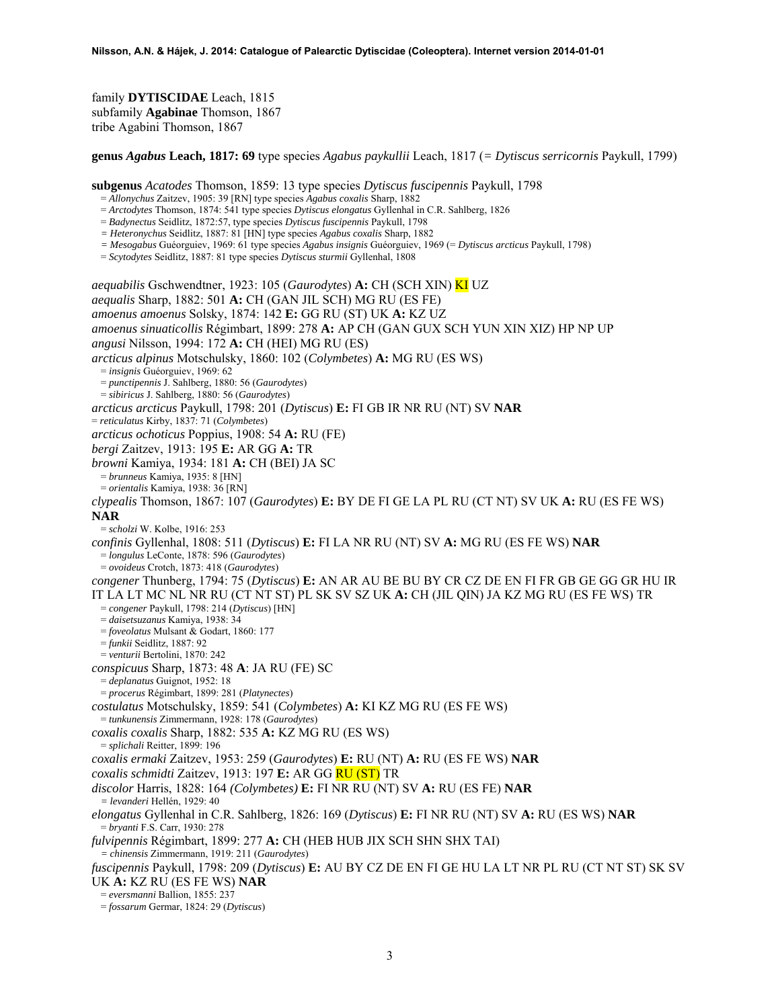family **DYTISCIDAE** Leach, 1815 subfamily **Agabinae** Thomson, 1867 tribe Agabini Thomson, 1867

**genus** *Agabus* **Leach, 1817: 69** type species *Agabus paykullii* Leach, 1817 (*= Dytiscus serricornis* Paykull, 1799)

**subgenus** *Acatodes* Thomson, 1859: 13 type species *Dytiscus fuscipennis* Paykull, 1798 = *Allonychus* Zaitzev, 1905: 39 [RN] type species *Agabus coxalis* Sharp, 1882 = *Arctodytes* Thomson, 1874: 541 type species *Dytiscus elongatus* Gyllenhal in C.R. Sahlberg, 1826 = *Badynectus* Seidlitz, 1872:57, type species *Dytiscus fuscipennis* Paykull, 1798 *= Heteronychus* Seidlitz, 1887: 81 [HN] type species *Agabus coxalis* Sharp, 1882 *= Mesogabus* Guéorguiev, 1969: 61 type species *Agabus insignis* Guéorguiev, 1969 (= *Dytiscus arcticus* Paykull, 1798) = *Scytodytes* Seidlitz, 1887: 81 type species *Dytiscus sturmii* Gyllenhal, 1808 *aequabilis* Gschwendtner, 1923: 105 (*Gaurodytes*) **A:** CH (SCH XIN) KI UZ *aequalis* Sharp, 1882: 501 **A:** CH (GAN JIL SCH) MG RU (ES FE) *amoenus amoenus* Solsky, 1874: 142 **E:** GG RU (ST) UK **A:** KZ UZ *amoenus sinuaticollis* Régimbart, 1899: 278 **A:** AP CH (GAN GUX SCH YUN XIN XIZ) HP NP UP *angusi* Nilsson, 1994: 172 **A:** CH (HEI) MG RU (ES) *arcticus alpinus* Motschulsky, 1860: 102 (*Colymbetes*) **A:** MG RU (ES WS) = *insignis* Guéorguiev, 1969: 62 = *punctipennis* J. Sahlberg, 1880: 56 (*Gaurodytes*) = *sibiricus* J. Sahlberg, 1880: 56 (*Gaurodytes*) *arcticus arcticus* Paykull, 1798: 201 (*Dytiscus*) **E:** FI GB IR NR RU (NT) SV **NAR** = *reticulatus* Kirby, 1837: 71 (*Colymbetes*) *arcticus ochoticus* Poppius, 1908: 54 **A:** RU (FE) *bergi* Zaitzev, 1913: 195 **E:** AR GG **A:** TR *browni* Kamiya, 1934: 181 **A:** CH (BEI) JA SC = *brunneus* Kamiya, 1935: 8 [HN] = *orientalis* Kamiya, 1938: 36 [RN] *clypealis* Thomson, 1867: 107 (*Gaurodytes*) **E:** BY DE FI GE LA PL RU (CT NT) SV UK **A:** RU (ES FE WS) **NAR** = *scholzi* W. Kolbe, 1916: 253 *confinis* Gyllenhal, 1808: 511 (*Dytiscus*) **E:** FI LA NR RU (NT) SV **A:** MG RU (ES FE WS) **NAR** = *longulus* LeConte, 1878: 596 (*Gaurodytes*) = *ovoideus* Crotch, 1873: 418 (*Gaurodytes*) *congener* Thunberg, 1794: 75 (*Dytiscus*) **E:** AN AR AU BE BU BY CR CZ DE EN FI FR GB GE GG GR HU IR IT LA LT MC NL NR RU (CT NT ST) PL SK SV SZ UK **A:** CH (JIL QIN) JA KZ MG RU (ES FE WS) TR = *congener* Paykull, 1798: 214 (*Dytiscus*) [HN] = *daisetsuzanus* Kamiya, 1938: 34 = *foveolatus* Mulsant & Godart, 1860: 177 = *funkii* Seidlitz, 1887: 92 = *venturii* Bertolini, 1870: 242 *conspicuus* Sharp, 1873: 48 **A**: JA RU (FE) SC = *deplanatus* Guignot, 1952: 18 = *procerus* Régimbart, 1899: 281 (*Platynectes*) *costulatus* Motschulsky, 1859: 541 (*Colymbetes*) **A:** KI KZ MG RU (ES FE WS) = *tunkunensis* Zimmermann, 1928: 178 (*Gaurodytes*) *coxalis coxalis* Sharp, 1882: 535 **A:** KZ MG RU (ES WS) = *splichali* Reitter, 1899: 196 *coxalis ermaki* Zaitzev, 1953: 259 (*Gaurodytes*) **E:** RU (NT) **A:** RU (ES FE WS) **NAR** *coxalis schmidti* Zaitzev, 1913: 197 **E:** AR GG RU (ST) TR *discolor* Harris, 1828: 164 *(Colymbetes)* **E:** FI NR RU (NT) SV **A:** RU (ES FE) **NAR** *= levanderi* Hellén, 1929: 40 *elongatus* Gyllenhal in C.R. Sahlberg, 1826: 169 (*Dytiscus*) **E:** FI NR RU (NT) SV **A:** RU (ES WS) **NAR** = *bryanti* F.S. Carr, 1930: 278 *fulvipennis* Régimbart, 1899: 277 **A:** CH (HEB HUB JIX SCH SHN SHX TAI) *= chinensis* Zimmermann, 1919: 211 (*Gaurodytes*) *fuscipennis* Paykull, 1798: 209 (*Dytiscus*) **E:** AU BY CZ DE EN FI GE HU LA LT NR PL RU (CT NT ST) SK SV UK **A:** KZ RU (ES FE WS) **NAR** = *eversmanni* Ballion, 1855: 237 = *fossarum* Germar, 1824: 29 (*Dytiscus*)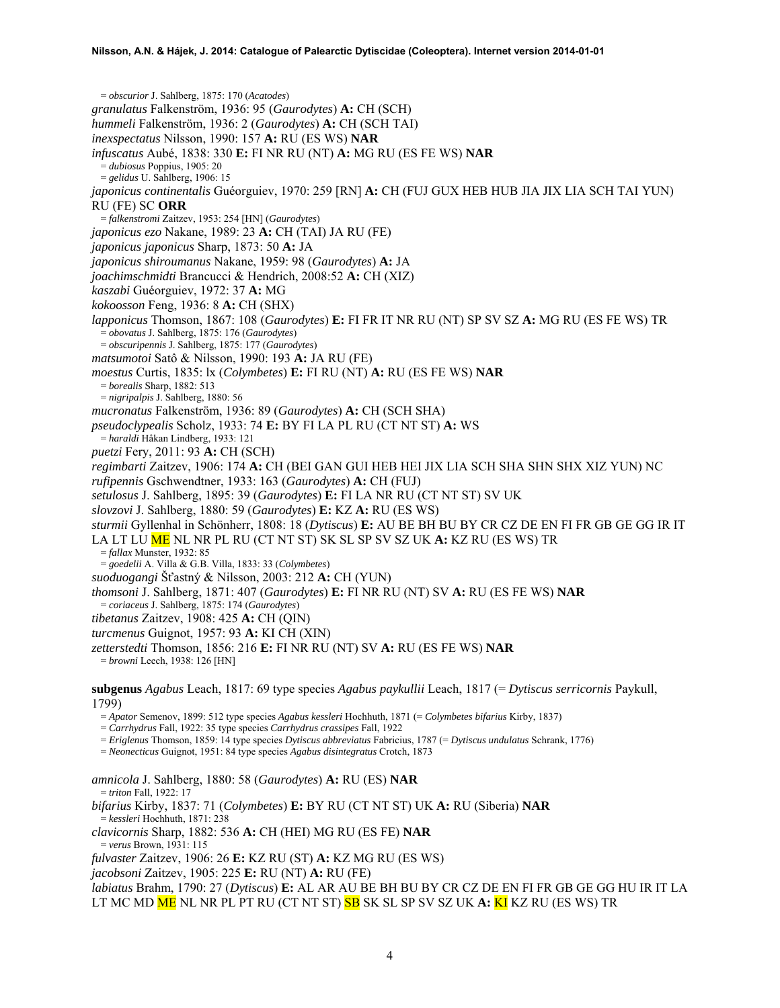= *obscurior* J. Sahlberg, 1875: 170 (*Acatodes*) *granulatus* Falkenström, 1936: 95 (*Gaurodytes*) **A:** CH (SCH) *hummeli* Falkenström, 1936: 2 (*Gaurodytes*) **A:** CH (SCH TAI) *inexspectatus* Nilsson, 1990: 157 **A:** RU (ES WS) **NAR** *infuscatus* Aubé, 1838: 330 **E:** FI NR RU (NT) **A:** MG RU (ES FE WS) **NAR** = *dubiosus* Poppius, 1905: 20 = *gelidus* U. Sahlberg, 1906: 15 *japonicus continentalis* Guéorguiev, 1970: 259 [RN] **A:** CH (FUJ GUX HEB HUB JIA JIX LIA SCH TAI YUN) RU (FE) SC **ORR** = *falkenstromi* Zaitzev, 1953: 254 [HN] (*Gaurodytes*) *japonicus ezo* Nakane, 1989: 23 **A:** CH (TAI) JA RU (FE) *japonicus japonicus* Sharp, 1873: 50 **A:** JA *japonicus shiroumanus* Nakane, 1959: 98 (*Gaurodytes*) **A:** JA *joachimschmidti* Brancucci & Hendrich, 2008:52 **A:** CH (XIZ) *kaszabi* Guéorguiev, 1972: 37 **A:** MG *kokoosson* Feng, 1936: 8 **A:** CH (SHX) *lapponicus* Thomson, 1867: 108 (*Gaurodytes*) **E:** FI FR IT NR RU (NT) SP SV SZ **A:** MG RU (ES FE WS) TR = *obovatus* J. Sahlberg, 1875: 176 (*Gaurodytes*) = *obscuripennis* J. Sahlberg, 1875: 177 (*Gaurodytes*) *matsumotoi* Satô & Nilsson, 1990: 193 **A:** JA RU (FE) *moestus* Curtis, 1835: lx (*Colymbetes*) **E:** FI RU (NT) **A:** RU (ES FE WS) **NAR** = *borealis* Sharp, 1882: 513 = *nigripalpis* J. Sahlberg, 1880: 56 *mucronatus* Falkenström, 1936: 89 (*Gaurodytes*) **A:** CH (SCH SHA) *pseudoclypealis* Scholz, 1933: 74 **E:** BY FI LA PL RU (CT NT ST) **A:** WS = *haraldi* Håkan Lindberg, 1933: 121 *puetzi* Fery, 2011: 93 **A:** CH (SCH) *regimbarti* Zaitzev, 1906: 174 **A:** CH (BEI GAN GUI HEB HEI JIX LIA SCH SHA SHN SHX XIZ YUN) NC *rufipennis* Gschwendtner, 1933: 163 (*Gaurodytes*) **A:** CH (FUJ) *setulosus* J. Sahlberg, 1895: 39 (*Gaurodytes*) **E:** FI LA NR RU (CT NT ST) SV UK *slovzovi* J. Sahlberg, 1880: 59 (*Gaurodytes*) **E:** KZ **A:** RU (ES WS) *sturmii* Gyllenhal in Schönherr, 1808: 18 (*Dytiscus*) **E:** AU BE BH BU BY CR CZ DE EN FI FR GB GE GG IR IT LA LT LU ME NL NR PL RU (CT NT ST) SK SL SP SV SZ UK **A:** KZ RU (ES WS) TR = *fallax* Munster, 1932: 85 = *goedelii* A. Villa & G.B. Villa, 1833: 33 (*Colymbetes*) *suoduogangi* Šťastný & Nilsson, 2003: 212 **A:** CH (YUN) *thomsoni* J. Sahlberg, 1871: 407 (*Gaurodytes*) **E:** FI NR RU (NT) SV **A:** RU (ES FE WS) **NAR** = *coriaceus* J. Sahlberg, 1875: 174 (*Gaurodytes*) *tibetanus* Zaitzev, 1908: 425 **A:** CH (QIN) *turcmenus* Guignot, 1957: 93 **A:** KI CH (XIN) *zetterstedti* Thomson, 1856: 216 **E:** FI NR RU (NT) SV **A:** RU (ES FE WS) **NAR** = *browni* Leech, 1938: 126 [HN] **subgenus** *Agabus* Leach, 1817: 69 type species *Agabus paykullii* Leach, 1817 (= *Dytiscus serricornis* Paykull, 1799) = *Apator* Semenov, 1899: 512 type species *Agabus kessleri* Hochhuth, 1871 (= *Colymbetes bifarius* Kirby, 1837) = *Carrhydrus* Fall, 1922: 35 type species *Carrhydrus crassipes* Fall, 1922 = *Eriglenus* Thomson, 1859: 14 type species *Dytiscus abbreviatus* Fabricius, 1787 (= *Dytiscus undulatus* Schrank, 1776) = *Neonecticus* Guignot, 1951: 84 type species *Agabus disintegratus* Crotch, 1873 *amnicola* J. Sahlberg, 1880: 58 (*Gaurodytes*) **A:** RU (ES) **NAR** = *triton* Fall, 1922: 17

*bifarius* Kirby, 1837: 71 (*Colymbetes*) **E:** BY RU (CT NT ST) UK **A:** RU (Siberia) **NAR** = *kessleri* Hochhuth, 1871: 238 *clavicornis* Sharp, 1882: 536 **A:** CH (HEI) MG RU (ES FE) **NAR** = *verus* Brown, 1931: 115 *fulvaster* Zaitzev, 1906: 26 **E:** KZ RU (ST) **A:** KZ MG RU (ES WS)

*jacobsoni* Zaitzev, 1905: 225 **E:** RU (NT) **A:** RU (FE)

*labiatus* Brahm, 1790: 27 (*Dytiscus*) **E:** AL AR AU BE BH BU BY CR CZ DE EN FI FR GB GE GG HU IR IT LA LT MC MD ME NL NR PL PT RU (CT NT ST) SB SK SL SP SV SZ UK **A:** KI KZ RU (ES WS) TR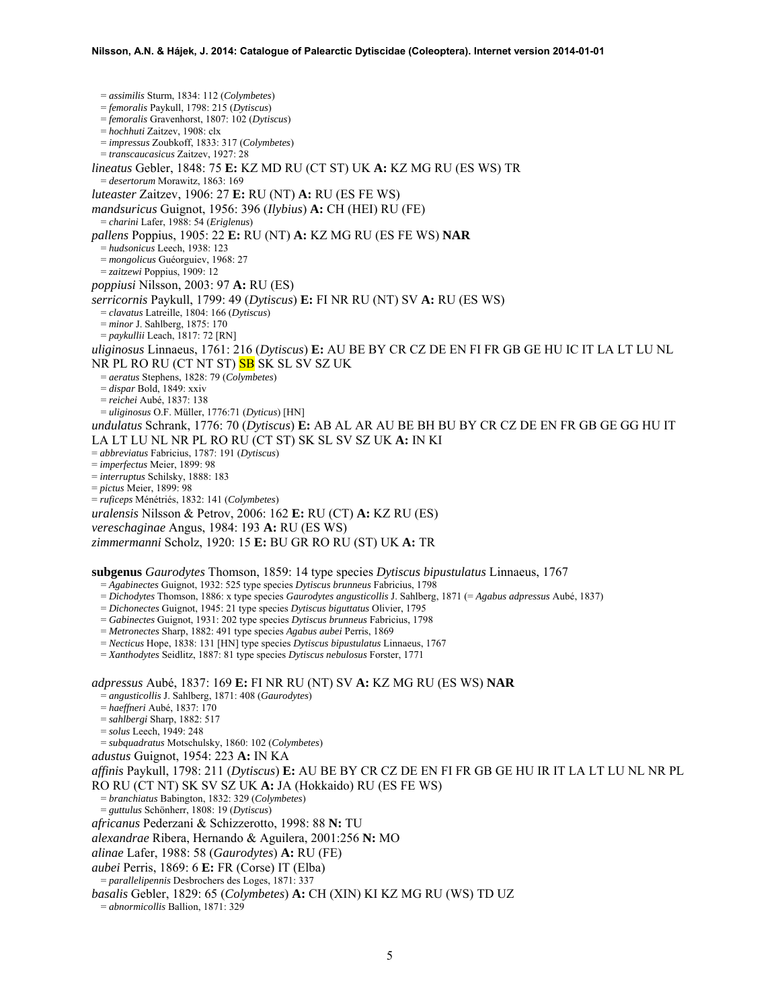= *assimilis* Sturm, 1834: 112 (*Colymbetes*) = *femoralis* Paykull, 1798: 215 (*Dytiscus*) = *femoralis* Gravenhorst, 1807: 102 (*Dytiscus*) = *hochhuti* Zaitzev, 1908: clx = *impressus* Zoubkoff, 1833: 317 (*Colymbetes*) = *transcaucasicus* Zaitzev, 1927: 28 *lineatus* Gebler, 1848: 75 **E:** KZ MD RU (CT ST) UK **A:** KZ MG RU (ES WS) TR = *desertorum* Morawitz, 1863: 169 *luteaster* Zaitzev, 1906: 27 **E:** RU (NT) **A:** RU (ES FE WS) *mandsuricus* Guignot, 1956: 396 (*Ilybius*) **A:** CH (HEI) RU (FE) = *charini* Lafer, 1988: 54 (*Eriglenus*) *pallens* Poppius, 1905: 22 **E:** RU (NT) **A:** KZ MG RU (ES FE WS) **NAR** = *hudsonicus* Leech, 1938: 123 = *mongolicus* Guéorguiev, 1968: 27 = *zaitzewi* Poppius, 1909: 12 *poppiusi* Nilsson, 2003: 97 **A:** RU (ES) *serricornis* Paykull, 1799: 49 (*Dytiscus*) **E:** FI NR RU (NT) SV **A:** RU (ES WS) = *clavatus* Latreille, 1804: 166 (*Dytiscus*) = *minor* J. Sahlberg, 1875: 170 = *paykullii* Leach, 1817: 72 [RN] *uliginosus* Linnaeus, 1761: 216 (*Dytiscus*) **E:** AU BE BY CR CZ DE EN FI FR GB GE HU IC IT LA LT LU NL NR PL RO RU (CT NT ST) <mark>SB</mark> SK SL SV SZ UK = *aeratus* Stephens, 1828: 79 (*Colymbetes*) = *dispar* Bold, 1849: xxiv = *reichei* Aubé, 1837: 138 = *uliginosus* O.F. Müller, 1776:71 (*Dyticus*) [HN] *undulatus* Schrank, 1776: 70 (*Dytiscus*) **E:** AB AL AR AU BE BH BU BY CR CZ DE EN FR GB GE GG HU IT LA LT LU NL NR PL RO RU (CT ST) SK SL SV SZ UK **A:** IN KI = *abbreviatus* Fabricius, 1787: 191 (*Dytiscus*) = *imperfectus* Meier, 1899: 98 = *interruptus* Schilsky, 1888: 183 = *pictus* Meier, 1899: 98 = *ruficeps* Ménétriés, 1832: 141 (*Colymbetes*) *uralensis* Nilsson & Petrov, 2006: 162 **E:** RU (CT) **A:** KZ RU (ES) *vereschaginae* Angus, 1984: 193 **A:** RU (ES WS) *zimmermanni* Scholz, 1920: 15 **E:** BU GR RO RU (ST) UK **A:** TR **subgenus** *Gaurodytes* Thomson, 1859: 14 type species *Dytiscus bipustulatus* Linnaeus, 1767 = *Agabinectes* Guignot, 1932: 525 type species *Dytiscus brunneus* Fabricius, 1798 = *Dichodytes* Thomson, 1886: x type species *Gaurodytes angusticollis* J. Sahlberg, 1871 (= *Agabus adpressus* Aubé, 1837) = *Dichonectes* Guignot, 1945: 21 type species *Dytiscus biguttatus* Olivier, 1795 = *Gabinectes* Guignot, 1931: 202 type species *Dytiscus brunneus* Fabricius, 1798 = *Metronectes* Sharp, 1882: 491 type species *Agabus aubei* Perris, 1869 = *Necticus* Hope, 1838: 131 [HN] type species *Dytiscus bipustulatus* Linnaeus, 1767 = *Xanthodytes* Seidlitz, 1887: 81 type species *Dytiscus nebulosus* Forster, 1771 *adpressus* Aubé, 1837: 169 **E:** FI NR RU (NT) SV **A:** KZ MG RU (ES WS) **NAR** = *angusticollis* J. Sahlberg, 1871: 408 (*Gaurodytes*) = *haeffneri* Aubé, 1837: 170 = *sahlbergi* Sharp, 1882: 517 = *solus* Leech, 1949: 248 = *subquadratus* Motschulsky, 1860: 102 (*Colymbetes*)

*adustus* Guignot, 1954: 223 **A:** IN KA

*affinis* Paykull, 1798: 211 (*Dytiscus*) **E:** AU BE BY CR CZ DE EN FI FR GB GE HU IR IT LA LT LU NL NR PL

RO RU (CT NT) SK SV SZ UK **A:** JA (Hokkaido) RU (ES FE WS) = *branchiatus* Babington, 1832: 329 (*Colymbetes*)

= *guttulus* Schönherr, 1808: 19 (*Dytiscus*)

*africanus* Pederzani & Schizzerotto, 1998: 88 **N:** TU

*alexandrae* Ribera, Hernando & Aguilera, 2001:256 **N:** MO

*alinae* Lafer, 1988: 58 (*Gaurodytes*) **A:** RU (FE)

*aubei* Perris, 1869: 6 **E:** FR (Corse) IT (Elba) = *parallelipennis* Desbrochers des Loges, 1871: 337

*basalis* Gebler, 1829: 65 (*Colymbetes*) **A:** CH (XIN) KI KZ MG RU (WS) TD UZ = *abnormicollis* Ballion, 1871: 329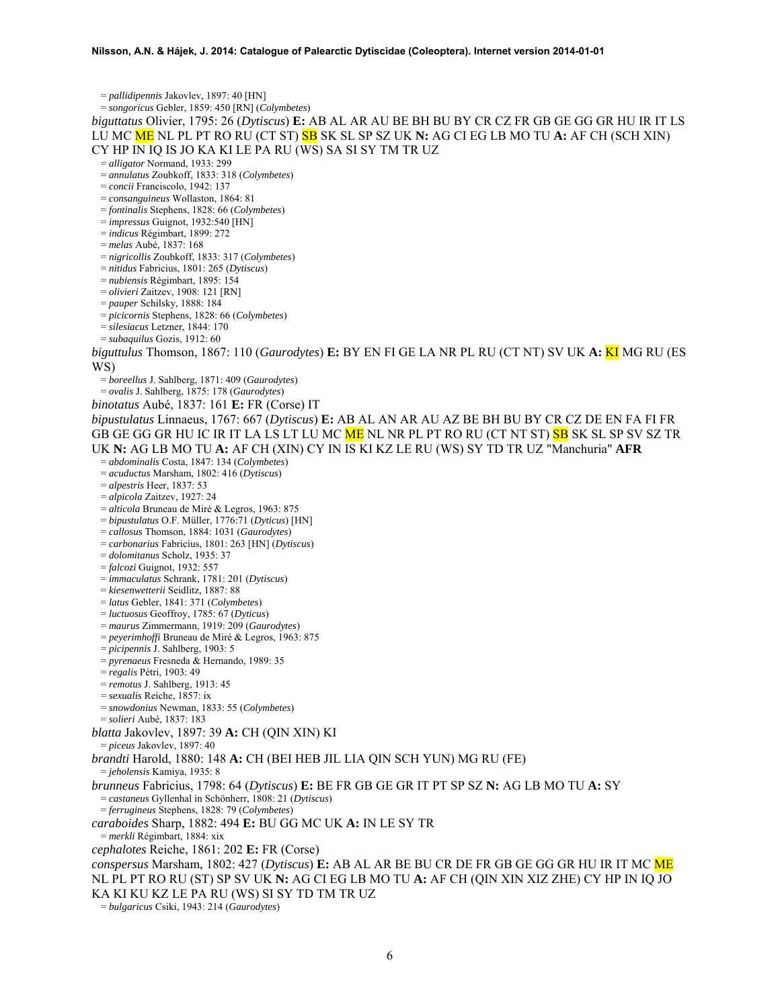= *pallidipennis* Jakovlev, 1897: 40 [HN] = *songoricus* Gebler, 1859: 450 [RN] (*Colymbetes*) *biguttatus* Olivier, 1795: 26 (*Dytiscus*) **E:** AB AL AR AU BE BH BU BY CR CZ FR GB GE GG GR HU IR IT LS LU MC ME NL PL PT RO RU (CT ST) SB SK SL SP SZ UK **N:** AG CI EG LB MO TU **A:** AF CH (SCH XIN) CY HP IN IQ IS JO KA KI LE PA RU (WS) SA SI SY TM TR UZ = *alligator* Normand, 1933: 299 = *annulatus* Zoubkoff, 1833: 318 (*Colymbetes*) = *concii* Franciscolo, 1942: 137 = *consanguineus* Wollaston, 1864: 81 = *fontinalis* Stephens, 1828: 66 (*Colymbetes*) = *impressus* Guignot, 1932:540 [HN] = *indicus* Régimbart, 1899: 272 = *melas* Aubé, 1837: 168 = *nigricollis* Zoubkoff, 1833: 317 (*Colymbetes*) = *nitidus* Fabricius, 1801: 265 (*Dytiscus*) = *nubiensis* Régimbart, 1895: 154 = *olivieri* Zaitzev, 1908: 121 [RN] = *pauper* Schilsky, 1888: 184 = *picicornis* Stephens, 1828: 66 (*Colymbetes*) = *silesiacus* Letzner, 1844: 170 = *subaquilus* Gozis, 1912: 60 *biguttulus* Thomson, 1867: 110 (*Gaurodytes*) **E:** BY EN FI GE LA NR PL RU (CT NT) SV UK **A:** KI MG RU (ES WS) = *boreellus* J. Sahlberg, 1871: 409 (*Gaurodytes*) = *ovalis* J. Sahlberg, 1875: 178 (*Gaurodytes*) *binotatus* Aubé, 1837: 161 **E:** FR (Corse) IT *bipustulatus* Linnaeus, 1767: 667 (*Dytiscus*) **E:** AB AL AN AR AU AZ BE BH BU BY CR CZ DE EN FA FI FR GB GE GG GR HU IC IR IT LA LS LT LU MC <mark>ME</mark> NL NR PL PT RO RU (CT NT ST) <mark>SB</mark> SK SL SP SV SZ TR UK **N:** AG LB MO TU **A:** AF CH (XIN) CY IN IS KI KZ LE RU (WS) SY TD TR UZ "Manchuria" **AFR** = *abdominalis* Costa, 1847: 134 (*Colymbetes*) = *acuductus* Marsham, 1802: 416 (*Dytiscus*) = *alpestris* Heer, 1837: 53 = *alpicola* Zaitzev, 1927: 24 = *alticola* Bruneau de Miré & Legros, 1963: 875 = *bipustulatus* O.F. Müller, 1776:71 (*Dyticus*) [HN] = *callosus* Thomson, 1884: 1031 (*Gaurodytes*) = *carbonarius* Fabricius, 1801: 263 [HN] (*Dytiscus*) = *dolomitanus* Scholz, 1935: 37 = *falcozi* Guignot, 1932: 557 = *immaculatus* Schrank, 1781: 201 (*Dytiscus*) = *kiesenwetterii* Seidlitz, 1887: 88 = *latus* Gebler, 1841: 371 (*Colymbetes*) = *luctuosus* Geoffroy, 1785: 67 (*Dyticus*) = *maurus* Zimmermann, 1919: 209 (*Gaurodytes*) = *peyerimhoffi* Bruneau de Miré & Legros, 1963: 875 = *picipennis* J. Sahlberg, 1903: 5 = *pyrenaeus* Fresneda & Hernando, 1989: 35 = *regalis* Pétri, 1903: 49 = *remotus* J. Sahlberg, 1913: 45 = *sexualis* Reiche, 1857: ix = *snowdonius* Newman, 1833: 55 (*Colymbetes*) = *solieri* Aubé, 1837: 183 *blatta* Jakovlev, 1897: 39 **A:** CH (QIN XIN) KI = *piceus* Jakovlev, 1897: 40 *brandti* Harold, 1880: 148 **A:** CH (BEI HEB JIL LIA QIN SCH YUN) MG RU (FE) = *jeholensis* Kamiya, 1935: 8 *brunneus* Fabricius, 1798: 64 (*Dytiscus*) **E:** BE FR GB GE GR IT PT SP SZ **N:** AG LB MO TU **A:** SY = *castaneus* Gyllenhal in Schönherr, 1808: 21 (*Dytiscus*) = *ferrugineus* Stephens, 1828: 79 (*Colymbetes*) *caraboides* Sharp, 1882: 494 **E:** BU GG MC UK **A:** IN LE SY TR = *merkli* Régimbart, 1884: xix *cephalotes* Reiche, 1861: 202 **E:** FR (Corse) *conspersus* Marsham, 1802: 427 (*Dytiscus*) **E:** AB AL AR BE BU CR DE FR GB GE GG GR HU IR IT MC ME NL PL PT RO RU (ST) SP SV UK **N:** AG CI EG LB MO TU **A:** AF CH (QIN XIN XIZ ZHE) CY HP IN IQ JO KA KI KU KZ LE PA RU (WS) SI SY TD TM TR UZ = *bulgaricus* Csiki, 1943: 214 (*Gaurodytes*)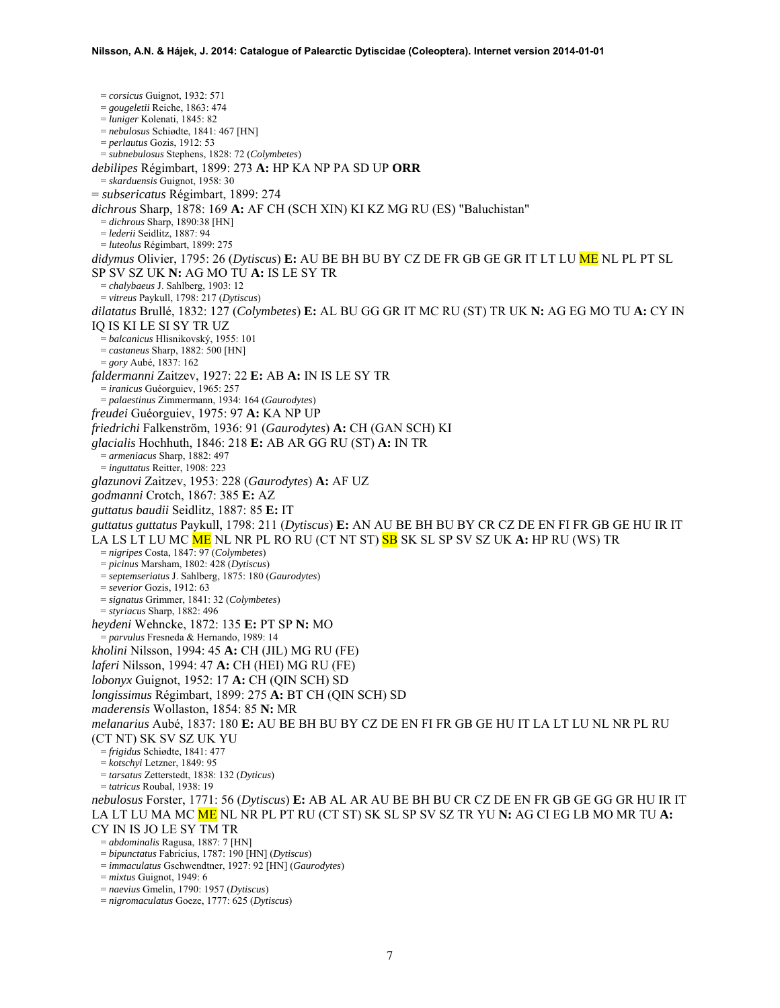= *corsicus* Guignot, 1932: 571 = *gougeletii* Reiche, 1863: 474 = *luniger* Kolenati, 1845: 82 = *nebulosus* Schiødte, 1841: 467 [HN] = *perlautus* Gozis, 1912: 53 = *subnebulosus* Stephens, 1828: 72 (*Colymbetes*) *debilipes* Régimbart, 1899: 273 **A:** HP KA NP PA SD UP **ORR** = *skarduensis* Guignot, 1958: 30 = *subsericatus* Régimbart, 1899: 274 *dichrous* Sharp, 1878: 169 **A:** AF CH (SCH XIN) KI KZ MG RU (ES) "Baluchistan" = *dichrous* Sharp, 1890:38 [HN] = *lederii* Seidlitz, 1887: 94 = *luteolus* Régimbart, 1899: 275 *didymus* Olivier, 1795: 26 (*Dytiscus*) **E:** AU BE BH BU BY CZ DE FR GB GE GR IT LT LU ME NL PL PT SL SP SV SZ UK **N:** AG MO TU **A:** IS LE SY TR = *chalybaeus* J. Sahlberg, 1903: 12 = *vitreus* Paykull, 1798: 217 (*Dytiscus*) *dilatatus* Brullé, 1832: 127 (*Colymbetes*) **E:** AL BU GG GR IT MC RU (ST) TR UK **N:** AG EG MO TU **A:** CY IN IQ IS KI LE SI SY TR UZ = *balcanicus* Hlisnikovský, 1955: 101 = *castaneus* Sharp, 1882: 500 [HN] = *gory* Aubé, 1837: 162 *faldermanni* Zaitzev, 1927: 22 **E:** AB **A:** IN IS LE SY TR = *iranicus* Guéorguiev, 1965: 257 = *palaestinus* Zimmermann, 1934: 164 (*Gaurodytes*) *freudei* Guéorguiev, 1975: 97 **A:** KA NP UP *friedrichi* Falkenström, 1936: 91 (*Gaurodytes*) **A:** CH (GAN SCH) KI *glacialis* Hochhuth, 1846: 218 **E:** AB AR GG RU (ST) **A:** IN TR = *armeniacus* Sharp, 1882: 497 = *inguttatus* Reitter, 1908: 223 *glazunovi* Zaitzev, 1953: 228 (*Gaurodytes*) **A:** AF UZ *godmanni* Crotch, 1867: 385 **E:** AZ *guttatus baudii* Seidlitz, 1887: 85 **E:** IT *guttatus guttatus* Paykull, 1798: 211 (*Dytiscus*) **E:** AN AU BE BH BU BY CR CZ DE EN FI FR GB GE HU IR IT LA LS LT LU MC ME NL NR PL RO RU (CT NT ST) SB SK SL SP SV SZ UK **A:** HP RU (WS) TR = *nigripes* Costa, 1847: 97 (*Colymbetes*) = *picinus* Marsham, 1802: 428 (*Dytiscus*) = *septemseriatus* J. Sahlberg, 1875: 180 (*Gaurodytes*) = *severior* Gozis, 1912: 63 = *signatus* Grimmer, 1841: 32 (*Colymbetes*) = *styriacus* Sharp, 1882: 496 *heydeni* Wehncke, 1872: 135 **E:** PT SP **N:** MO = *parvulus* Fresneda & Hernando, 1989: 14 *kholini* Nilsson, 1994: 45 **A:** CH (JIL) MG RU (FE) *laferi* Nilsson, 1994: 47 **A:** CH (HEI) MG RU (FE) *lobonyx* Guignot, 1952: 17 **A:** CH (QIN SCH) SD *longissimus* Régimbart, 1899: 275 **A:** BT CH (QIN SCH) SD *maderensis* Wollaston, 1854: 85 **N:** MR *melanarius* Aubé, 1837: 180 **E:** AU BE BH BU BY CZ DE EN FI FR GB GE HU IT LA LT LU NL NR PL RU (CT NT) SK SV SZ UK YU = *frigidus* Schiødte, 1841: 477 = *kotschyi* Letzner, 1849: 95 = *tarsatus* Zetterstedt, 1838: 132 (*Dyticus*) = *tatricus* Roubal, 1938: 19 *nebulosus* Forster, 1771: 56 (*Dytiscus*) **E:** AB AL AR AU BE BH BU CR CZ DE EN FR GB GE GG GR HU IR IT LA LT LU MA MC ME NL NR PL PT RU (CT ST) SK SL SP SV SZ TR YU **N:** AG CI EG LB MO MR TU **A:**  CY IN IS JO LE SY TM TR = *abdominalis* Ragusa, 1887: 7 [HN] = *bipunctatus* Fabricius, 1787: 190 [HN] (*Dytiscus*) = *immaculatus* Gschwendtner, 1927: 92 [HN] (*Gaurodytes*) = *mixtus* Guignot, 1949: 6

- = *naevius* Gmelin, 1790: 1957 (*Dytiscus*)
- = *nigromaculatus* Goeze, 1777: 625 (*Dytiscus*)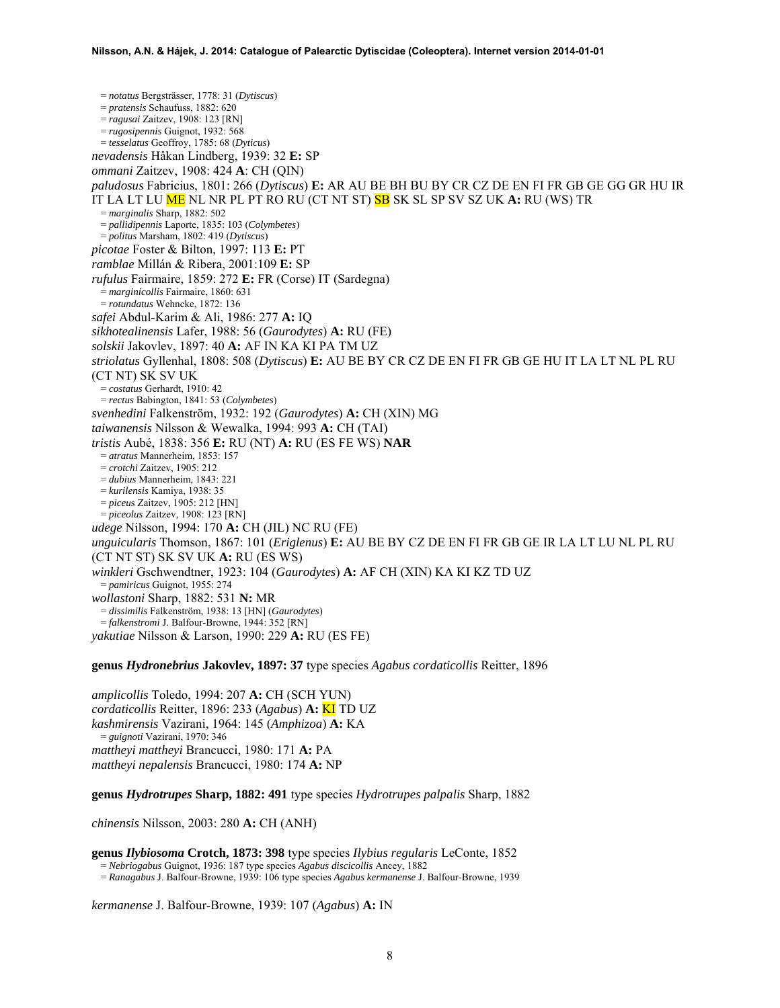= *notatus* Bergsträsser, 1778: 31 (*Dytiscus*) = *pratensis* Schaufuss, 1882: 620 = *ragusai* Zaitzev, 1908: 123 [RN] = *rugosipennis* Guignot, 1932: 568 = *tesselatus* Geoffroy, 1785: 68 (*Dyticus*) *nevadensis* Håkan Lindberg, 1939: 32 **E:** SP *ommani* Zaitzev, 1908: 424 **A**: CH (QIN) *paludosus* Fabricius, 1801: 266 (*Dytiscus*) **E:** AR AU BE BH BU BY CR CZ DE EN FI FR GB GE GG GR HU IR IT LA LT LU ME NL NR PL PT RO RU (CT NT ST) SB SK SL SP SV SZ UK **A:** RU (WS) TR = *marginalis* Sharp, 1882: 502 = *pallidipennis* Laporte, 1835: 103 (*Colymbetes*) = *politus* Marsham, 1802: 419 (*Dytiscus*) *picotae* Foster & Bilton, 1997: 113 **E:** PT *ramblae* Millán & Ribera, 2001:109 **E:** SP *rufulus* Fairmaire, 1859: 272 **E:** FR (Corse) IT (Sardegna) = *marginicollis* Fairmaire, 1860: 631 = *rotundatus* Wehncke, 1872: 136 *safei* Abdul-Karim & Ali, 1986: 277 **A:** IQ *sikhotealinensis* Lafer, 1988: 56 (*Gaurodytes*) **A:** RU (FE) *solskii* Jakovlev, 1897: 40 **A:** AF IN KA KI PA TM UZ *striolatus* Gyllenhal, 1808: 508 (*Dytiscus*) **E:** AU BE BY CR CZ DE EN FI FR GB GE HU IT LA LT NL PL RU (CT NT) SK SV UK = *costatus* Gerhardt, 1910: 42 = *rectus* Babington, 1841: 53 (*Colymbetes*) *svenhedini* Falkenström, 1932: 192 (*Gaurodytes*) **A:** CH (XIN) MG *taiwanensis* Nilsson & Wewalka, 1994: 993 **A:** CH (TAI) *tristis* Aubé, 1838: 356 **E:** RU (NT) **A:** RU (ES FE WS) **NAR** = *atratus* Mannerheim, 1853: 157 = *crotchi* Zaitzev, 1905: 212 = *dubius* Mannerheim, 1843: 221 = *kurilensis* Kamiya, 1938: 35 = *piceu*s Zaitzev, 1905: 212 [HN] = *piceolus* Zaitzev, 1908: 123 [RN] *udege* Nilsson, 1994: 170 **A:** CH (JIL) NC RU (FE) *unguicularis* Thomson, 1867: 101 (*Eriglenus*) **E:** AU BE BY CZ DE EN FI FR GB GE IR LA LT LU NL PL RU (CT NT ST) SK SV UK **A:** RU (ES WS) *winkleri* Gschwendtner, 1923: 104 (*Gaurodytes*) **A:** AF CH (XIN) KA KI KZ TD UZ = *pamiricus* Guignot, 1955: 274 *wollastoni* Sharp, 1882: 531 **N:** MR = *dissimilis* Falkenström, 1938: 13 [HN] (*Gaurodytes*) = *falkenstromi* J. Balfour-Browne, 1944: 352 [RN] *yakutiae* Nilsson & Larson, 1990: 229 **A:** RU (ES FE)

**genus** *Hydronebrius* **Jakovlev, 1897: 37** type species *Agabus cordaticollis* Reitter, 1896

*amplicollis* Toledo, 1994: 207 **A:** CH (SCH YUN) *cordaticollis* Reitter, 1896: 233 (*Agabus*) **A:** KI TD UZ *kashmirensis* Vazirani, 1964: 145 (*Amphizoa*) **A:** KA = *guignoti* Vazirani, 1970: 346 *mattheyi mattheyi* Brancucci, 1980: 171 **A:** PA *mattheyi nepalensis* Brancucci, 1980: 174 **A:** NP

**genus** *Hydrotrupes* **Sharp, 1882: 491** type species *Hydrotrupes palpalis* Sharp, 1882

*chinensis* Nilsson, 2003: 280 **A:** CH (ANH)

**genus** *Ilybiosoma* **Crotch, 1873: 398** type species *Ilybius regularis* LeConte, 1852 = *Nebriogabus* Guignot, 1936: 187 type species *Agabus discicollis* Ancey, 1882

= *Ranagabus* J. Balfour-Browne, 1939: 106 type species *Agabus kermanense* J. Balfour-Browne, 1939

*kermanense* J. Balfour-Browne, 1939: 107 (*Agabus*) **A:** IN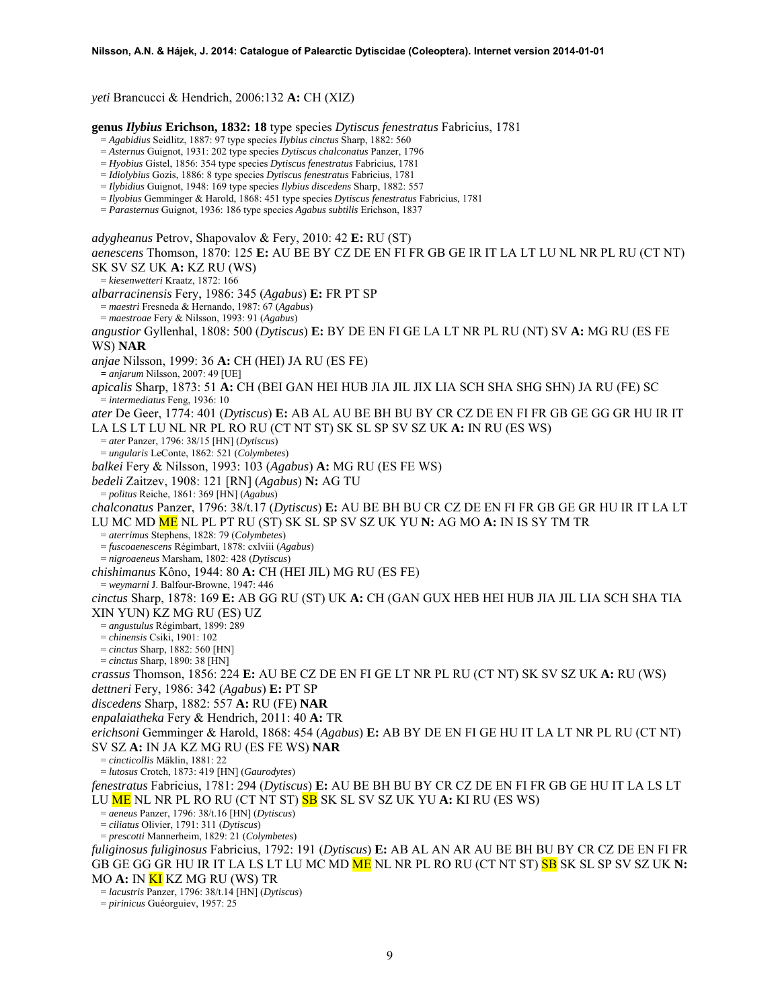*yeti* Brancucci & Hendrich, 2006:132 **A:** CH (XIZ)

**genus** *Ilybius* **Erichson, 1832: 18** type species *Dytiscus fenestratus* Fabricius, 1781 = *Agabidius* Seidlitz, 1887: 97 type species *Ilybius cinctus* Sharp, 1882: 560

- 
- = *Asternus* Guignot, 1931: 202 type species *Dytiscus chalconatus* Panzer, 1796
- = *Hyobius* Gistel, 1856: 354 type species *Dytiscus fenestratus* Fabricius, 1781
- = *Idiolybius* Gozis, 1886: 8 type species *Dytiscus fenestratus* Fabricius, 1781
- = *Ilybidius* Guignot, 1948: 169 type species *Ilybius discedens* Sharp, 1882: 557
- = *Ilyobius* Gemminger & Harold, 1868: 451 type species *Dytiscus fenestratus* Fabricius, 1781
- = *Parasternus* Guignot, 1936: 186 type species *Agabus subtilis* Erichson, 1837

*adygheanus* Petrov, Shapovalov & Fery, 2010: 42 **E:** RU (ST)

*aenescens* Thomson, 1870: 125 **E:** AU BE BY CZ DE EN FI FR GB GE IR IT LA LT LU NL NR PL RU (CT NT) SK SV SZ UK **A:** KZ RU (WS) = *kiesenwetteri* Kraatz, 1872: 166

*albarracinensis* Fery, 1986: 345 (*Agabus*) **E:** FR PT SP = *maestri* Fresneda & Hernando, 1987: 67 (*Agabus*)

= *maestroae* Fery & Nilsson, 1993: 91 (*Agabus*)

```
angustior Gyllenhal, 1808: 500 (Dytiscus) E: BY DE EN FI GE LA LT NR PL RU (NT) SV A: MG RU (ES FE
```
### WS) **NAR**

*anjae* Nilsson, 1999: 36 **A:** CH (HEI) JA RU (ES FE)

- **=** *anjarum* Nilsson, 2007: 49 [UE]
- *apicalis* Sharp, 1873: 51 **A:** CH (BEI GAN HEI HUB JIA JIL JIX LIA SCH SHA SHG SHN) JA RU (FE) SC = *intermediatus* Feng, 1936: 10
- *ater* De Geer, 1774: 401 (*Dytiscus*) **E:** AB AL AU BE BH BU BY CR CZ DE EN FI FR GB GE GG GR HU IR IT LA LS LT LU NL NR PL RO RU (CT NT ST) SK SL SP SV SZ UK **A:** IN RU (ES WS) = *ater* Panzer, 1796: 38/15 [HN] (*Dytiscus*)
- 
- = *ungularis* LeConte, 1862: 521 (*Colymbetes*)
- *balkei* Fery & Nilsson, 1993: 103 (*Agabus*) **A:** MG RU (ES FE WS)

*bedeli* Zaitzev, 1908: 121 [RN] (*Agabus*) **N:** AG TU = *politus* Reiche, 1861: 369 [HN] (*Agabus*)

*chalconatus* Panzer, 1796: 38/t.17 (*Dytiscus*) **E:** AU BE BH BU CR CZ DE EN FI FR GB GE GR HU IR IT LA LT LU MC MD ME NL PL PT RU (ST) SK SL SP SV SZ UK YU **N:** AG MO **A:** IN IS SY TM TR = *aterrimus* Stephens, 1828: 79 (*Colymbetes*)

= *fuscoaenescens* Régimbart, 1878: cxlviii (*Agabus*)

= *nigroaeneus* Marsham, 1802: 428 (*Dytiscus*)

*chishimanus* Kôno, 1944: 80 **A:** CH (HEI JIL) MG RU (ES FE) = *weymarni* J. Balfour-Browne, 1947: 446

*cinctus* Sharp, 1878: 169 **E:** AB GG RU (ST) UK **A:** CH (GAN GUX HEB HEI HUB JIA JIL LIA SCH SHA TIA XIN YUN) KZ MG RU (ES) UZ

= *angustulus* Régimbart, 1899: 289

= *chinensis* Csiki, 1901: 102 = *cinctus* Sharp, 1882: 560 [HN]

= *cinctus* Sharp, 1890: 38 [HN]

*crassus* Thomson, 1856: 224 **E:** AU BE CZ DE EN FI GE LT NR PL RU (CT NT) SK SV SZ UK **A:** RU (WS) *dettneri* Fery, 1986: 342 (*Agabus*) **E:** PT SP

*discedens* Sharp, 1882: 557 **A:** RU (FE) **NAR** 

*enpalaiatheka* Fery & Hendrich, 2011: 40 **A:** TR

*erichsoni* Gemminger & Harold, 1868: 454 (*Agabus*) **E:** AB BY DE EN FI GE HU IT LA LT NR PL RU (CT NT) SV SZ **A:** IN JA KZ MG RU (ES FE WS) **NAR** 

= *cincticollis* Mäklin, 1881: 22

= *lutosus* Crotch, 1873: 419 [HN] (*Gaurodytes*)

*fenestratus* Fabricius, 1781: 294 (*Dytiscus*) **E:** AU BE BH BU BY CR CZ DE EN FI FR GB GE HU IT LA LS LT LU ME NL NR PL RO RU (CT NT ST) SB SK SL SV SZ UK YU **A:** KI RU (ES WS) = *aeneus* Panzer, 1796: 38/t.16 [HN] (*Dytiscus*)

= *ciliatus* Olivier, 1791: 311 (*Dytiscus*)

= *prescotti* Mannerheim, 1829: 21 (*Colymbetes*)

*fuliginosus fuliginosus* Fabricius, 1792: 191 (*Dytiscus*) **E:** AB AL AN AR AU BE BH BU BY CR CZ DE EN FI FR GB GE GG GR HU IR IT LA LS LT LU MC MD ME NL NR PL RO RU (CT NT ST) SB SK SL SP SV SZ UK **N:**  MO **A:** IN KI KZ MG RU (WS) TR = *lacustris* Panzer, 1796: 38/t.14 [HN] (*Dytiscus*)

= *pirinicus* Guéorguiev, 1957: 25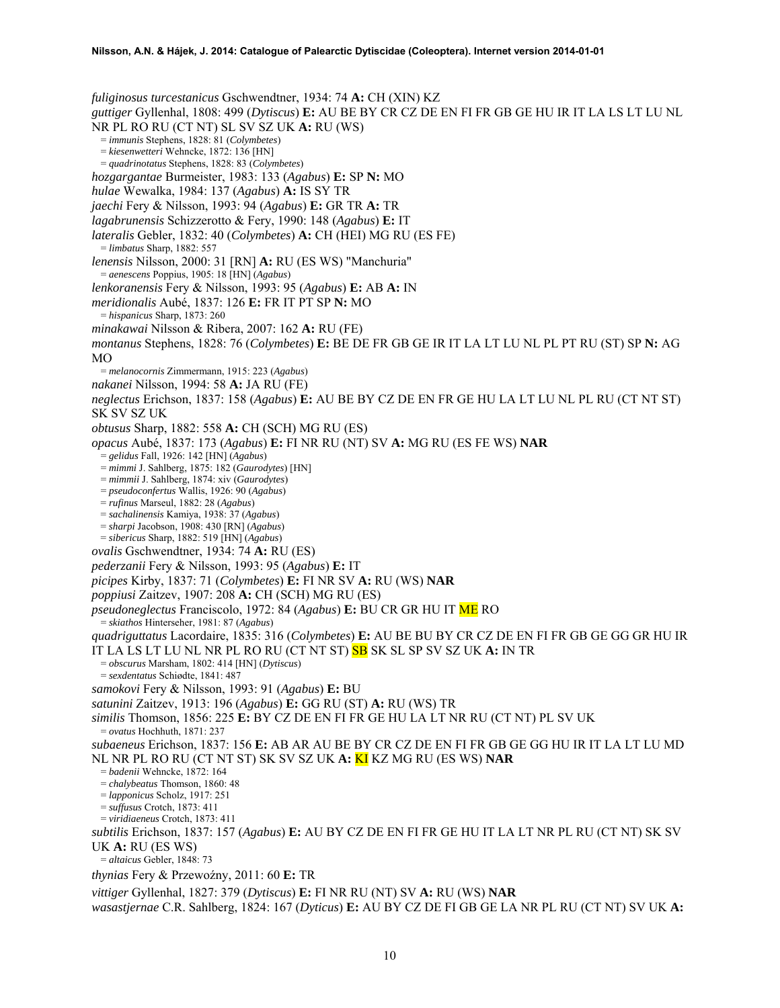*fuliginosus turcestanicus* Gschwendtner, 1934: 74 **A:** CH (XIN) KZ *guttiger* Gyllenhal, 1808: 499 (*Dytiscus*) **E:** AU BE BY CR CZ DE EN FI FR GB GE HU IR IT LA LS LT LU NL NR PL RO RU (CT NT) SL SV SZ UK **A:** RU (WS) = *immunis* Stephens, 1828: 81 (*Colymbetes*) = *kiesenwetteri* Wehncke, 1872: 136 [HN] = *quadrinotatus* Stephens, 1828: 83 (*Colymbetes*) *hozgargantae* Burmeister, 1983: 133 (*Agabus*) **E:** SP **N:** MO *hulae* Wewalka, 1984: 137 (*Agabus*) **A:** IS SY TR *jaechi* Fery & Nilsson, 1993: 94 (*Agabus*) **E:** GR TR **A:** TR *lagabrunensis* Schizzerotto & Fery, 1990: 148 (*Agabus*) **E:** IT *lateralis* Gebler, 1832: 40 (*Colymbetes*) **A:** CH (HEI) MG RU (ES FE) = *limbatus* Sharp, 1882: 557 *lenensis* Nilsson, 2000: 31 [RN] **A:** RU (ES WS) "Manchuria" = *aenescens* Poppius, 1905: 18 [HN] (*Agabus*) *lenkoranensis* Fery & Nilsson, 1993: 95 (*Agabus*) **E:** AB **A:** IN *meridionalis* Aubé, 1837: 126 **E:** FR IT PT SP **N:** MO = *hispanicus* Sharp, 1873: 260 *minakawai* Nilsson & Ribera, 2007: 162 **A:** RU (FE) *montanus* Stephens, 1828: 76 (*Colymbetes*) **E:** BE DE FR GB GE IR IT LA LT LU NL PL PT RU (ST) SP **N:** AG MO = *melanocornis* Zimmermann, 1915: 223 (*Agabus*) *nakanei* Nilsson, 1994: 58 **A:** JA RU (FE) *neglectus* Erichson, 1837: 158 (*Agabus*) **E:** AU BE BY CZ DE EN FR GE HU LA LT LU NL PL RU (CT NT ST) SK SV SZ UK *obtusus* Sharp, 1882: 558 **A:** CH (SCH) MG RU (ES) *opacus* Aubé, 1837: 173 (*Agabus*) **E:** FI NR RU (NT) SV **A:** MG RU (ES FE WS) **NAR** = *gelidus* Fall, 1926: 142 [HN] (*Agabus*) = *mimmi* J. Sahlberg, 1875: 182 (*Gaurodytes*) [HN] = *mimmii* J. Sahlberg, 1874: xiv (*Gaurodytes*) = *pseudoconfertus* Wallis, 1926: 90 (*Agabus*) = *rufinus* Marseul, 1882: 28 (*Agabus*) = *sachalinensis* Kamiya, 1938: 37 (*Agabus*) = *sharpi* Jacobson, 1908: 430 [RN] (*Agabus*) = *sibericus* Sharp, 1882: 519 [HN] (*Agabus*) *ovalis* Gschwendtner, 1934: 74 **A:** RU (ES) *pederzanii* Fery & Nilsson, 1993: 95 (*Agabus*) **E:** IT *picipes* Kirby, 1837: 71 (*Colymbetes*) **E:** FI NR SV **A:** RU (WS) **NAR**  *poppiusi* Zaitzev, 1907: 208 **A:** CH (SCH) MG RU (ES) *pseudoneglectus* Franciscolo, 1972: 84 (*Agabus*) **E:** BU CR GR HU IT ME RO = *skiathos* Hinterseher, 1981: 87 (*Agabus*) *quadriguttatus* Lacordaire, 1835: 316 (*Colymbetes*) **E:** AU BE BU BY CR CZ DE EN FI FR GB GE GG GR HU IR IT LA LS LT LU NL NR PL RO RU (CT NT ST) SB SK SL SP SV SZ UK **A:** IN TR = *obscurus* Marsham, 1802: 414 [HN] (*Dytiscus*) = *sexdentatus* Schiødte, 1841: 487 *samokovi* Fery & Nilsson, 1993: 91 (*Agabus*) **E:** BU *satunini* Zaitzev, 1913: 196 (*Agabus*) **E:** GG RU (ST) **A:** RU (WS) TR *similis* Thomson, 1856: 225 **E:** BY CZ DE EN FI FR GE HU LA LT NR RU (CT NT) PL SV UK = *ovatus* Hochhuth, 1871: 237 *subaeneus* Erichson, 1837: 156 **E:** AB AR AU BE BY CR CZ DE EN FI FR GB GE GG HU IR IT LA LT LU MD NL NR PL RO RU (CT NT ST) SK SV SZ UK **A:** KI KZ MG RU (ES WS) **NAR** = *badenii* Wehncke, 1872: 164 = *chalybeatus* Thomson, 1860: 48 = *lapponicus* Scholz, 1917: 251 = *suffusus* Crotch, 1873: 411 = *viridiaeneus* Crotch, 1873: 411 *subtilis* Erichson, 1837: 157 (*Agabus*) **E:** AU BY CZ DE EN FI FR GE HU IT LA LT NR PL RU (CT NT) SK SV UK **A:** RU (ES WS) = *altaicus* Gebler, 1848: 73 *thynias* Fery & Przewoźny, 2011: 60 **E:** TR *vittiger* Gyllenhal, 1827: 379 (*Dytiscus*) **E:** FI NR RU (NT) SV **A:** RU (WS) **NAR**  *wasastjernae* C.R. Sahlberg, 1824: 167 (*Dyticus*) **E:** AU BY CZ DE FI GB GE LA NR PL RU (CT NT) SV UK **A:**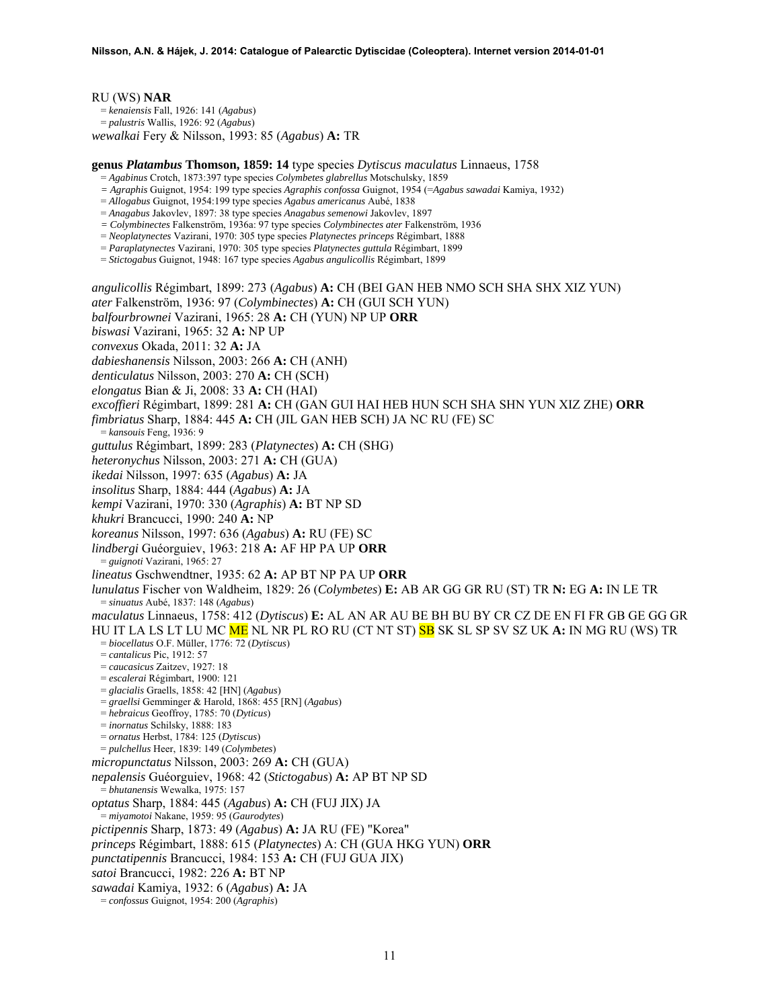## RU (WS) **NAR**

= *kenaiensis* Fall, 1926: 141 (*Agabus*) = *palustris* Wallis, 1926: 92 (*Agabus*) *wewalkai* Fery & Nilsson, 1993: 85 (*Agabus*) **A:** TR

**genus** *Platambus* **Thomson, 1859: 14** type species *Dytiscus maculatus* Linnaeus, 1758 = *Agabinus* Crotch, 1873:397 type species *Colymbetes glabrellus* Motschulsky, 1859

- 
- *= Agraphis* Guignot, 1954: 199 type species *Agraphis confossa* Guignot, 1954 (=*Agabus sawadai* Kamiya, 1932)
- = *Allogabus* Guignot, 1954:199 type species *Agabus americanus* Aubé, 1838
- = *Anagabus* Jakovlev, 1897: 38 type species *Anagabus semenowi* Jakovlev, 1897
- *= Colymbinectes* Falkenström, 1936a: 97 type species *Colymbinectes ater* Falkenström, 1936
- = *Neoplatynectes* Vazirani, 1970: 305 type species *Platynectes princeps* Régimbart, 1888
- = *Paraplatynectes* Vazirani, 1970: 305 type species *Platynectes guttula* Régimbart, 1899

= *Stictogabus* Guignot, 1948: 167 type species *Agabus angulicollis* Régimbart, 1899

*angulicollis* Régimbart, 1899: 273 (*Agabus*) **A:** CH (BEI GAN HEB NMO SCH SHA SHX XIZ YUN) *ater* Falkenström, 1936: 97 (*Colymbinectes*) **A:** CH (GUI SCH YUN) *balfourbrownei* Vazirani, 1965: 28 **A:** CH (YUN) NP UP **ORR**  *biswasi* Vazirani, 1965: 32 **A:** NP UP *convexus* Okada, 2011: 32 **A:** JA *dabieshanensis* Nilsson, 2003: 266 **A:** CH (ANH) *denticulatus* Nilsson, 2003: 270 **A:** CH (SCH) *elongatus* Bian & Ji, 2008: 33 **A:** CH (HAI) *excoffieri* Régimbart, 1899: 281 **A:** CH (GAN GUI HAI HEB HUN SCH SHA SHN YUN XIZ ZHE) **ORR**  *fimbriatus* Sharp, 1884: 445 **A:** CH (JIL GAN HEB SCH) JA NC RU (FE) SC = *kansouis* Feng, 1936: 9 *guttulus* Régimbart, 1899: 283 (*Platynectes*) **A:** CH (SHG) *heteronychus* Nilsson, 2003: 271 **A:** CH (GUA) *ikedai* Nilsson, 1997: 635 (*Agabus*) **A:** JA *insolitus* Sharp, 1884: 444 (*Agabus*) **A:** JA *kempi* Vazirani, 1970: 330 (*Agraphis*) **A:** BT NP SD *khukri* Brancucci, 1990: 240 **A:** NP *koreanus* Nilsson, 1997: 636 (*Agabus*) **A:** RU (FE) SC *lindbergi* Guéorguiev, 1963: 218 **A:** AF HP PA UP **ORR** = *guignoti* Vazirani, 1965: 27 *lineatus* Gschwendtner, 1935: 62 **A:** AP BT NP PA UP **ORR** *lunulatus* Fischer von Waldheim, 1829: 26 (*Colymbetes*) **E:** AB AR GG GR RU (ST) TR **N:** EG **A:** IN LE TR = *sinuatus* Aubé, 1837: 148 (*Agabus*) *maculatus* Linnaeus, 1758: 412 (*Dytiscus*) **E:** AL AN AR AU BE BH BU BY CR CZ DE EN FI FR GB GE GG GR HU IT LA LS LT LU MC ME NL NR PL RO RU (CT NT ST) SB SK SL SP SV SZ UK **A:** IN MG RU (WS) TR = *biocellatus* O.F. Müller, 1776: 72 (*Dytiscus*) = *cantalicus* Pic, 1912: 57 = *caucasicus* Zaitzev, 1927: 18 = *escalerai* Régimbart, 1900: 121 = *glacialis* Graells, 1858: 42 [HN] (*Agabus*) = *graellsi* Gemminger & Harold, 1868: 455 [RN] (*Agabus*) = *hebraicus* Geoffroy, 1785: 70 (*Dyticus*) = *inornatus* Schilsky, 1888: 183 = *ornatus* Herbst, 1784: 125 (*Dytiscus*) = *pulchellus* Heer, 1839: 149 (*Colymbetes*) *micropunctatus* Nilsson, 2003: 269 **A:** CH (GUA) *nepalensis* Guéorguiev, 1968: 42 (*Stictogabus*) **A:** AP BT NP SD = *bhutanensis* Wewalka, 1975: 157 *optatus* Sharp, 1884: 445 (*Agabus*) **A:** CH (FUJ JIX) JA = *miyamotoi* Nakane, 1959: 95 (*Gaurodytes*) *pictipennis* Sharp, 1873: 49 (*Agabus*) **A:** JA RU (FE) "Korea" *princeps* Régimbart, 1888: 615 (*Platynectes*) A: CH (GUA HKG YUN) **ORR**  *punctatipennis* Brancucci, 1984: 153 **A:** CH (FUJ GUA JIX) *satoi* Brancucci, 1982: 226 **A:** BT NP

- *sawadai* Kamiya, 1932: 6 (*Agabus*) **A:** JA = *confossus* Guignot, 1954: 200 (*Agraphis*)
-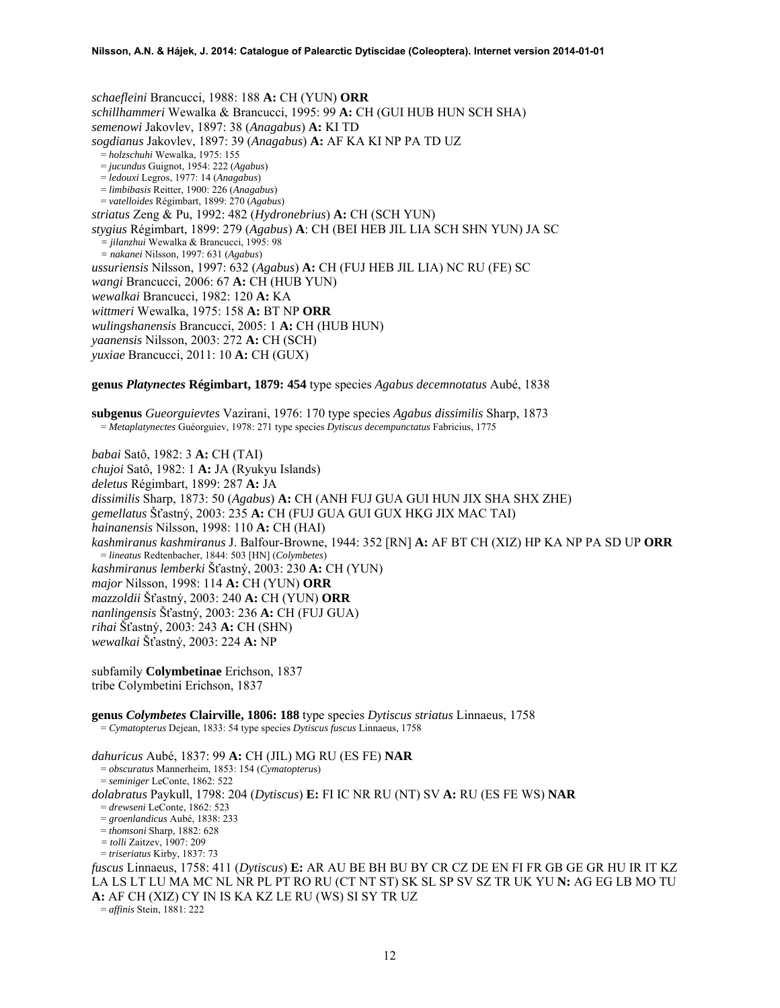*schaefleini* Brancucci, 1988: 188 **A:** CH (YUN) **ORR**  *schillhammeri* Wewalka & Brancucci, 1995: 99 **A:** CH (GUI HUB HUN SCH SHA) *semenowi* Jakovlev, 1897: 38 (*Anagabus*) **A:** KI TD *sogdianus* Jakovlev, 1897: 39 (*Anagabus*) **A:** AF KA KI NP PA TD UZ = *holzschuhi* Wewalka, 1975: 155 = *jucundus* Guignot, 1954: 222 (*Agabus*) = *ledouxi* Legros, 1977: 14 (*Anagabus*) = *limbibasis* Reitter, 1900: 226 (*Anagabus*) = *vatelloides* Régimbart, 1899: 270 (*Agabus*) *striatus* Zeng & Pu, 1992: 482 (*Hydronebrius*) **A:** CH (SCH YUN) *stygius* Régimbart, 1899: 279 (*Agabus*) **A**: CH (BEI HEB JIL LIA SCH SHN YUN) JA SC *= jilanzhui* Wewalka & Brancucci, 1995: 98 *= nakanei* Nilsson, 1997: 631 (*Agabus*) *ussuriensis* Nilsson, 1997: 632 (*Agabus*) **A:** CH (FUJ HEB JIL LIA) NC RU (FE) SC *wangi* Brancucci, 2006: 67 **A:** CH (HUB YUN) *wewalkai* Brancucci, 1982: 120 **A:** KA *wittmeri* Wewalka, 1975: 158 **A:** BT NP **ORR**  *wulingshanensis* Brancucci, 2005: 1 **A:** CH (HUB HUN) *yaanensis* Nilsson, 2003: 272 **A:** CH (SCH) *yuxiae* Brancucci, 2011: 10 **A:** CH (GUX)

# **genus** *Platynectes* **Régimbart, 1879: 454** type species *Agabus decemnotatus* Aubé, 1838

**subgenus** *Gueorguievtes* Vazirani, 1976: 170 type species *Agabus dissimilis* Sharp, 1873 = *Metaplatynectes* Guéorguiev, 1978: 271 type species *Dytiscus decempunctatus* Fabricius, 1775

*babai* Satô, 1982: 3 **A:** CH (TAI) *chujoi* Satô, 1982: 1 **A:** JA (Ryukyu Islands) *deletus* Régimbart, 1899: 287 **A:** JA *dissimilis* Sharp, 1873: 50 (*Agabus*) **A:** CH (ANH FUJ GUA GUI HUN JIX SHA SHX ZHE) *gemellatus* Šťastný, 2003: 235 **A:** CH (FUJ GUA GUI GUX HKG JIX MAC TAI) *hainanensis* Nilsson, 1998: 110 **A:** CH (HAI) *kashmiranus kashmiranus* J. Balfour-Browne, 1944: 352 [RN] **A:** AF BT CH (XIZ) HP KA NP PA SD UP **ORR** = *lineatus* Redtenbacher, 1844: 503 [HN] (*Colymbetes*) *kashmiranus lemberki* Šťastný, 2003: 230 **A:** CH (YUN) *major* Nilsson, 1998: 114 **A:** CH (YUN) **ORR**  *mazzoldii* Šťastný, 2003: 240 **A:** CH (YUN) **ORR** *nanlingensis* Šťastný, 2003: 236 **A:** CH (FUJ GUA) *rihai* Šťastný, 2003: 243 **A:** CH (SHN) *wewalkai* Šťastný, 2003: 224 **A:** NP

subfamily **Colymbetinae** Erichson, 1837 tribe Colymbetini Erichson, 1837

**genus** *Colymbetes* **Clairville, 1806: 188** type species *Dytiscus striatus* Linnaeus, 1758 = *Cymatopterus* Dejean, 1833: 54 type species *Dytiscus fuscus* Linnaeus, 1758

*dahuricus* Aubé, 1837: 99 **A:** CH (JIL) MG RU (ES FE) **NAR** = *obscuratus* Mannerheim, 1853: 154 (*Cymatopteru*s) = *seminiger* LeConte, 1862: 522 *dolabratus* Paykull, 1798: 204 (*Dytiscus*) **E:** FI IC NR RU (NT) SV **A:** RU (ES FE WS) **NAR** = *drewseni* LeConte, 1862: 523 = *groenlandicus* Aubé, 1838: 233 = *thomsoni* Sharp, 1882: 628 *= tolli* Zaitzev, 1907: 209 = *triseriatus* Kirby, 1837: 73 *fuscus* Linnaeus, 1758: 411 (*Dytiscus*) **E:** AR AU BE BH BU BY CR CZ DE EN FI FR GB GE GR HU IR IT KZ LA LS LT LU MA MC NL NR PL PT RO RU (CT NT ST) SK SL SP SV SZ TR UK YU **N:** AG EG LB MO TU **A:** AF CH (XIZ) CY IN IS KA KZ LE RU (WS) SI SY TR UZ = *affinis* Stein, 1881: 222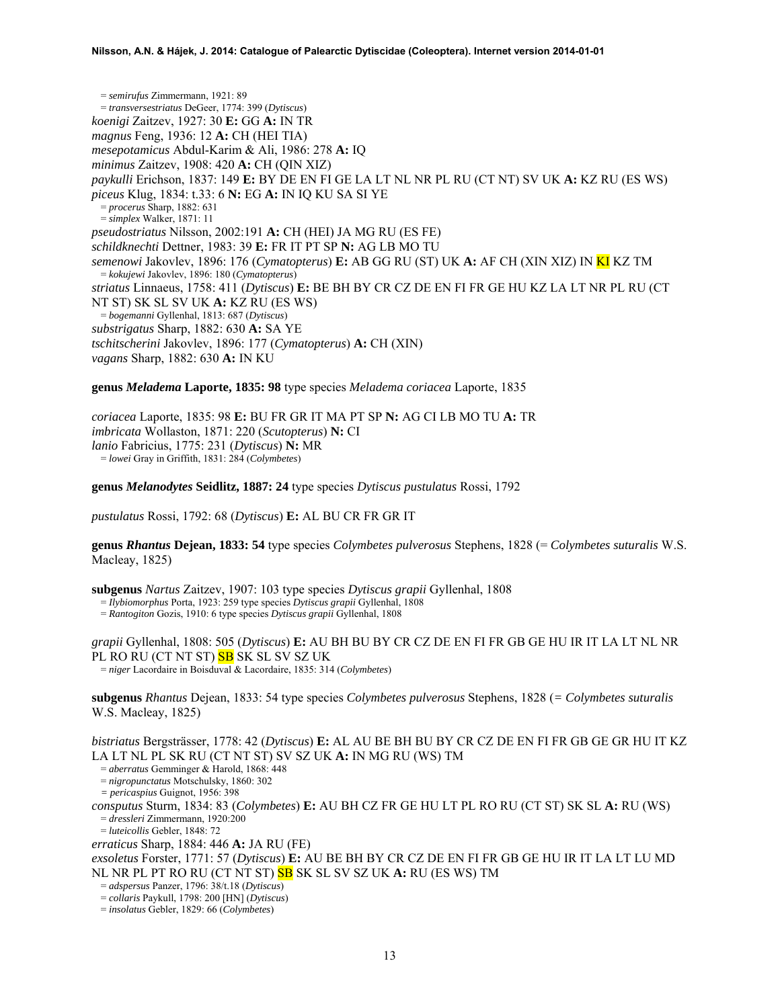= *semirufus* Zimmermann, 1921: 89 = *transversestriatus* DeGeer, 1774: 399 (*Dytiscus*) *koenigi* Zaitzev, 1927: 30 **E:** GG **A:** IN TR *magnus* Feng, 1936: 12 **A:** CH (HEI TIA) *mesepotamicus* Abdul-Karim & Ali, 1986: 278 **A:** IQ *minimus* Zaitzev, 1908: 420 **A:** CH (QIN XIZ) *paykulli* Erichson, 1837: 149 **E:** BY DE EN FI GE LA LT NL NR PL RU (CT NT) SV UK **A:** KZ RU (ES WS) *piceus* Klug, 1834: t.33: 6 **N:** EG **A:** IN IQ KU SA SI YE = *procerus* Sharp, 1882: 631 = *simplex* Walker, 1871: 11 *pseudostriatus* Nilsson, 2002:191 **A:** CH (HEI) JA MG RU (ES FE) *schildknechti* Dettner, 1983: 39 **E:** FR IT PT SP **N:** AG LB MO TU *semenowi* Jakovlev, 1896: 176 (*Cymatopterus*) **E:** AB GG RU (ST) UK **A:** AF CH (XIN XIZ) IN <mark>KI</mark> KZ TM = *kokujewi* Jakovlev, 1896: 180 (*Cymatopterus*) *striatus* Linnaeus, 1758: 411 (*Dytiscus*) **E:** BE BH BY CR CZ DE EN FI FR GE HU KZ LA LT NR PL RU (CT NT ST) SK SL SV UK **A:** KZ RU (ES WS) = *bogemanni* Gyllenhal, 1813: 687 (*Dytiscus*) *substrigatus* Sharp, 1882: 630 **A:** SA YE *tschitscherini* Jakovlev, 1896: 177 (*Cymatopterus*) **A:** CH (XIN) *vagans* Sharp, 1882: 630 **A:** IN KU

**genus** *Meladema* **Laporte, 1835: 98** type species *Meladema coriacea* Laporte, 1835

*coriacea* Laporte, 1835: 98 **E:** BU FR GR IT MA PT SP **N:** AG CI LB MO TU **A:** TR *imbricata* Wollaston, 1871: 220 (*Scutopterus*) **N:** CI *lanio* Fabricius, 1775: 231 (*Dytiscus*) **N:** MR = *lowei* Gray in Griffith, 1831: 284 (*Colymbetes*)

**genus** *Melanodytes* **Seidlitz, 1887: 24** type species *Dytiscus pustulatus* Rossi, 1792

*pustulatus* Rossi, 1792: 68 (*Dytiscus*) **E:** AL BU CR FR GR IT

**genus** *Rhantus* **Dejean, 1833: 54** type species *Colymbetes pulverosus* Stephens, 1828 (= *Colymbetes suturalis* W.S. Macleay, 1825)

**subgenus** *Nartus* Zaitzev, 1907: 103 type species *Dytiscus grapii* Gyllenhal, 1808 = *Ilybiomorphus* Porta, 1923: 259 type species *Dytiscus grapii* Gyllenhal, 1808

- 
- = *Rantogiton* Gozis, 1910: 6 type species *Dytiscus grapii* Gyllenhal, 1808

*grapii* Gyllenhal, 1808: 505 (*Dytiscus*) **E:** AU BH BU BY CR CZ DE EN FI FR GB GE HU IR IT LA LT NL NR PL RO RU (CT NT ST) **SB** SK SL SV SZ UK

= *niger* Lacordaire in Boisduval & Lacordaire, 1835: 314 (*Colymbetes*)

**subgenus** *Rhantus* Dejean, 1833: 54 type species *Colymbetes pulverosus* Stephens, 1828 (*= Colymbetes suturalis* W.S. Macleay, 1825)

*bistriatus* Bergsträsser, 1778: 42 (*Dytiscus*) **E:** AL AU BE BH BU BY CR CZ DE EN FI FR GB GE GR HU IT KZ LA LT NL PL SK RU (CT NT ST) SV SZ UK **A:** IN MG RU (WS) TM = *aberratus* Gemminger & Harold, 1868: 448

= *nigropunctatus* Motschulsky, 1860: 302

*= pericaspius* Guignot, 1956: 398

*consputus* Sturm, 1834: 83 (*Colymbetes*) **E:** AU BH CZ FR GE HU LT PL RO RU (CT ST) SK SL **A:** RU (WS) = *dressleri* Zimmermann, 1920:200

= *luteicollis* Gebler, 1848: 72

*erraticus* Sharp, 1884: 446 **A:** JA RU (FE)

*exsoletus* Forster, 1771: 57 (*Dytiscus*) **E:** AU BE BH BY CR CZ DE EN FI FR GB GE HU IR IT LA LT LU MD NL NR PL PT RO RU (CT NT ST) SB SK SL SV SZ UK **A:** RU (ES WS) TM = *adspersus* Panzer, 1796: 38/t.18 (*Dytiscus*)

= *collaris* Paykull, 1798: 200 [HN] (*Dytiscus*)

= *insolatus* Gebler, 1829: 66 (*Colymbetes*)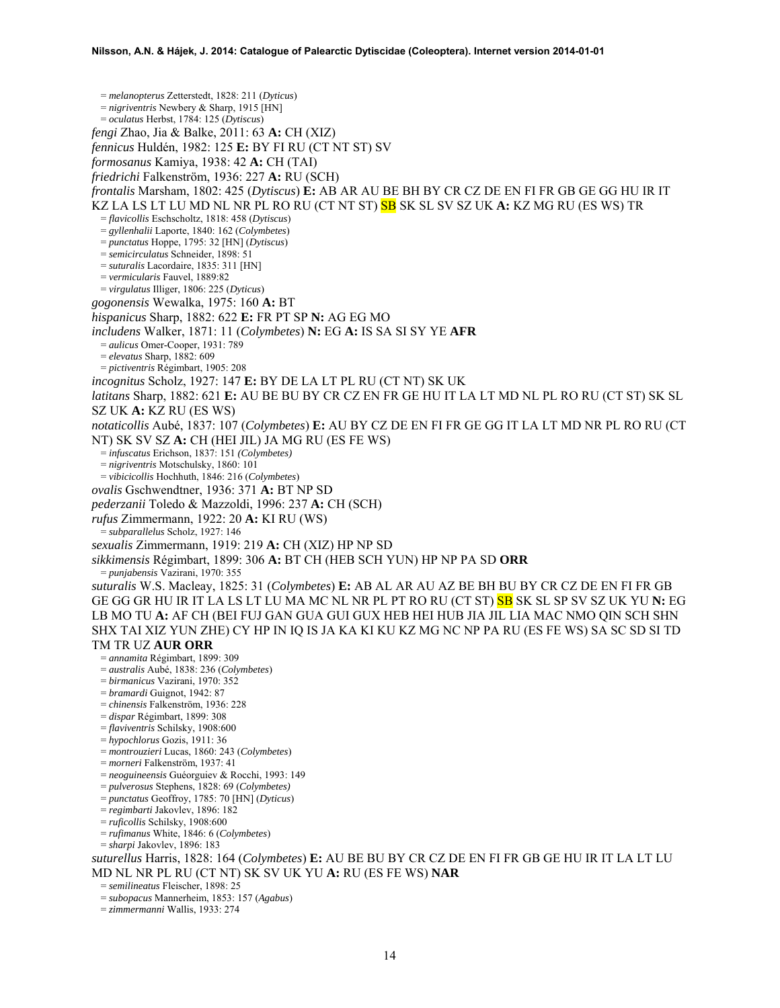= *melanopterus* Zetterstedt, 1828: 211 (*Dyticus*) = *nigriventris* Newbery & Sharp, 1915 [HN] = *oculatus* Herbst, 1784: 125 (*Dytiscus*) *fengi* Zhao, Jia & Balke, 2011: 63 **A:** CH (XIZ) *fennicus* Huldén, 1982: 125 **E:** BY FI RU (CT NT ST) SV *formosanus* Kamiya, 1938: 42 **A:** CH (TAI) *friedrichi* Falkenström, 1936: 227 **A:** RU (SCH) *frontalis* Marsham, 1802: 425 (*Dytiscus*) **E:** AB AR AU BE BH BY CR CZ DE EN FI FR GB GE GG HU IR IT KZ LA LS LT LU MD NL NR PL RO RU (CT NT ST) SB SK SL SV SZ UK **A:** KZ MG RU (ES WS) TR = *flavicollis* Eschscholtz, 1818: 458 (*Dytiscus*) = *gyllenhalii* Laporte, 1840: 162 (*Colymbetes*) = *punctatus* Hoppe, 1795: 32 [HN] (*Dytiscus*) = *semicirculatus* Schneider, 1898: 51 = *suturalis* Lacordaire, 1835: 311 [HN] = *vermicularis* Fauvel, 1889:82 = *virgulatus* Illiger, 1806: 225 (*Dyticus*) *gogonensis* Wewalka, 1975: 160 **A:** BT *hispanicus* Sharp, 1882: 622 **E:** FR PT SP **N:** AG EG MO *includens* Walker, 1871: 11 (*Colymbetes*) **N:** EG **A:** IS SA SI SY YE **AFR** = *aulicus* Omer-Cooper, 1931: 789 = *elevatus* Sharp, 1882: 609 = *pictiventris* Régimbart, 1905: 208 *incognitus* Scholz, 1927: 147 **E:** BY DE LA LT PL RU (CT NT) SK UK *latitans* Sharp, 1882: 621 **E:** AU BE BU BY CR CZ EN FR GE HU IT LA LT MD NL PL RO RU (CT ST) SK SL SZ UK **A:** KZ RU (ES WS) *notaticollis* Aubé, 1837: 107 (*Colymbetes*) **E:** AU BY CZ DE EN FI FR GE GG IT LA LT MD NR PL RO RU (CT NT) SK SV SZ **A:** CH (HEI JIL) JA MG RU (ES FE WS) = *infuscatus* Erichson, 1837: 151 *(Colymbetes)*  = *nigriventris* Motschulsky, 1860: 101 = *vibicicollis* Hochhuth, 1846: 216 (*Colymbetes*) *ovalis* Gschwendtner, 1936: 371 **A:** BT NP SD *pederzanii* Toledo & Mazzoldi, 1996: 237 **A:** CH (SCH) *rufus* Zimmermann, 1922: 20 **A:** KI RU (WS) = *subparallelus* Scholz, 1927: 146 *sexualis* Zimmermann, 1919: 219 **A:** CH (XIZ) HP NP SD *sikkimensis* Régimbart, 1899: 306 **A:** BT CH (HEB SCH YUN) HP NP PA SD **ORR** = *punjabensis* Vazirani, 1970: 355 *suturalis* W.S. Macleay, 1825: 31 (*Colymbetes*) **E:** AB AL AR AU AZ BE BH BU BY CR CZ DE EN FI FR GB GE GG GR HU IR IT LA LS LT LU MA MC NL NR PL PT RO RU (CT ST) SB SK SL SP SV SZ UK YU **N:** EG LB MO TU **A:** AF CH (BEI FUJ GAN GUA GUI GUX HEB HEI HUB JIA JIL LIA MAC NMO QIN SCH SHN SHX TAI XIZ YUN ZHE) CY HP IN IQ IS JA KA KI KU KZ MG NC NP PA RU (ES FE WS) SA SC SD SI TD TM TR UZ **AUR ORR** = *annamita* Régimbart, 1899: 309 = *australis* Aubé, 1838: 236 (*Colymbetes*) = *birmanicus* Vazirani, 1970: 352 = *bramardi* Guignot, 1942: 87 = *chinensis* Falkenström, 1936: 228 = *dispar* Régimbart, 1899: 308 = *flaviventris* Schilsky, 1908:600 = *hypochlorus* Gozis, 1911: 36 = *montrouzieri* Lucas, 1860: 243 (*Colymbetes*) = *morneri* Falkenström, 1937: 41 = *neoguineensis* Guéorguiev & Rocchi, 1993: 149 = *pulverosus* Stephens, 1828: 69 (*Colymbetes)* = *punctatus* Geoffroy, 1785: 70 [HN] (*Dyticus*) = *regimbarti* Jakovlev, 1896: 182 = *ruficollis* Schilsky, 1908:600 = *rufimanus* White, 1846: 6 (*Colymbetes*) = *sharpi* Jakovlev, 1896: 183 *suturellus* Harris, 1828: 164 (*Colymbetes*) **E:** AU BE BU BY CR CZ DE EN FI FR GB GE HU IR IT LA LT LU MD NL NR PL RU (CT NT) SK SV UK YU **A:** RU (ES FE WS) **NAR** = *semilineatus* Fleischer, 1898: 25 = *subopacus* Mannerheim, 1853: 157 (*Agabus*) = *zimmermanni* Wallis, 1933: 274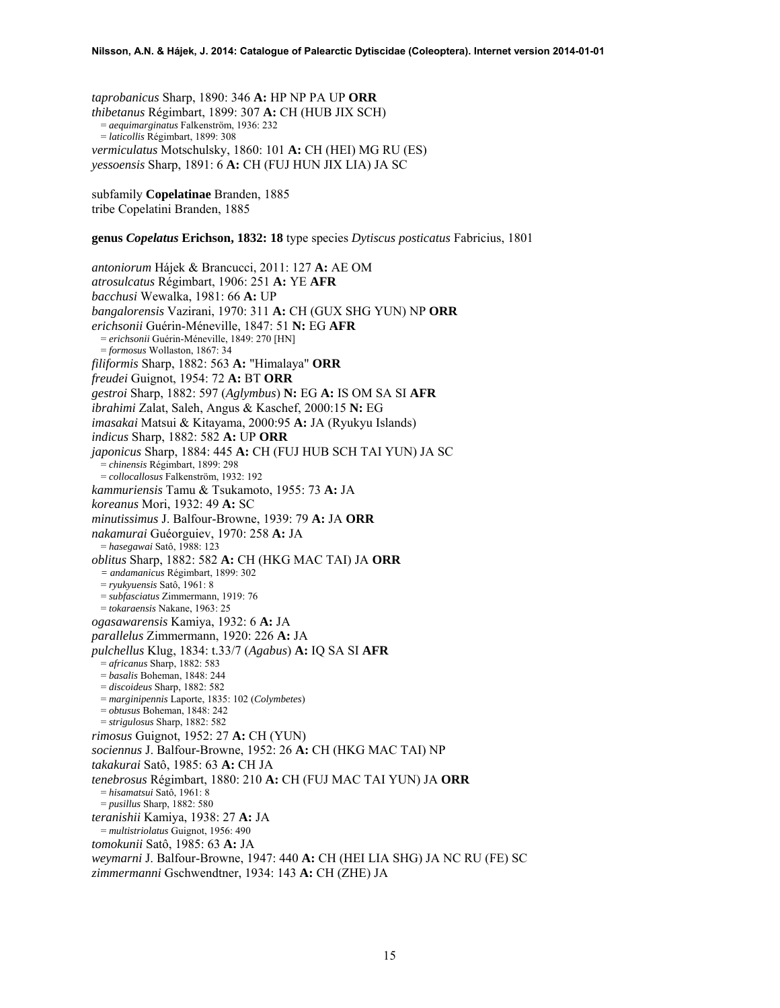*taprobanicus* Sharp, 1890: 346 **A:** HP NP PA UP **ORR**  *thibetanus* Régimbart, 1899: 307 **A:** CH (HUB JIX SCH) = *aequimarginatus* Falkenström, 1936: 232 = *laticollis* Régimbart, 1899: 308 *vermiculatus* Motschulsky, 1860: 101 **A:** CH (HEI) MG RU (ES) *yessoensis* Sharp, 1891: 6 **A:** CH (FUJ HUN JIX LIA) JA SC

subfamily **Copelatinae** Branden, 1885 tribe Copelatini Branden, 1885

**genus** *Copelatus* **Erichson, 1832: 18** type species *Dytiscus posticatus* Fabricius, 1801

*antoniorum* Hájek & Brancucci, 2011: 127 **A:** AE OM *atrosulcatus* Régimbart, 1906: 251 **A:** YE **AFR**  *bacchusi* Wewalka, 1981: 66 **A:** UP *bangalorensis* Vazirani, 1970: 311 **A:** CH (GUX SHG YUN) NP **ORR**  *erichsonii* Guérin-Méneville, 1847: 51 **N:** EG **AFR** = *erichsonii* Guérin-Méneville, 1849: 270 [HN] = *formosus* Wollaston, 1867: 34 *filiformis* Sharp, 1882: 563 **A:** "Himalaya" **ORR**  *freudei* Guignot, 1954: 72 **A:** BT **ORR**  *gestroi* Sharp, 1882: 597 (*Aglymbus*) **N:** EG **A:** IS OM SA SI **AFR**  *ibrahimi* Zalat, Saleh, Angus & Kaschef, 2000:15 **N:** EG *imasakai* Matsui & Kitayama, 2000:95 **A:** JA (Ryukyu Islands) *indicus* Sharp, 1882: 582 **A:** UP **ORR**  *japonicus* Sharp, 1884: 445 **A:** CH (FUJ HUB SCH TAI YUN) JA SC<br>
= *chinensis* Régimbart, 1899: 298 = *collocallosus* Falkenström, 1932: 192 *kammuriensis* Tamu & Tsukamoto, 1955: 73 **A:** JA *koreanus* Mori, 1932: 49 **A:** SC *minutissimus* J. Balfour-Browne, 1939: 79 **A:** JA **ORR**  *nakamurai* Guéorguiev, 1970: 258 **A:** JA = *hasegawai* Satô, 1988: 123 *oblitus* Sharp, 1882: 582 **A:** CH (HKG MAC TAI) JA **ORR** *= andamanicus* Régimbart, 1899: 302 = *ryukyuensis* Satô, 1961: 8 = *subfasciatus* Zimmermann, 1919: 76 = *tokaraensis* Nakane, 1963: 25 *ogasawarensis* Kamiya, 1932: 6 **A:** JA *parallelus* Zimmermann, 1920: 226 **A:** JA *pulchellus* Klug, 1834: t.33/7 (*Agabus*) **A:** IQ SA SI **AFR** = *africanus* Sharp, 1882: 583 = *basalis* Boheman, 1848: 244 = *discoideus* Sharp, 1882: 582 = *marginipennis* Laporte, 1835: 102 (*Colymbetes*) = *obtusus* Boheman, 1848: 242 = *strigulosus* Sharp, 1882: 582 *rimosus* Guignot, 1952: 27 **A:** CH (YUN) *sociennus* J. Balfour-Browne, 1952: 26 **A:** CH (HKG MAC TAI) NP *takakurai* Satô, 1985: 63 **A:** CH JA *tenebrosus* Régimbart, 1880: 210 **A:** CH (FUJ MAC TAI YUN) JA **ORR** = *hisamatsui* Satô, 1961: 8 = *pusillus* Sharp, 1882: 580 *teranishii* Kamiya, 1938: 27 **A:** JA = *multistriolatus* Guignot, 1956: 490 *tomokunii* Satô, 1985: 63 **A:** JA *weymarni* J. Balfour-Browne, 1947: 440 **A:** CH (HEI LIA SHG) JA NC RU (FE) SC *zimmermanni* Gschwendtner, 1934: 143 **A:** CH (ZHE) JA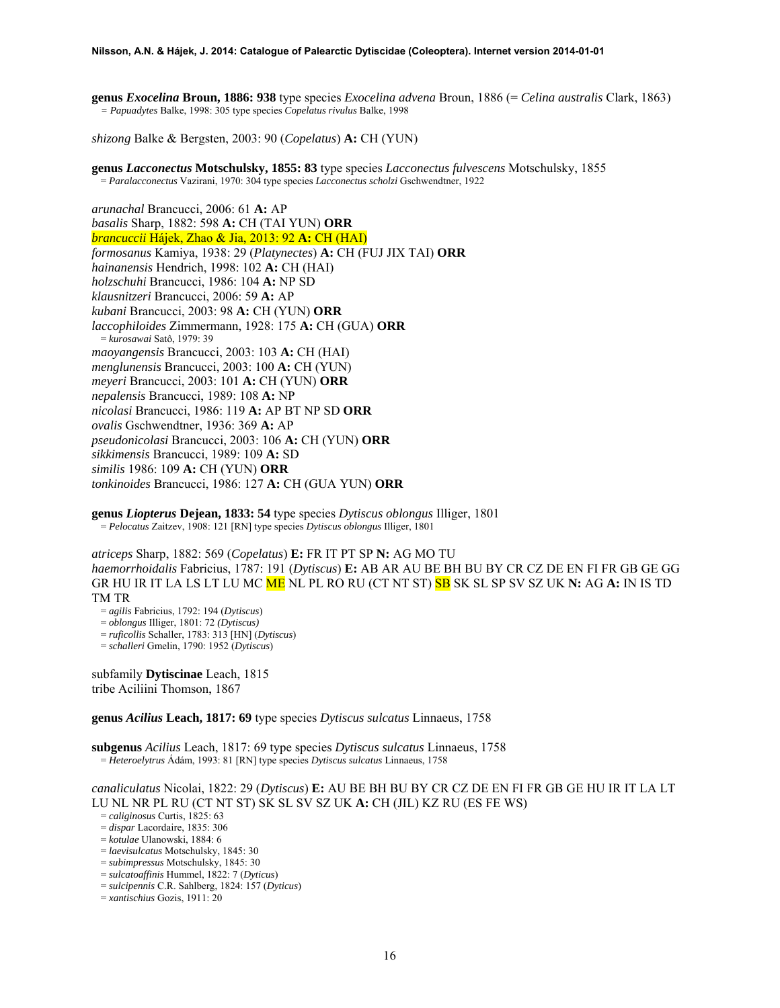**genus** *Exocelina* **Broun, 1886: 938** type species *Exocelina advena* Broun, 1886 (= *Celina australis* Clark, 1863) *= Papuadytes* Balke, 1998: 305 type species *Copelatus rivulus* Balke, 1998

*shizong* Balke & Bergsten, 2003: 90 (*Copelatus*) **A:** CH (YUN)

genus Lacconectus Motschulsky, 1855: 83 type species Lacconectus fulvescens Motschulsky, 1855<br>= Paralacconectus Vazirani, 1970: 304 type species Lacconectus scholzi Gschwendtner, 1922

*arunachal* Brancucci, 2006: 61 **A:** AP *basalis* Sharp, 1882: 598 **A:** CH (TAI YUN) **ORR**  *brancuccii* Hájek, Zhao & Jia, 2013: 92 **A:** CH (HAI) *formosanus* Kamiya, 1938: 29 (*Platynectes*) **A:** CH (FUJ JIX TAI) **ORR** *hainanensis* Hendrich, 1998: 102 **A:** CH (HAI) *holzschuhi* Brancucci, 1986: 104 **A:** NP SD *klausnitzeri* Brancucci, 2006: 59 **A:** AP *kubani* Brancucci, 2003: 98 **A:** CH (YUN) **ORR** *laccophiloides* Zimmermann, 1928: 175 **A:** CH (GUA) **ORR** = *kurosawai* Satô, 1979: 39 *maoyangensis* Brancucci, 2003: 103 **A:** CH (HAI) *menglunensis* Brancucci, 2003: 100 **A:** CH (YUN) *meyeri* Brancucci, 2003: 101 **A:** CH (YUN) **ORR** *nepalensis* Brancucci, 1989: 108 **A:** NP *nicolasi* Brancucci, 1986: 119 **A:** AP BT NP SD **ORR**  *ovalis* Gschwendtner, 1936: 369 **A:** AP *pseudonicolasi* Brancucci, 2003: 106 **A:** CH (YUN) **ORR** *sikkimensis* Brancucci, 1989: 109 **A:** SD *similis* 1986: 109 **A:** CH (YUN) **ORR** *tonkinoides* Brancucci, 1986: 127 **A:** CH (GUA YUN) **ORR**

**genus** *Liopterus* **Dejean, 1833: 54** type species *Dytiscus oblongus* Illiger, 1801 = *Pelocatus* Zaitzev, 1908: 121 [RN] type species *Dytiscus oblongus* Illiger, 1801

*atriceps* Sharp, 1882: 569 (*Copelatus*) **E:** FR IT PT SP **N:** AG MO TU *haemorrhoidalis* Fabricius, 1787: 191 (*Dytiscus*) **E:** AB AR AU BE BH BU BY CR CZ DE EN FI FR GB GE GG GR HU IR IT LA LS LT LU MC ME NL PL RO RU (CT NT ST) SB SK SL SP SV SZ UK **N:** AG **A:** IN IS TD TM TR

- = *agilis* Fabricius, 1792: 194 (*Dytiscus*)
- = *oblongus* Illiger, 1801: 72 *(Dytiscus)*
- = *ruficollis* Schaller, 1783: 313 [HN] (*Dytiscus*)

= *schalleri* Gmelin, 1790: 1952 (*Dytiscus*)

subfamily **Dytiscinae** Leach, 1815 tribe Aciliini Thomson, 1867

**genus** *Acilius* **Leach, 1817: 69** type species *Dytiscus sulcatus* Linnaeus, 1758

**subgenus** *Acilius* Leach, 1817: 69 type species *Dytiscus sulcatus* Linnaeus, 1758 = *Heteroelytrus* Ádám, 1993: 81 [RN] type species *Dytiscus sulcatus* Linnaeus, 1758

*canaliculatus* Nicolai, 1822: 29 (*Dytiscus*) **E:** AU BE BH BU BY CR CZ DE EN FI FR GB GE HU IR IT LA LT LU NL NR PL RU (CT NT ST) SK SL SV SZ UK **A:** CH (JIL) KZ RU (ES FE WS) = *caliginosus* Curtis, 1825: 63

- = *dispar* Lacordaire, 1835: 306
- = *kotulae* Ulanowski, 1884: 6
- = *laevisulcatus* Motschulsky, 1845: 30
- = *subimpressus* Motschulsky, 1845: 30 = *sulcatoaffinis* Hummel, 1822: 7 (*Dyticus*)
- = *sulcipennis* C.R. Sahlberg, 1824: 157 (*Dyticus*)
- = *xantischius* Gozis, 1911: 20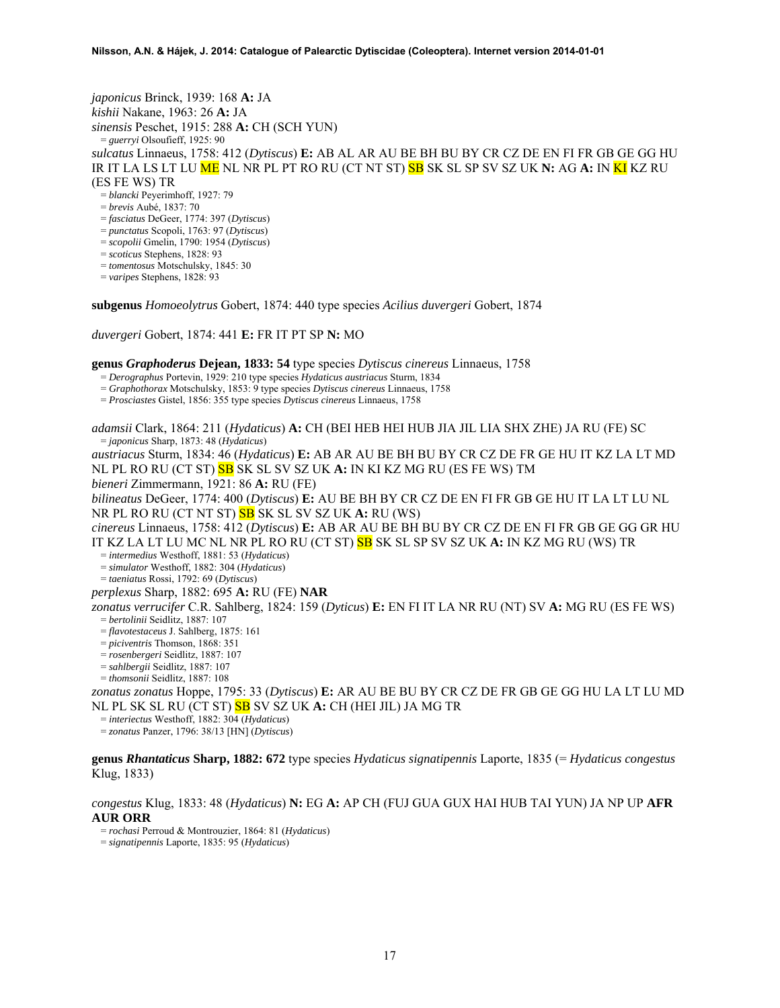*japonicus* Brinck, 1939: 168 **A:** JA *kishii* Nakane, 1963: 26 **A:** JA *sinensis* Peschet, 1915: 288 **A:** CH (SCH YUN) = *guerryi* Olsoufieff, 1925: 90 *sulcatus* Linnaeus, 1758: 412 (*Dytiscus*) **E:** AB AL AR AU BE BH BU BY CR CZ DE EN FI FR GB GE GG HU IR IT LA LS LT LU ME NL NR PL PT RO RU (CT NT ST) SB SK SL SP SV SZ UK **N:** AG **A:** IN KI KZ RU (ES FE WS) TR = *blancki* Peyerimhoff, 1927: 79 = *brevis* Aubé, 1837: 70 = *fasciatus* DeGeer, 1774: 397 (*Dytiscus*) = *punctatus* Scopoli, 1763: 97 (*Dytiscus*) = *scopolii* Gmelin, 1790: 1954 (*Dytiscus*)

= *scoticus* Stephens, 1828: 93

= *tomentosus* Motschulsky, 1845: 30

= *varipes* Stephens, 1828: 93

**subgenus** *Homoeolytrus* Gobert, 1874: 440 type species *Acilius duvergeri* Gobert, 1874

*duvergeri* Gobert, 1874: 441 **E:** FR IT PT SP **N:** MO

**genus** *Graphoderus* **Dejean, 1833: 54** type species *Dytiscus cinereus* Linnaeus, 1758 = *Derographus* Portevin, 1929: 210 type species *Hydaticus austriacus* Sturm, 1834

= *Graphothorax* Motschulsky, 1853: 9 type species *Dytiscus cinereus* Linnaeus, 1758

= *Prosciastes* Gistel, 1856: 355 type species *Dytiscus cinereus* Linnaeus, 1758

*adamsii* Clark, 1864: 211 (*Hydaticus*) **A:** CH (BEI HEB HEI HUB JIA JIL LIA SHX ZHE) JA RU (FE) SC = *japonicus* Sharp, 1873: 48 (*Hydaticus*)

*austriacus* Sturm, 1834: 46 (*Hydaticus*) **E:** AB AR AU BE BH BU BY CR CZ DE FR GE HU IT KZ LA LT MD NL PL RO RU (CT ST) SB SK SL SV SZ UK **A:** IN KI KZ MG RU (ES FE WS) TM

*bieneri* Zimmermann, 1921: 86 **A:** RU (FE)

*bilineatus* DeGeer, 1774: 400 (*Dytiscus*) **E:** AU BE BH BY CR CZ DE EN FI FR GB GE HU IT LA LT LU NL NR PL RO RU (CT NT ST) SB SK SL SV SZ UK **A:** RU (WS)

*cinereus* Linnaeus, 1758: 412 (*Dytiscus*) **E:** AB AR AU BE BH BU BY CR CZ DE EN FI FR GB GE GG GR HU IT KZ LA LT LU MC NL NR PL RO RU (CT ST) SB SK SL SP SV SZ UK **A:** IN KZ MG RU (WS) TR = *intermedius* Westhoff, 1881: 53 (*Hydaticus*)

= *simulator* Westhoff, 1882: 304 (*Hydaticus*)

= *taeniatus* Rossi, 1792: 69 (*Dytiscus*)

*perplexus* Sharp, 1882: 695 **A:** RU (FE) **NAR**

*zonatus verrucifer* C.R. Sahlberg, 1824: 159 (*Dyticus*) **E:** EN FI IT LA NR RU (NT) SV **A:** MG RU (ES FE WS) = *bertolinii* Seidlitz, 1887: 107

= *flavotestaceus* J. Sahlberg, 1875: 161

= *piciventris* Thomson, 1868: 351

= *rosenbergeri* Seidlitz, 1887: 107

= *sahlbergii* Seidlitz, 1887: 107

= *thomsonii* Seidlitz, 1887: 108

*zonatus zonatus* Hoppe, 1795: 33 (*Dytiscus*) **E:** AR AU BE BU BY CR CZ DE FR GB GE GG HU LA LT LU MD NL PL SK SL RU (CT ST) SB SV SZ UK **A:** CH (HEI JIL) JA MG TR = *interiectus* Westhoff, 1882: 304 (*Hydaticus*)

= *zonatus* Panzer, 1796: 38/13 [HN] (*Dytiscus*)

**genus** *Rhantaticus* **Sharp, 1882: 672** type species *Hydaticus signatipennis* Laporte, 1835 (= *Hydaticus congestus*  Klug, 1833)

## *congestus* Klug, 1833: 48 (*Hydaticus*) **N:** EG **A:** AP CH (FUJ GUA GUX HAI HUB TAI YUN) JA NP UP **AFR AUR ORR**

= *rochasi* Perroud & Montrouzier, 1864: 81 (*Hydaticus*)

= *signatipennis* Laporte, 1835: 95 (*Hydaticus*)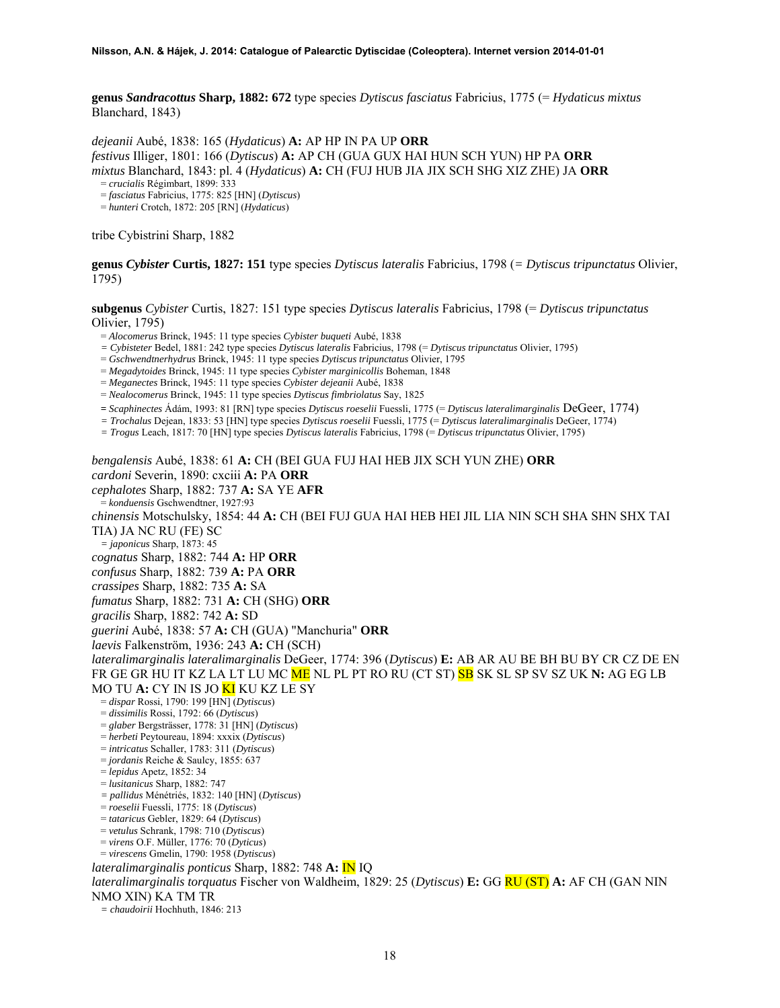**genus** *Sandracottus* **Sharp, 1882: 672** type species *Dytiscus fasciatus* Fabricius, 1775 (= *Hydaticus mixtus* Blanchard, 1843)

*dejeanii* Aubé, 1838: 165 (*Hydaticus*) **A:** AP HP IN PA UP **ORR**  *festivus* Illiger, 1801: 166 (*Dytiscus*) **A:** AP CH (GUA GUX HAI HUN SCH YUN) HP PA **ORR**  *mixtus* Blanchard, 1843: pl. 4 (*Hydaticus*) **A:** CH (FUJ HUB JIA JIX SCH SHG XIZ ZHE) JA **ORR** = *crucialis* Régimbart, 1899: 333

= *fasciatus* Fabricius, 1775: 825 [HN] (*Dytiscus*)

= *hunteri* Crotch, 1872: 205 [RN] (*Hydaticus*)

tribe Cybistrini Sharp, 1882

**genus** *Cybister* **Curtis, 1827: 151** type species *Dytiscus lateralis* Fabricius, 1798 (*= Dytiscus tripunctatus* Olivier, 1795)

**subgenus** *Cybister* Curtis, 1827: 151 type species *Dytiscus lateralis* Fabricius, 1798 (= *Dytiscus tripunctatus* Olivier, 1795)

- = *Alocomerus* Brinck, 1945: 11 type species *Cybister buqueti* Aubé, 1838
- *= Cybisteter* Bedel, 1881: 242 type species *Dytiscus lateralis* Fabricius, 1798 (= *Dytiscus tripunctatus* Olivier, 1795)
- = *Gschwendtnerhydrus* Brinck, 1945: 11 type species *Dytiscus tripunctatus* Olivier, 1795

= *Megadytoides* Brinck, 1945: 11 type species *Cybister marginicollis* Boheman, 1848

= *Meganectes* Brinck, 1945: 11 type species *Cybister dejeanii* Aubé, 1838

= *Nealocomerus* Brinck, 1945: 11 type species *Dytiscus fimbriolatus* Say, 1825

**=** *Scaphinectes* Ádám, 1993: 81 [RN] type species *Dytiscus roeselii* Fuessli, 1775 (= *Dytiscus lateralimarginalis* DeGeer, 1774)

*= Trochalus* Dejean, 1833: 53 [HN] type species *Dytiscus roeselii* Fuessli, 1775 (= *Dytiscus lateralimarginalis* DeGeer, 1774)

*= Trogus* Leach, 1817: 70 [HN] type species *Dytiscus lateralis* Fabricius, 1798 (= *Dytiscus tripunctatus* Olivier, 1795)

*bengalensis* Aubé, 1838: 61 **A:** CH (BEI GUA FUJ HAI HEB JIX SCH YUN ZHE) **ORR**  *cardoni* Severin, 1890: cxciii **A:** PA **ORR**  *cephalotes* Sharp, 1882: 737 **A:** SA YE **AFR** = *konduensis* Gschwendtner, 1927:93 *chinensis* Motschulsky, 1854: 44 **A:** CH (BEI FUJ GUA HAI HEB HEI JIL LIA NIN SCH SHA SHN SHX TAI TIA) JA NC RU (FE) SC *= japonicus* Sharp, 1873: 45 *cognatus* Sharp, 1882: 744 **A:** HP **ORR**  *confusus* Sharp, 1882: 739 **A:** PA **ORR**  *crassipes* Sharp, 1882: 735 **A:** SA *fumatus* Sharp, 1882: 731 **A:** CH (SHG) **ORR**  *gracilis* Sharp, 1882: 742 **A:** SD *guerini* Aubé, 1838: 57 **A:** CH (GUA) "Manchuria" **ORR**  *laevis* Falkenström, 1936: 243 **A:** CH (SCH) *lateralimarginalis lateralimarginalis* DeGeer, 1774: 396 (*Dytiscus*) **E:** AB AR AU BE BH BU BY CR CZ DE EN FR GE GR HU IT KZ LA LT LU MC ME NL PL PT RO RU (CT ST) SB SK SL SP SV SZ UK **N:** AG EG LB MO TU **A:** CY IN IS JO KI KU KZ LE SY = *dispar* Rossi, 1790: 199 [HN] (*Dytiscus*) = *dissimilis* Rossi, 1792: 66 (*Dytiscus*) = *glaber* Bergsträsser, 1778: 31 [HN] (*Dytiscus*) = *herbeti* Peytoureau, 1894: xxxix (*Dytiscus*) = *intricatus* Schaller, 1783: 311 (*Dytiscus*) = *jordanis* Reiche & Saulcy, 1855: 637 = *lepidus* Apetz, 1852: 34 = *lusitanicus* Sharp, 1882: 747 *= pallidus* Ménétriés, 1832: 140 [HN] (*Dytiscus*) = *roeselii* Fuessli, 1775: 18 (*Dytiscus*) = *tataricus* Gebler, 1829: 64 (*Dytiscus*) = *vetulus* Schrank, 1798: 710 (*Dytiscus*) = *virens* O.F. Müller, 1776: 70 (*Dyticus*) = *virescens* Gmelin, 1790: 1958 (*Dytiscus*) *lateralimarginalis ponticus* Sharp, 1882: 748 **A:** IN IQ *lateralimarginalis torquatus* Fischer von Waldheim, 1829: 25 (*Dytiscus*) **E:** GG RU (ST) **A:** AF CH (GAN NIN NMO XIN) KA TM TR *= chaudoirii* Hochhuth, 1846: 213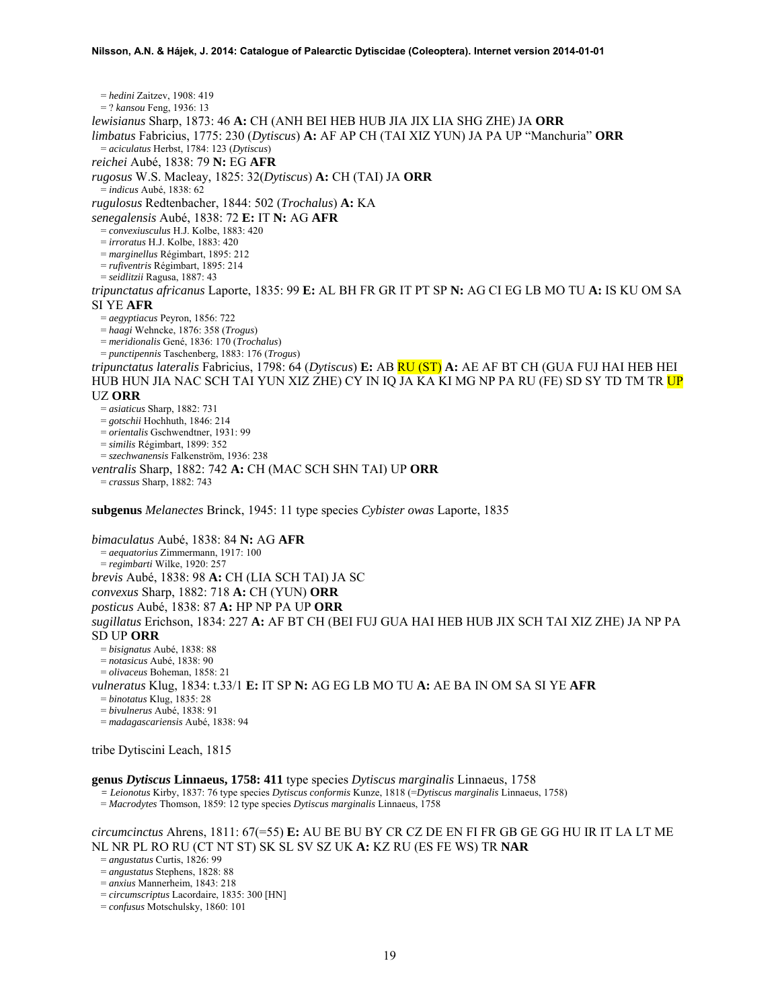= *hedini* Zaitzev, 1908: 419 = ? *kansou* Feng, 1936: 13 *lewisianus* Sharp, 1873: 46 **A:** CH (ANH BEI HEB HUB JIA JIX LIA SHG ZHE) JA **ORR**  *limbatus* Fabricius, 1775: 230 (*Dytiscus*) **A:** AF AP CH (TAI XIZ YUN) JA PA UP "Manchuria" **ORR** = *aciculatus* Herbst, 1784: 123 (*Dytiscus*) *reichei* Aubé, 1838: 79 **N:** EG **AFR**  *rugosus* W.S. Macleay, 1825: 32(*Dytiscus*) **A:** CH (TAI) JA **ORR** = *indicus* Aubé, 1838: 62 *rugulosus* Redtenbacher, 1844: 502 (*Trochalus*) **A:** KA *senegalensis* Aubé, 1838: 72 **E:** IT **N:** AG **AFR** = *convexiusculus* H.J. Kolbe, 1883: 420 = *irroratus* H.J. Kolbe, 1883: 420 = *marginellus* Régimbart, 1895: 212 = *rufiventris* Régimbart, 1895: 214 = *seidlitzii* Ragusa, 1887: 43 *tripunctatus africanus* Laporte, 1835: 99 **E:** AL BH FR GR IT PT SP **N:** AG CI EG LB MO TU **A:** IS KU OM SA SI YE **AFR** = *aegyptiacus* Peyron, 1856: 722 = *haagi* Wehncke, 1876: 358 (*Trogus*) = *meridionalis* Gené, 1836: 170 (*Trochalus*) = *punctipennis* Taschenberg, 1883: 176 (*Trogus*) *tripunctatus lateralis* Fabricius, 1798: 64 (*Dytiscus*) **E:** AB RU (ST) **A:** AE AF BT CH (GUA FUJ HAI HEB HEI HUB HUN JIA NAC SCH TAI YUN XIZ ZHE) CY IN IQ JA KA KI MG NP PA RU (FE) SD SY TD TM TR <mark>UP</mark> UZ **ORR**  = *asiaticus* Sharp, 1882: 731 = *gotschii* Hochhuth, 1846: 214 = *orientalis* Gschwendtner, 1931: 99 = *similis* Régimbart, 1899: 352 = *szechwanensis* Falkenström, 1936: 238 *ventralis* Sharp, 1882: 742 **A:** CH (MAC SCH SHN TAI) UP **ORR** = *crassus* Sharp, 1882: 743

**subgenus** *Melanectes* Brinck, 1945: 11 type species *Cybister owas* Laporte, 1835

*bimaculatus* Aubé, 1838: 84 **N:** AG **AFR** = *aequatorius* Zimmermann, 1917: 100 = *regimbarti* Wilke, 1920: 257 *brevis* Aubé, 1838: 98 **A:** CH (LIA SCH TAI) JA SC *convexus* Sharp, 1882: 718 **A:** CH (YUN) **ORR**  *posticus* Aubé, 1838: 87 **A:** HP NP PA UP **ORR**  *sugillatus* Erichson, 1834: 227 **A:** AF BT CH (BEI FUJ GUA HAI HEB HUB JIX SCH TAI XIZ ZHE) JA NP PA SD UP **ORR** = *bisignatus* Aubé, 1838: 88

= *notasicus* Aubé, 1838: 90

= *olivaceus* Boheman, 1858: 21

*vulneratus* Klug, 1834: t.33/1 **E:** IT SP **N:** AG EG LB MO TU **A:** AE BA IN OM SA SI YE **AFR** 

= *binotatus* Klug, 1835: 28

= *bivulnerus* Aubé, 1838: 91

= *madagascariensis* Aubé, 1838: 94

#### tribe Dytiscini Leach, 1815

**genus** *Dytiscus* **Linnaeus, 1758: 411** type species *Dytiscus marginalis* Linnaeus, 1758

*= Leionotus* Kirby, 1837: 76 type species *Dytiscus conformis* Kunze, 1818 (=*Dytiscus marginalis* Linnaeus, 1758)

= *Macrodytes* Thomson, 1859: 12 type species *Dytiscus marginalis* Linnaeus, 1758

*circumcinctus* Ahrens, 1811: 67(=55) **E:** AU BE BU BY CR CZ DE EN FI FR GB GE GG HU IR IT LA LT ME NL NR PL RO RU (CT NT ST) SK SL SV SZ UK **A:** KZ RU (ES FE WS) TR **NAR** 

= *angustatus* Curtis, 1826: 99

= *angustatus* Stephens, 1828: 88

= *anxius* Mannerheim, 1843: 218

= *circumscriptus* Lacordaire, 1835: 300 [HN]

= *confusus* Motschulsky, 1860: 101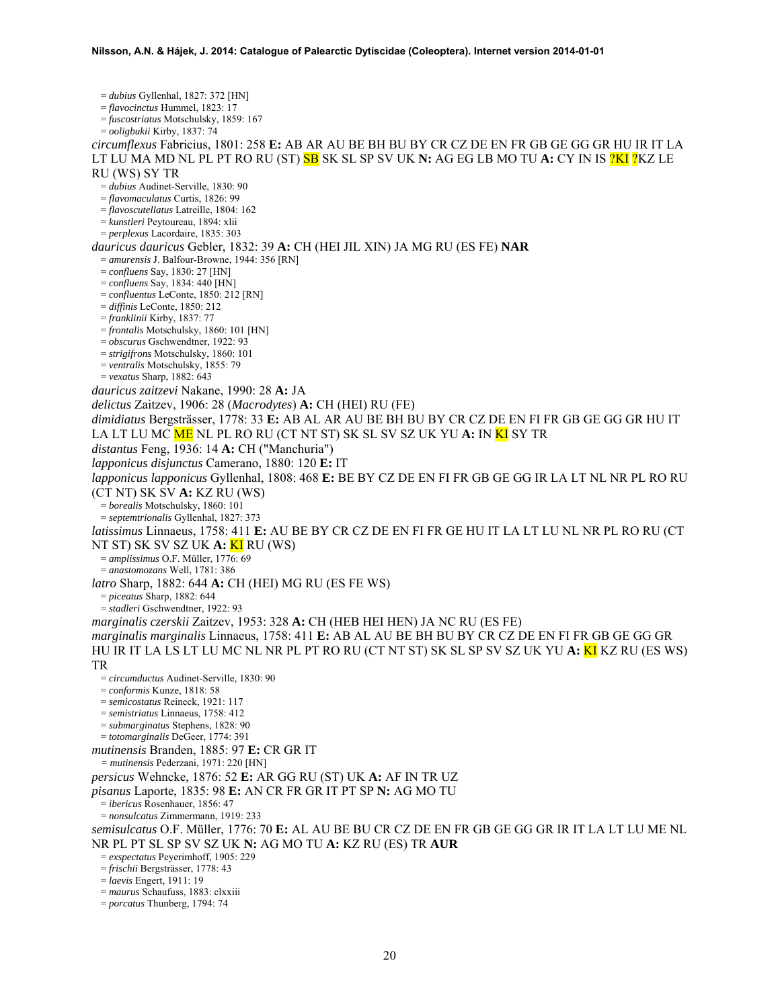= *dubius* Gyllenhal, 1827: 372 [HN] = *flavocinctus* Hummel, 1823: 17 = *fuscostriatus* Motschulsky, 1859: 167 = *ooligbukii* Kirby, 1837: 74 *circumflexus* Fabricius, 1801: 258 **E:** AB AR AU BE BH BU BY CR CZ DE EN FR GB GE GG GR HU IR IT LA LT LU MA MD NL PL PT RO RU (ST) SB SK SL SP SV UK **N:** AG EG LB MO TU **A:** CY IN IS ?KI ?KZ LE RU (WS) SY TR = *dubius* Audinet-Serville, 1830: 90 = *flavomaculatus* Curtis, 1826: 99 = *flavoscutellatus* Latreille, 1804: 162 = *kunstleri* Peytoureau, 1894: xlii = *perplexus* Lacordaire, 1835: 303 *dauricus dauricus* Gebler, 1832: 39 **A:** CH (HEI JIL XIN) JA MG RU (ES FE) **NAR** = *amurensis* J. Balfour-Browne, 1944: 356 [RN] = *confluens* Say, 1830: 27 [HN] = *confluens* Say, 1834: 440 [HN] = *confluentus* LeConte, 1850: 212 [RN] = *diffinis* LeConte, 1850: 212 = *franklinii* Kirby, 1837: 77 = *frontalis* Motschulsky, 1860: 101 [HN] = *obscurus* Gschwendtner, 1922: 93 = *strigifrons* Motschulsky, 1860: 101 = *ventralis* Motschulsky, 1855: 79 = *vexatus* Sharp, 1882: 643 *dauricus zaitzevi* Nakane, 1990: 28 **A:** JA *delictus* Zaitzev, 1906: 28 (*Macrodytes*) **A:** CH (HEI) RU (FE) *dimidiatus* Bergsträsser, 1778: 33 **E:** AB AL AR AU BE BH BU BY CR CZ DE EN FI FR GB GE GG GR HU IT LA LT LU MC ME NL PL RO RU (CT NT ST) SK SL SV SZ UK YU **A:** IN KI SY TR *distantus* Feng, 1936: 14 **A:** CH ("Manchuria") *lapponicus disjunctus* Camerano, 1880: 120 **E:** IT *lapponicus lapponicus* Gyllenhal, 1808: 468 **E:** BE BY CZ DE EN FI FR GB GE GG IR LA LT NL NR PL RO RU (CT NT) SK SV **A:** KZ RU (WS) = *borealis* Motschulsky, 1860: 101 = *septemtrionalis* Gyllenhal, 1827: 373 *latissimus* Linnaeus, 1758: 411 **E:** AU BE BY CR CZ DE EN FI FR GE HU IT LA LT LU NL NR PL RO RU (CT NT ST) SK SV SZ UK **A:** KI RU (WS) = *amplissimus* O.F. Müller, 1776: 69 = *anastomozans* Well, 1781: 386 *latro* Sharp, 1882: 644 **A:** CH (HEI) MG RU (ES FE WS) = *piceatus* Sharp, 1882: 644 = *stadleri* Gschwendtner, 1922: 93 *marginalis czerskii* Zaitzev, 1953: 328 **A:** CH (HEB HEI HEN) JA NC RU (ES FE) *marginalis marginalis* Linnaeus, 1758: 411 **E:** AB AL AU BE BH BU BY CR CZ DE EN FI FR GB GE GG GR HU IR IT LA LS LT LU MC NL NR PL PT RO RU (CT NT ST) SK SL SP SV SZ UK YU **A:** KI KZ RU (ES WS) TR = *circumductus* Audinet-Serville, 1830: 90 = *conformis* Kunze, 1818: 58 = *semicostatus* Reineck, 1921: 117 = *semistriatus* Linnaeus, 1758: 412 = *submarginatus* Stephens, 1828: 90 = *totomarginalis* DeGeer, 1774: 391 *mutinensis* Branden, 1885: 97 **E:** CR GR IT *= mutinensis* Pederzani, 1971: 220 [HN] *persicus* Wehncke, 1876: 52 **E:** AR GG RU (ST) UK **A:** AF IN TR UZ *pisanus* Laporte, 1835: 98 **E:** AN CR FR GR IT PT SP **N:** AG MO TU = *ibericus* Rosenhauer, 1856: 47 = *nonsulcatus* Zimmermann, 1919: 233 *semisulcatus* O.F. Müller, 1776: 70 **E:** AL AU BE BU CR CZ DE EN FR GB GE GG GR IR IT LA LT LU ME NL NR PL PT SL SP SV SZ UK **N:** AG MO TU **A:** KZ RU (ES) TR **AUR** = *exspectatus* Peyerimhoff, 1905: 229 = *frischii* Bergsträsser, 1778: 43 = *laevis* Engert, 1911: 19 = *maurus* Schaufuss, 1883: clxxiii

= *porcatus* Thunberg, 1794: 74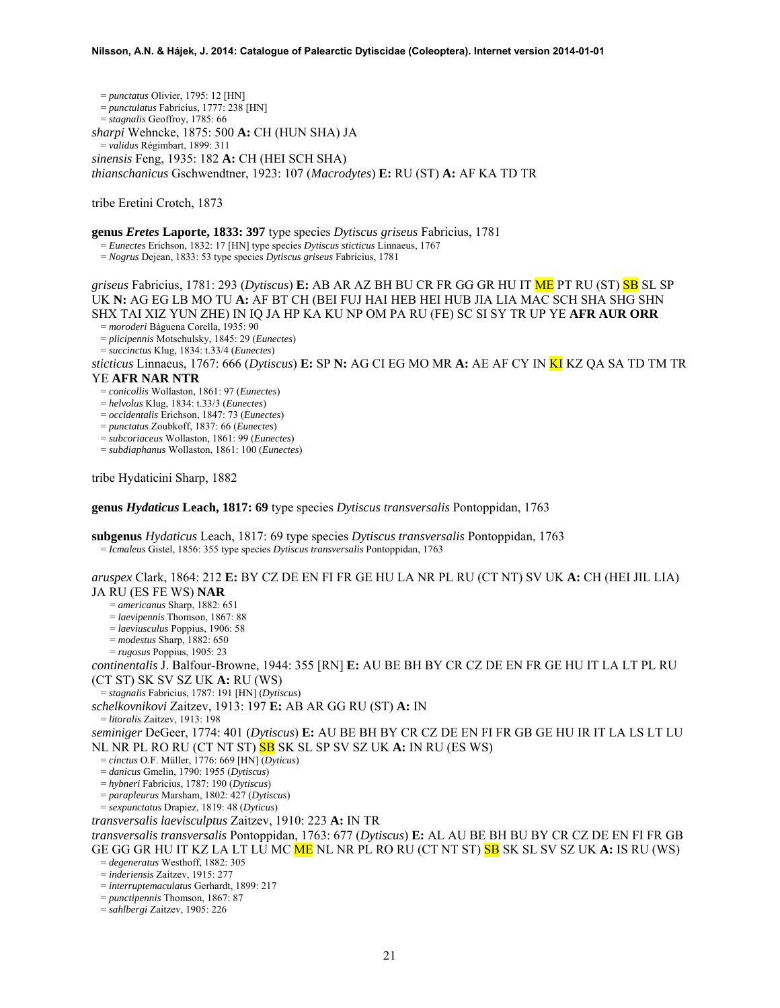= *punctatus* Olivier, 1795: 12 [HN] = *punctulatus* Fabricius, 1777: 238 [HN] = *stagnalis* Geoffroy, 1785: 66 *sharpi* Wehncke, 1875: 500 **A:** CH (HUN SHA) JA = *validus* Régimbart, 1899: 311 *sinensis* Feng, 1935: 182 **A:** CH (HEI SCH SHA) *thianschanicus* Gschwendtner, 1923: 107 (*Macrodytes*) **E:** RU (ST) **A:** AF KA TD TR

tribe Eretini Crotch, 1873

**genus** *Eretes* **Laporte, 1833: 397** type species *Dytiscus griseus* Fabricius, 1781 = *Eunectes* Erichson, 1832: 17 [HN] type species *Dytiscus sticticus* Linnaeus, 1767

= *Nogrus* Dejean, 1833: 53 type species *Dytiscus griseus* Fabricius, 1781

*griseus* Fabricius, 1781: 293 (*Dytiscus*) **E:** AB AR AZ BH BU CR FR GG GR HU IT ME PT RU (ST) SB SL SP UK **N:** AG EG LB MO TU **A:** AF BT CH (BEI FUJ HAI HEB HEI HUB JIA LIA MAC SCH SHA SHG SHN SHX TAI XIZ YUN ZHE) IN IQ JA HP KA KU NP OM PA RU (FE) SC SI SY TR UP YE **AFR AUR ORR** = *moroderi* Báguena Corella, 1935: 90

- = *plicipennis* Motschulsky, 1845: 29 (*Eunectes*)
- = *succinctus* Klug, 1834: t.33/4 (*Eunectes*)

*sticticus* Linnaeus, 1767: 666 (*Dytiscus*) **E:** SP **N:** AG CI EG MO MR **A:** AE AF CY IN KI KZ QA SA TD TM TR YE **AFR NAR NTR**

= *conicollis* Wollaston, 1861: 97 (*Eunectes*)

= *helvolus* Klug, 1834: t.33/3 (*Eunectes*)

= *occidentalis* Erichson, 1847: 73 (*Eunectes*)

= *punctatus* Zoubkoff, 1837: 66 (*Eunectes*)

= *subcoriaceus* Wollaston, 1861: 99 (*Eunectes*) = *subdiaphanus* Wollaston, 1861: 100 (*Eunectes*)

tribe Hydaticini Sharp, 1882

**genus** *Hydaticus* **Leach, 1817: 69** type species *Dytiscus transversalis* Pontoppidan, 1763

**subgenus** *Hydaticus* Leach, 1817: 69 type species *Dytiscus transversalis* Pontoppidan, 1763 = *Icmaleus* Gistel, 1856: 355 type species *Dytiscus transversalis* Pontoppidan, 1763

*aruspex* Clark, 1864: 212 **E:** BY CZ DE EN FI FR GE HU LA NR PL RU (CT NT) SV UK **A:** CH (HEI JIL LIA) JA RU (ES FE WS) **NAR**

= *americanus* Sharp, 1882: 651

= *laevipennis* Thomson, 1867: 88

= *laeviusculus* Poppius, 1906: 58

= *modestus* Sharp, 1882: 650

= *rugosus* Poppius, 1905: 23

*continentalis* J. Balfour-Browne, 1944: 355 [RN] **E:** AU BE BH BY CR CZ DE EN FR GE HU IT LA LT PL RU (CT ST) SK SV SZ UK **A:** RU (WS) = *stagnalis* Fabricius, 1787: 191 [HN] (*Dytiscus*)

*schelkovnikovi* Zaitzev, 1913: 197 **E:** AB AR GG RU (ST) **A:** IN = *litoralis* Zaitzev, 1913: 198

*seminiger* DeGeer, 1774: 401 (*Dytiscus*) **E:** AU BE BH BY CR CZ DE EN FI FR GB GE HU IR IT LA LS LT LU NL NR PL RO RU (CT NT ST) SB SK SL SP SV SZ UK **A:** IN RU (ES WS) = *cinctus* O.F. Müller, 1776: 669 [HN] (*Dyticus*)

= *danicus* Gmelin, 1790: 1955 (*Dytiscus*)

= *hybneri* Fabricius, 1787: 190 (*Dytiscus*)

= *parapleurus* Marsham, 1802: 427 (*Dytiscus*)

= *sexpunctatus* Drapiez, 1819: 48 (*Dyticus*)

*transversalis laevisculptus* Zaitzev, 1910: 223 **A:** IN TR

*transversalis transversalis* Pontoppidan, 1763: 677 (*Dytiscus*) **E:** AL AU BE BH BU BY CR CZ DE EN FI FR GB

GE GG GR HU IT KZ LA LT LU MC ME NL NR PL RO RU (CT NT ST) SB SK SL SV SZ UK **A:** IS RU (WS) = *degeneratus* Westhoff, 1882: 305

= *inderiensis* Zaitzev, 1915: 277

= *interruptemaculatus* Gerhardt, 1899: 217 = *punctipennis* Thomson, 1867: 87

= *sahlbergi* Zaitzev, 1905: 226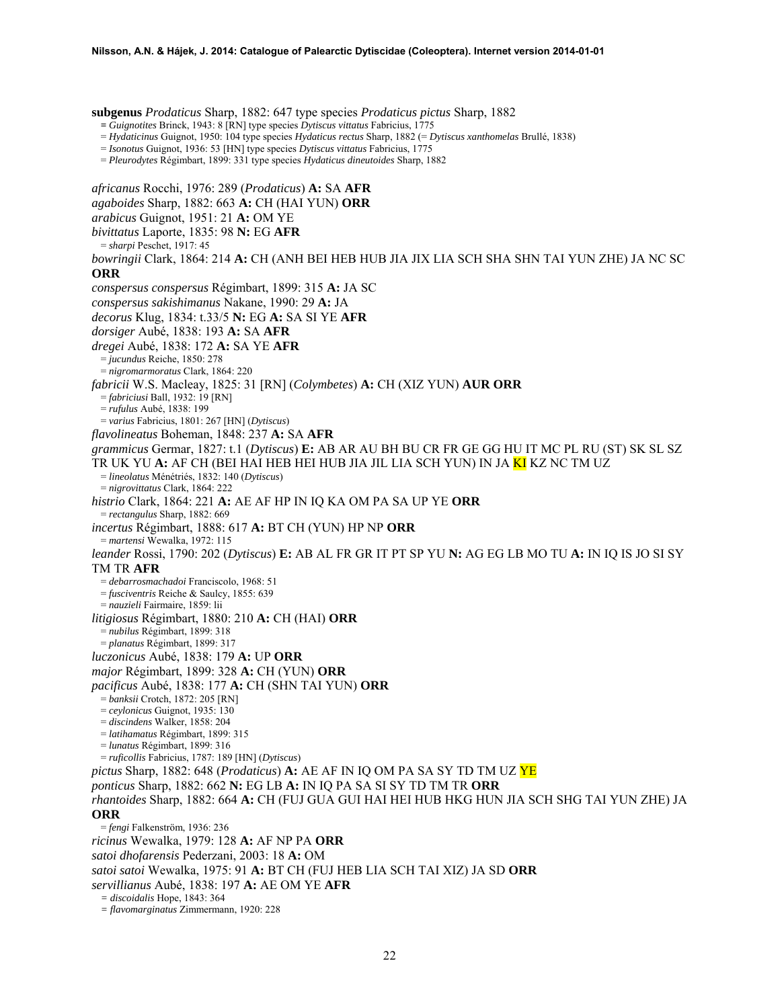**subgenus** *Prodaticus* Sharp, 1882: 647 type species *Prodaticus pictus* Sharp, 1882

**=** *Guignotites* Brinck, 1943: 8 [RN] type species *Dytiscus vittatus* Fabricius, 1775

- = *Hydaticinus* Guignot, 1950: 104 type species *Hydaticus rectus* Sharp, 1882 (= *Dytiscus xanthomelas* Brullé, 1838)
- = *Isonotus* Guignot, 1936: 53 [HN] type species *Dytiscus vittatus* Fabricius, 1775
- = *Pleurodytes* Régimbart, 1899: 331 type species *Hydaticus dineutoides* Sharp, 1882

*africanus* Rocchi, 1976: 289 (*Prodaticus*) **A:** SA **AFR** *agaboides* Sharp, 1882: 663 **A:** CH (HAI YUN) **ORR**  *arabicus* Guignot, 1951: 21 **A:** OM YE *bivittatus* Laporte, 1835: 98 **N:** EG **AFR** = *sharpi* Peschet, 1917: 45 *bowringii* Clark, 1864: 214 **A:** CH (ANH BEI HEB HUB JIA JIX LIA SCH SHA SHN TAI YUN ZHE) JA NC SC **ORR** *conspersus conspersus* Régimbart, 1899: 315 **A:** JA SC *conspersus sakishimanus* Nakane, 1990: 29 **A:** JA *decorus* Klug, 1834: t.33/5 **N:** EG **A:** SA SI YE **AFR** *dorsiger* Aubé, 1838: 193 **A:** SA **AFR** *dregei* Aubé, 1838: 172 **A:** SA YE **AFR** = *jucundus* Reiche, 1850: 278 = *nigromarmoratus* Clark, 1864: 220 *fabricii* W.S. Macleay, 1825: 31 [RN] (*Colymbetes*) **A:** CH (XIZ YUN) **AUR ORR** = *fabriciusi* Ball, 1932: 19 [RN] = *rufulus* Aubé, 1838: 199 = *varius* Fabricius, 1801: 267 [HN] (*Dytiscus*) *flavolineatus* Boheman, 1848: 237 **A:** SA **AFR** *grammicus* Germar, 1827: t.1 (*Dytiscus*) **E:** AB AR AU BH BU CR FR GE GG HU IT MC PL RU (ST) SK SL SZ TR UK YU **A:** AF CH (BEI HAI HEB HEI HUB JIA JIL LIA SCH YUN) IN JA KI KZ NC TM UZ = *lineolatus* Ménétriés, 1832: 140 (*Dytiscus*) = *nigrovittatus* Clark, 1864: 222 *histrio* Clark, 1864: 221 **A:** AE AF HP IN IQ KA OM PA SA UP YE **ORR** = *rectangulus* Sharp, 1882: 669 *incertus* Régimbart, 1888: 617 **A:** BT CH (YUN) HP NP **ORR** = *martensi* Wewalka, 1972: 115 *leander* Rossi, 1790: 202 (*Dytiscus*) **E:** AB AL FR GR IT PT SP YU **N:** AG EG LB MO TU **A:** IN IQ IS JO SI SY TM TR **AFR** = *debarrosmachadoi* Franciscolo, 1968: 51 = *fusciventris* Reiche & Saulcy, 1855: 639 = *nauzieli* Fairmaire, 1859: lii *litigiosus* Régimbart, 1880: 210 **A:** CH (HAI) **ORR** = *nubilus* Régimbart, 1899: 318 = *planatus* Régimbart, 1899: 317 *luczonicus* Aubé, 1838: 179 **A:** UP **ORR** *major* Régimbart, 1899: 328 **A:** CH (YUN) **ORR** *pacificus* Aubé, 1838: 177 **A:** CH (SHN TAI YUN) **ORR** = *banksii* Crotch, 1872: 205 [RN] = *ceylonicus* Guignot, 1935: 130 = *discindens* Walker, 1858: 204 = *latihamatus* Régimbart, 1899: 315 = *lunatus* Régimbart, 1899: 316 = *ruficollis* Fabricius, 1787: 189 [HN] (*Dytiscus*) *pictus* Sharp, 1882: 648 (*Prodaticus*) **A:** AE AF IN IQ OM PA SA SY TD TM UZ YE *ponticus* Sharp, 1882: 662 **N:** EG LB **A:** IN IQ PA SA SI SY TD TM TR **ORR** *rhantoides* Sharp, 1882: 664 **A:** CH (FUJ GUA GUI HAI HEI HUB HKG HUN JIA SCH SHG TAI YUN ZHE) JA **ORR** = *fengi* Falkenström, 1936: 236 *ricinus* Wewalka, 1979: 128 **A:** AF NP PA **ORR** *satoi dhofarensis* Pederzani, 2003: 18 **A:** OM *satoi satoi* Wewalka, 1975: 91 **A:** BT CH (FUJ HEB LIA SCH TAI XIZ) JA SD **ORR**  *servillianus* Aubé, 1838: 197 **A:** AE OM YE **AFR** *= discoidalis* Hope, 1843: 364 *= flavomarginatus* Zimmermann, 1920: 228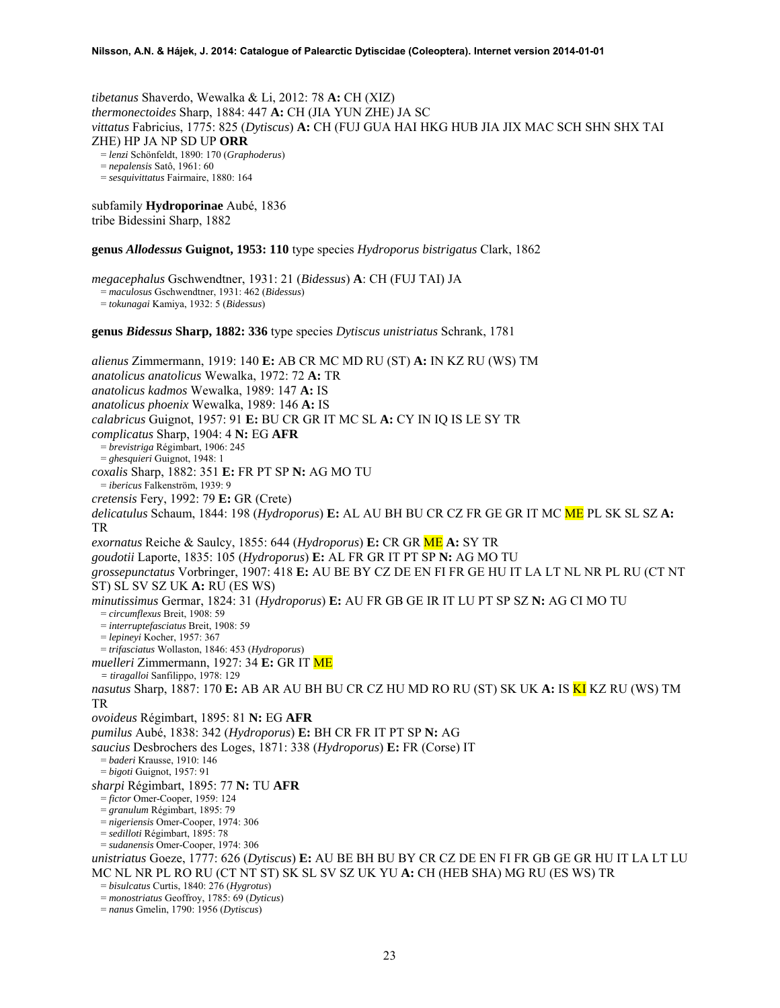*tibetanus* Shaverdo, Wewalka & Li, 2012: 78 **A:** CH (XIZ) *thermonectoides* Sharp, 1884: 447 **A:** CH (JIA YUN ZHE) JA SC *vittatus* Fabricius, 1775: 825 (*Dytiscus*) **A:** CH (FUJ GUA HAI HKG HUB JIA JIX MAC SCH SHN SHX TAI ZHE) HP JA NP SD UP **ORR** = *lenzi* Schönfeldt, 1890: 170 (*Graphoderus*) = *nepalensis* Satô, 1961: 60 = *sesquivittatus* Fairmaire, 1880: 164

subfamily **Hydroporinae** Aubé, 1836 tribe Bidessini Sharp, 1882

**genus** *Allodessus* **Guignot, 1953: 110** type species *Hydroporus bistrigatus* Clark, 1862

*megacephalus* Gschwendtner, 1931: 21 (*Bidessus*) **A**: CH (FUJ TAI) JA = *maculosus* Gschwendtner, 1931: 462 (*Bidessus*)

= *tokunagai* Kamiya, 1932: 5 (*Bidessus*)

**genus** *Bidessus* **Sharp, 1882: 336** type species *Dytiscus unistriatus* Schrank, 1781

*alienus* Zimmermann, 1919: 140 **E:** AB CR MC MD RU (ST) **A:** IN KZ RU (WS) TM *anatolicus anatolicus* Wewalka, 1972: 72 **A:** TR *anatolicus kadmos* Wewalka, 1989: 147 **A:** IS *anatolicus phoenix* Wewalka, 1989: 146 **A:** IS *calabricus* Guignot, 1957: 91 **E:** BU CR GR IT MC SL **A:** CY IN IQ IS LE SY TR *complicatus* Sharp, 1904: 4 **N:** EG **AFR** = *brevistriga* Régimbart, 1906: 245 = *ghesquieri* Guignot, 1948: 1 *coxalis* Sharp, 1882: 351 **E:** FR PT SP **N:** AG MO TU = *ibericus* Falkenström, 1939: 9 *cretensis* Fery, 1992: 79 **E:** GR (Crete) *delicatulus* Schaum, 1844: 198 (*Hydroporus*) **E:** AL AU BH BU CR CZ FR GE GR IT MC ME PL SK SL SZ **A:**  TR *exornatus* Reiche & Saulcy, 1855: 644 (*Hydroporus*) **E:** CR GR ME **A:** SY TR *goudotii* Laporte, 1835: 105 (*Hydroporus*) **E:** AL FR GR IT PT SP **N:** AG MO TU *grossepunctatus* Vorbringer, 1907: 418 **E:** AU BE BY CZ DE EN FI FR GE HU IT LA LT NL NR PL RU (CT NT ST) SL SV SZ UK **A:** RU (ES WS) *minutissimus* Germar, 1824: 31 (*Hydroporus*) **E:** AU FR GB GE IR IT LU PT SP SZ **N:** AG CI MO TU = *circumflexus* Breit, 1908: 59 = *interruptefasciatus* Breit, 1908: 59 = *lepineyi* Kocher, 1957: 367 = *trifasciatus* Wollaston, 1846: 453 (*Hydroporus*) *muelleri* Zimmermann, 1927: 34 **E:** GR IT ME *= tiragalloi* Sanfilippo, 1978: 129 nasutus Sharp, 1887: 170 E: AB AR AU BH BU CR CZ HU MD RO RU (ST) SK UK A: IS KI KZ RU (WS) TM TR *ovoideus* Régimbart, 1895: 81 **N:** EG **AFR** *pumilus* Aubé, 1838: 342 (*Hydroporus*) **E:** BH CR FR IT PT SP **N:** AG *saucius* Desbrochers des Loges, 1871: 338 (*Hydroporus*) **E:** FR (Corse) IT = *baderi* Krausse, 1910: 146 = *bigoti* Guignot, 1957: 91 *sharpi* Régimbart, 1895: 77 **N:** TU **AFR** = *fictor* Omer-Cooper, 1959: 124 = *granulum* Régimbart, 1895: 79 = *nigeriensis* Omer-Cooper, 1974: 306 = *sedilloti* Régimbart, 1895: 78 = *sudanensis* Omer-Cooper, 1974: 306 *unistriatus* Goeze, 1777: 626 (*Dytiscus*) **E:** AU BE BH BU BY CR CZ DE EN FI FR GB GE GR HU IT LA LT LU MC NL NR PL RO RU (CT NT ST) SK SL SV SZ UK YU **A:** CH (HEB SHA) MG RU (ES WS) TR = *bisulcatus* Curtis, 1840: 276 (*Hygrotus*) = *monostriatus* Geoffroy, 1785: 69 (*Dyticus*)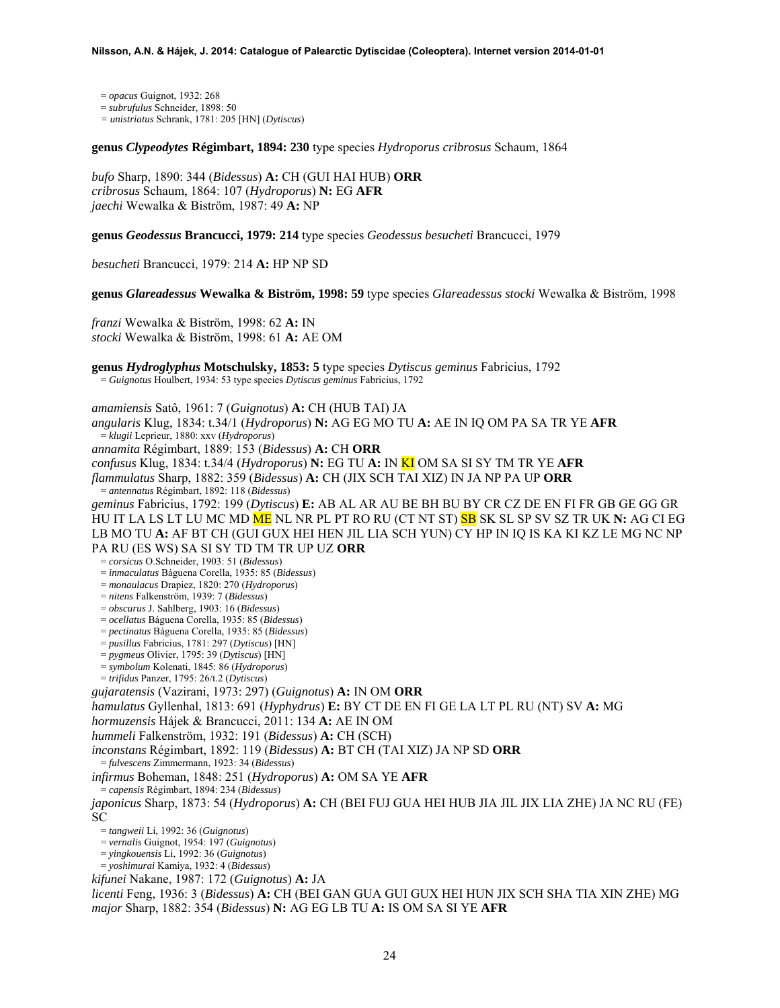= *opacus* Guignot, 1932: 268

= *subrufulus* Schneider, 1898: 50

*= unistriatus* Schrank, 1781: 205 [HN] (*Dytiscus*)

**genus** *Clypeodytes* **Régimbart, 1894: 230** type species *Hydroporus cribrosus* Schaum, 1864

*bufo* Sharp, 1890: 344 (*Bidessus*) **A:** CH (GUI HAI HUB) **ORR**  *cribrosus* Schaum, 1864: 107 (*Hydroporus*) **N:** EG **AFR**  *jaechi* Wewalka & Biström, 1987: 49 **A:** NP

**genus** *Geodessus* **Brancucci, 1979: 214** type species *Geodessus besucheti* Brancucci, 1979

*besucheti* Brancucci, 1979: 214 **A:** HP NP SD

**genus** *Glareadessus* **Wewalka & Biström, 1998: 59** type species *Glareadessus stocki* Wewalka & Biström, 1998

*franzi* Wewalka & Biström, 1998: 62 **A:** IN *stocki* Wewalka & Biström, 1998: 61 **A:** AE OM

**genus** *Hydroglyphus* **Motschulsky, 1853: 5** type species *Dytiscus geminus* Fabricius, 1792 = *Guignotus* Houlbert, 1934: 53 type species *Dytiscus geminus* Fabricius, 1792

*amamiensis* Satô, 1961: 7 (*Guignotus*) **A:** CH (HUB TAI) JA

*angularis* Klug, 1834: t.34/1 (*Hydroporus*) **N:** AG EG MO TU **A:** AE IN IQ OM PA SA TR YE **AFR** = *klugii* Leprieur, 1880: xxv (*Hydroporus*)

*annamita* Régimbart, 1889: 153 (*Bidessus*) **A:** CH **ORR** 

*confusus* Klug, 1834: t.34/4 (*Hydroporus*) **N:** EG TU **A:** IN KI OM SA SI SY TM TR YE **AFR** 

*flammulatus* Sharp, 1882: 359 (*Bidessus*) **A:** CH (JIX SCH TAI XIZ) IN JA NP PA UP **ORR** = *antennatus* Régimbart, 1892: 118 (*Bidessus*)

*geminus* Fabricius, 1792: 199 (*Dytiscus*) **E:** AB AL AR AU BE BH BU BY CR CZ DE EN FI FR GB GE GG GR HU IT LA LS LT LU MC MD ME NL NR PL PT RO RU (CT NT ST) SB SK SL SP SV SZ TR UK **N:** AG CI EG LB MO TU **A:** AF BT CH (GUI GUX HEI HEN JIL LIA SCH YUN) CY HP IN IQ IS KA KI KZ LE MG NC NP PA RU (ES WS) SA SI SY TD TM TR UP UZ **ORR** 

= *corsicus* O.Schneider, 1903: 51 (*Bidessus*)

= *inmaculatus* Báguena Corella, 1935: 85 (*Bidessus*)

= *monaulacus* Drapiez, 1820: 270 (*Hydroporus*) = *nitens* Falkenström, 1939: 7 (*Bidessus*)

= *obscurus* J. Sahlberg, 1903: 16 (*Bidessus*)

= *ocellatus* Báguena Corella, 1935: 85 (*Bidessus*)

= *pectinatus* Báguena Corella, 1935: 85 (*Bidessus*)

= *pusillus* Fabricius, 1781: 297 (*Dytiscus*) [HN]

= *pygmeus* Olivier, 1795: 39 (*Dytiscus*) [HN]

= *symbolum* Kolenati, 1845: 86 (*Hydroporus*)

= *trifidus* Panzer, 1795: 26/t.2 (*Dytiscus*)

*gujaratensis* (Vazirani, 1973: 297) (*Guignotus*) **A:** IN OM **ORR**

*hamulatus* Gyllenhal, 1813: 691 (*Hyphydrus*) **E:** BY CT DE EN FI GE LA LT PL RU (NT) SV **A:** MG

*hormuzensis* Hájek & Brancucci, 2011: 134 **A:** AE IN OM

*hummeli* Falkenström, 1932: 191 (*Bidessus*) **A:** CH (SCH)

*inconstans* Régimbart, 1892: 119 (*Bidessus*) **A:** BT CH (TAI XIZ) JA NP SD **ORR** 

= *fulvescens* Zimmermann, 1923: 34 (*Bidessus*)

*infirmus* Boheman, 1848: 251 (*Hydroporus*) **A:** OM SA YE **AFR** 

= *capensis* Régimbart, 1894: 234 (*Bidessus*)

*japonicus* Sharp, 1873: 54 (*Hydroporus*) **A:** CH (BEI FUJ GUA HEI HUB JIA JIL JIX LIA ZHE) JA NC RU (FE) SC

= *tangweii* Li, 1992: 36 (*Guignotus*)

= *vernalis* Guignot, 1954: 197 (*Guignotus*)

= *yingkouensis* Li, 1992: 36 (*Guignotus*)

= *yoshimurai* Kamiya, 1932: 4 (*Bidessus*)

*kifunei* Nakane, 1987: 172 (*Guignotus*) **A:** JA

*licenti* Feng, 1936: 3 (*Bidessus*) **A:** CH (BEI GAN GUA GUI GUX HEI HUN JIX SCH SHA TIA XIN ZHE) MG *major* Sharp, 1882: 354 (*Bidessus*) **N:** AG EG LB TU **A:** IS OM SA SI YE **AFR**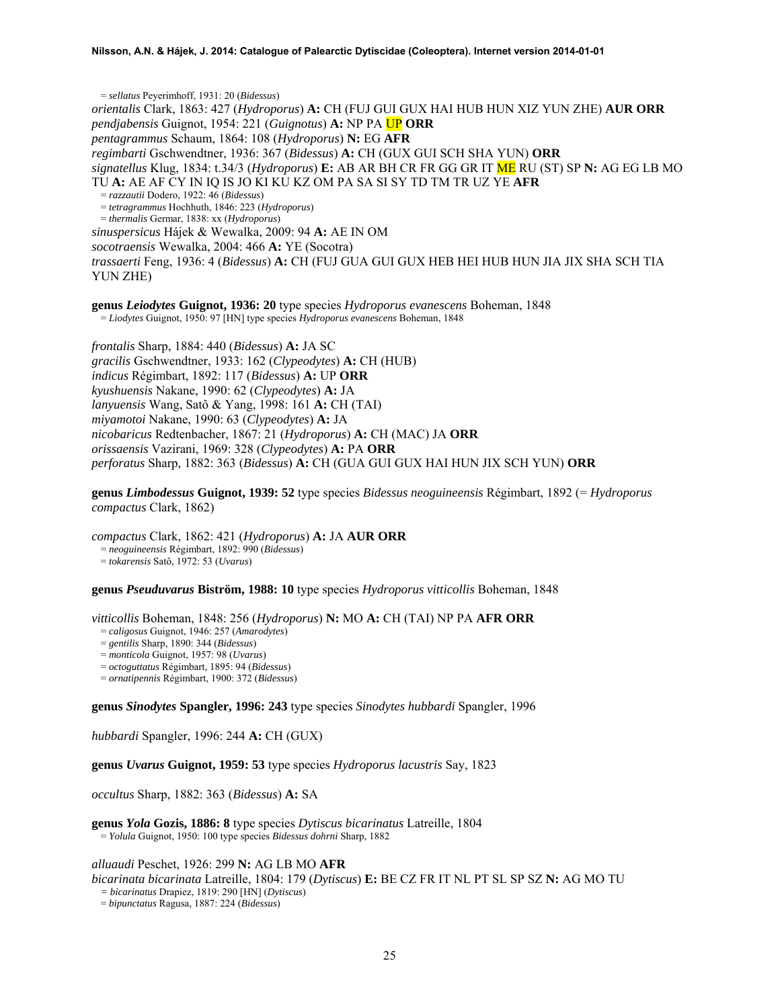= *sellatus* Peyerimhoff, 1931: 20 (*Bidessus*) *orientalis* Clark, 1863: 427 (*Hydroporus*) **A:** CH (FUJ GUI GUX HAI HUB HUN XIZ YUN ZHE) **AUR ORR**  *pendjabensis* Guignot, 1954: 221 (*Guignotus*) **A:** NP PA UP **ORR**  *pentagrammus* Schaum, 1864: 108 (*Hydroporus*) **N:** EG **AFR**  *regimbarti* Gschwendtner, 1936: 367 (*Bidessus*) **A:** CH (GUX GUI SCH SHA YUN) **ORR**  *signatellus* Klug, 1834: t.34/3 (*Hydroporus*) **E:** AB AR BH CR FR GG GR IT ME RU (ST) SP **N:** AG EG LB MO TU **A:** AE AF CY IN IQ IS JO KI KU KZ OM PA SA SI SY TD TM TR UZ YE **AFR** = *razzautii* Dodero, 1922: 46 (*Bidessus*) = *tetragrammus* Hochhuth, 1846: 223 (*Hydroporus*) = *thermalis* Germar, 1838: xx (*Hydroporus*) *sinuspersicus* Hájek & Wewalka, 2009: 94 **A:** AE IN OM *socotraensis* Wewalka, 2004: 466 **A:** YE (Socotra) *trassaerti* Feng, 1936: 4 (*Bidessus*) **A:** CH (FUJ GUA GUI GUX HEB HEI HUB HUN JIA JIX SHA SCH TIA

**genus** *Leiodytes* **Guignot, 1936: 20** type species *Hydroporus evanescens* Boheman, 1848 = *Liodytes* Guignot, 1950: 97 [HN] type species *Hydroporus evanescens* Boheman, 1848

*frontalis* Sharp, 1884: 440 (*Bidessus*) **A:** JA SC *gracilis* Gschwendtner, 1933: 162 (*Clypeodytes*) **A:** CH (HUB) *indicus* Régimbart, 1892: 117 (*Bidessus*) **A:** UP **ORR**  *kyushuensis* Nakane, 1990: 62 (*Clypeodytes*) **A:** JA *lanyuensis* Wang, Satô & Yang, 1998: 161 **A:** CH (TAI) *miyamotoi* Nakane, 1990: 63 (*Clypeodytes*) **A:** JA *nicobaricus* Redtenbacher, 1867: 21 (*Hydroporus*) **A:** CH (MAC) JA **ORR**  *orissaensis* Vazirani, 1969: 328 (*Clypeodytes*) **A:** PA **ORR**  *perforatus* Sharp, 1882: 363 (*Bidessus*) **A:** CH (GUA GUI GUX HAI HUN JIX SCH YUN) **ORR** 

**genus** *Limbodessus* **Guignot, 1939: 52** type species *Bidessus neoguineensis* Régimbart, 1892 (= *Hydroporus compactus* Clark, 1862)

*compactus* Clark, 1862: 421 (*Hydroporus*) **A:** JA **AUR ORR** = *neoguineensis* Régimbart, 1892: 990 (*Bidessus*) = *tokarensis* Satô, 1972: 53 (*Uvarus*)

**genus** *Pseuduvarus* **Biström, 1988: 10** type species *Hydroporus vitticollis* Boheman, 1848

*vitticollis* Boheman, 1848: 256 (*Hydroporus*) **N:** MO **A:** CH (TAI) NP PA **AFR ORR** 

= *caligosus* Guignot, 1946: 257 (*Amarodytes*)

= *gentilis* Sharp, 1890: 344 (*Bidessus*)

YUN ZHE)

= *monticola* Guignot, 1957: 98 (*Uvarus*)

= *octoguttatus* Régimbart, 1895: 94 (*Bidessus*)

= *ornatipennis* Régimbart, 1900: 372 (*Bidessus*)

**genus** *Sinodytes* **Spangler, 1996: 243** type species *Sinodytes hubbardi* Spangler, 1996

*hubbardi* Spangler, 1996: 244 **A:** CH (GUX)

**genus** *Uvarus* **Guignot, 1959: 53** type species *Hydroporus lacustris* Say, 1823

*occultus* Sharp, 1882: 363 (*Bidessus*) **A:** SA

**genus** *Yola* **Gozis, 1886: 8** type species *Dytiscus bicarinatus* Latreille, 1804 = *Yolula* Guignot, 1950: 100 type species *Bidessus dohrni* Sharp, 1882

*alluaudi* Peschet, 1926: 299 **N:** AG LB MO **AFR** 

*bicarinata bicarinata* Latreille, 1804: 179 (*Dytiscus*) **E:** BE CZ FR IT NL PT SL SP SZ **N:** AG MO TU

*= bicarinatus* Drapiez, 1819: 290 [HN] (*Dytiscus*)

= *bipunctatus* Ragusa, 1887: 224 (*Bidessus*)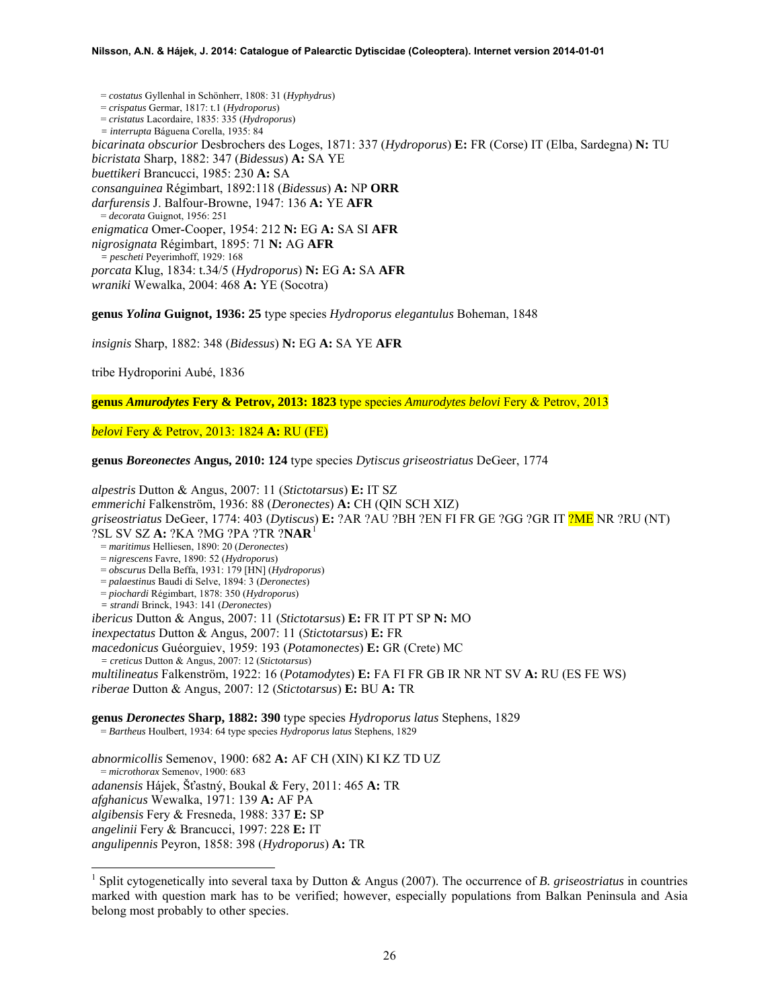<span id="page-25-0"></span>= *costatus* Gyllenhal in Schönherr, 1808: 31 (*Hyphydrus*) = *crispatus* Germar, 1817: t.1 (*Hydroporus*) = *cristatus* Lacordaire, 1835: 335 (*Hydroporus*) *= interrupta* Báguena Corella, 1935: 84 *bicarinata obscurior* Desbrochers des Loges, 1871: 337 (*Hydroporus*) **E:** FR (Corse) IT (Elba, Sardegna) **N:** TU *bicristata* Sharp, 1882: 347 (*Bidessus*) **A:** SA YE *buettikeri* Brancucci, 1985: 230 **A:** SA *consanguinea* Régimbart, 1892:118 (*Bidessus*) **A:** NP **ORR** *darfurensis* J. Balfour-Browne, 1947: 136 **A:** YE **AFR** = *decorata* Guignot, 1956: 251 *enigmatica* Omer-Cooper, 1954: 212 **N:** EG **A:** SA SI **AFR**  *nigrosignata* Régimbart, 1895: 71 **N:** AG **AFR**  *= pescheti* Peyerimhoff, 1929: 168 *porcata* Klug, 1834: t.34/5 (*Hydroporus*) **N:** EG **A:** SA **AFR**  *wraniki* Wewalka, 2004: 468 **A:** YE (Socotra)

**genus** *Yolina* **Guignot, 1936: 25** type species *Hydroporus elegantulus* Boheman, 1848

*insignis* Sharp, 1882: 348 (*Bidessus*) **N:** EG **A:** SA YE **AFR** 

tribe Hydroporini Aubé, 1836

-

**genus** *Amurodytes* **Fery & Petrov, 2013: 1823** type species *Amurodytes belovi* Fery & Petrov, 2013

*belovi* Fery & Petrov, 2013: 1824 **A:** RU (FE)

**genus** *Boreonectes* **Angus, 2010: 124** type species *Dytiscus griseostriatus* DeGeer, 1774

*alpestris* Dutton & Angus, 2007: 11 (*Stictotarsus*) **E:** IT SZ *emmerichi* Falkenström, 1936: 88 (*Deronectes*) **A:** CH (QIN SCH XIZ) *griseostriatus* DeGeer, 1774: 403 (*Dytiscus*) **E:** ?AR ?AU ?BH ?EN FI FR GE ?GG ?GR IT ?ME NR ?RU (NT) ?SL SV SZ **A:** ?KA ?MG ?PA ?TR ?**NAR**[1](#page-25-0) = *maritimus* Helliesen, 1890: 20 (*Deronectes*) = *nigrescens* Favre, 1890: 52 (*Hydroporus*) = *obscurus* Della Beffa, 1931: 179 [HN] (*Hydroporus*) = *palaestinus* Baudi di Selve, 1894: 3 (*Deronectes*) = *piochardi* Régimbart, 1878: 350 (*Hydroporus*) *= strandi* Brinck, 1943: 141 (*Deronectes*) *ibericus* Dutton & Angus, 2007: 11 (*Stictotarsus*) **E:** FR IT PT SP **N:** MO *inexpectatus* Dutton & Angus, 2007: 11 (*Stictotarsus*) **E:** FR *macedonicus* Guéorguiev, 1959: 193 (*Potamonectes*) **E:** GR (Crete) MC *= creticus* Dutton & Angus, 2007: 12 (*Stictotarsus*) *multilineatus* Falkenström, 1922: 16 (*Potamodytes*) **E:** FA FI FR GB IR NR NT SV **A:** RU (ES FE WS) *riberae* Dutton & Angus, 2007: 12 (*Stictotarsus*) **E:** BU **A:** TR **genus** *Deronectes* **Sharp, 1882: 390** type species *Hydroporus latus* Stephens, 1829 = *Bartheus* Houlbert, 1934: 64 type species *Hydroporus latus* Stephens, 1829

*abnormicollis* Semenov, 1900: 682 **A:** AF CH (XIN) KI KZ TD UZ = *microthorax* Semenov, 1900: 683 *adanensis* Hájek, Šťastný, Boukal & Fery, 2011: 465 **A:** TR *afghanicus* Wewalka, 1971: 139 **A:** AF PA *algibensis* Fery & Fresneda, 1988: 337 **E:** SP *angelinii* Fery & Brancucci, 1997: 228 **E:** IT *angulipennis* Peyron, 1858: 398 (*Hydroporus*) **A:** TR

<sup>1</sup> Split cytogenetically into several taxa by Dutton & Angus (2007). The occurrence of *B. griseostriatus* in countries marked with question mark has to be verified; however, especially populations from Balkan Peninsula and Asia belong most probably to other species.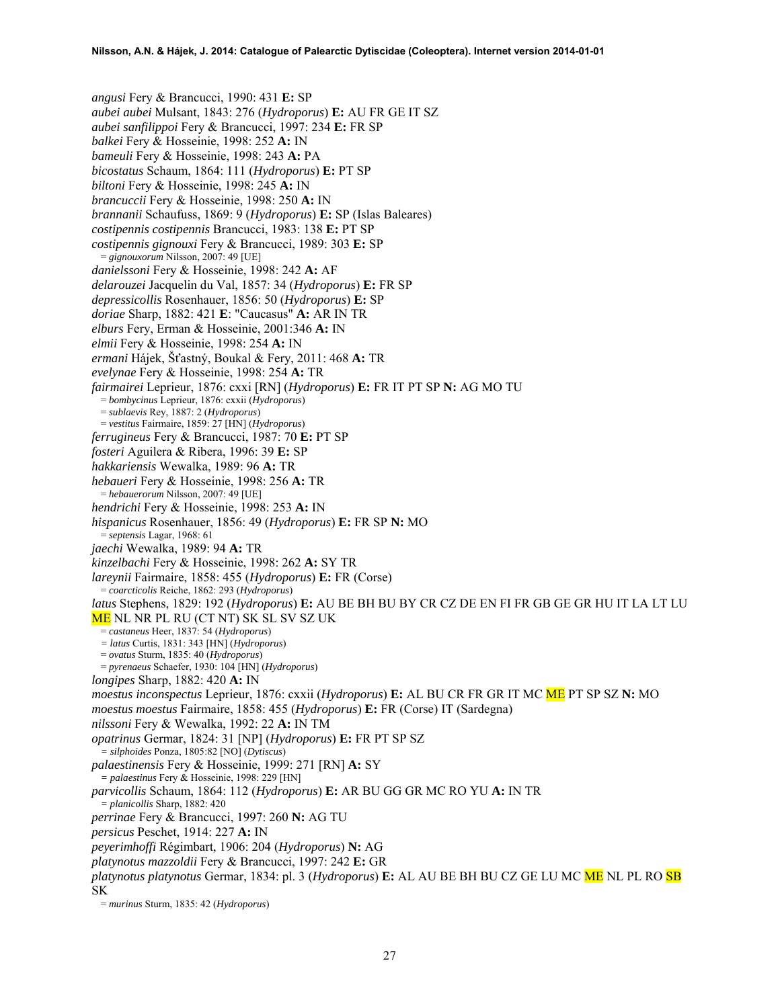*angusi* Fery & Brancucci, 1990: 431 **E:** SP *aubei aubei* Mulsant, 1843: 276 (*Hydroporus*) **E:** AU FR GE IT SZ *aubei sanfilippoi* Fery & Brancucci, 1997: 234 **E:** FR SP *balkei* Fery & Hosseinie, 1998: 252 **A:** IN *bameuli* Fery & Hosseinie, 1998: 243 **A:** PA *bicostatus* Schaum, 1864: 111 (*Hydroporus*) **E:** PT SP *biltoni* Fery & Hosseinie, 1998: 245 **A:** IN *brancuccii* Fery & Hosseinie, 1998: 250 **A:** IN *brannanii* Schaufuss, 1869: 9 (*Hydroporus*) **E:** SP (Islas Baleares) *costipennis costipennis* Brancucci, 1983: 138 **E:** PT SP *costipennis gignouxi* Fery & Brancucci, 1989: 303 **E:** SP = *gignouxorum* Nilsson, 2007: 49 [UE] *danielssoni* Fery & Hosseinie, 1998: 242 **A:** AF *delarouzei* Jacquelin du Val, 1857: 34 (*Hydroporus*) **E:** FR SP *depressicollis* Rosenhauer, 1856: 50 (*Hydroporus*) **E:** SP *doriae* Sharp, 1882: 421 **E**: "Caucasus" **A:** AR IN TR *elburs* Fery, Erman & Hosseinie, 2001:346 **A:** IN *elmii* Fery & Hosseinie, 1998: 254 **A:** IN *ermani* Hájek, Šťastný, Boukal & Fery, 2011: 468 **A:** TR *evelynae* Fery & Hosseinie, 1998: 254 **A:** TR *fairmairei* Leprieur, 1876: cxxi [RN] (*Hydroporus*) **E:** FR IT PT SP **N:** AG MO TU = *bombycinus* Leprieur, 1876: cxxii (*Hydroporus*) = *sublaevis* Rey, 1887: 2 (*Hydroporus*) = *vestitus* Fairmaire, 1859: 27 [HN] (*Hydroporus*) *ferrugineus* Fery & Brancucci, 1987: 70 **E:** PT SP *fosteri* Aguilera & Ribera, 1996: 39 **E:** SP *hakkariensis* Wewalka, 1989: 96 **A:** TR *hebaueri* Fery & Hosseinie, 1998: 256 **A:** TR = *hebauerorum* Nilsson, 2007: 49 [UE] *hendrichi* Fery & Hosseinie, 1998: 253 **A:** IN *hispanicus* Rosenhauer, 1856: 49 (*Hydroporus*) **E:** FR SP **N:** MO = *septensis* Lagar, 1968: 61 *jaechi* Wewalka, 1989: 94 **A:** TR *kinzelbachi* Fery & Hosseinie, 1998: 262 **A:** SY TR *lareynii* Fairmaire, 1858: 455 (*Hydroporus*) **E:** FR (Corse) = *coarcticolis* Reiche, 1862: 293 (*Hydroporus*) *latus* Stephens, 1829: 192 (*Hydroporus*) **E:** AU BE BH BU BY CR CZ DE EN FI FR GB GE GR HU IT LA LT LU ME NL NR PL RU (CT NT) SK SL SV SZ UK = *castaneus* Heer, 1837: 54 (*Hydroporus*) *= latus* Curtis, 1831: 343 [HN] (*Hydroporus*) = *ovatus* Sturm, 1835: 40 (*Hydroporus*) = *pyrenaeus* Schaefer, 1930: 104 [HN] (*Hydroporus*) *longipes* Sharp, 1882: 420 **A:** IN *moestus inconspectus* Leprieur, 1876: cxxii (*Hydroporus*) **E:** AL BU CR FR GR IT MC ME PT SP SZ **N:** MO *moestus moestus* Fairmaire, 1858: 455 (*Hydroporus*) **E:** FR (Corse) IT (Sardegna) *nilssoni* Fery & Wewalka, 1992: 22 **A:** IN TM *opatrinus* Germar, 1824: 31 [NP] (*Hydroporus*) **E:** FR PT SP SZ *= silphoides* Ponza, 1805:82 [NO] (*Dytiscus*) *palaestinensis* Fery & Hosseinie, 1999: 271 [RN] **A:** SY *= palaestinus* Fery & Hosseinie, 1998: 229 [HN] *parvicollis* Schaum, 1864: 112 (*Hydroporus*) **E:** AR BU GG GR MC RO YU **A:** IN TR *= planicollis* Sharp, 1882: 420 *perrinae* Fery & Brancucci, 1997: 260 **N:** AG TU *persicus* Peschet, 1914: 227 **A:** IN *peyerimhoffi* Régimbart, 1906: 204 (*Hydroporus*) **N:** AG *platynotus mazzoldii* Fery & Brancucci, 1997: 242 **E:** GR *platynotus platynotus* Germar, 1834: pl. 3 (*Hydroporus*) **E:** AL AU BE BH BU CZ GE LU MC ME NL PL RO SB SK = *murinus* Sturm, 1835: 42 (*Hydroporus*)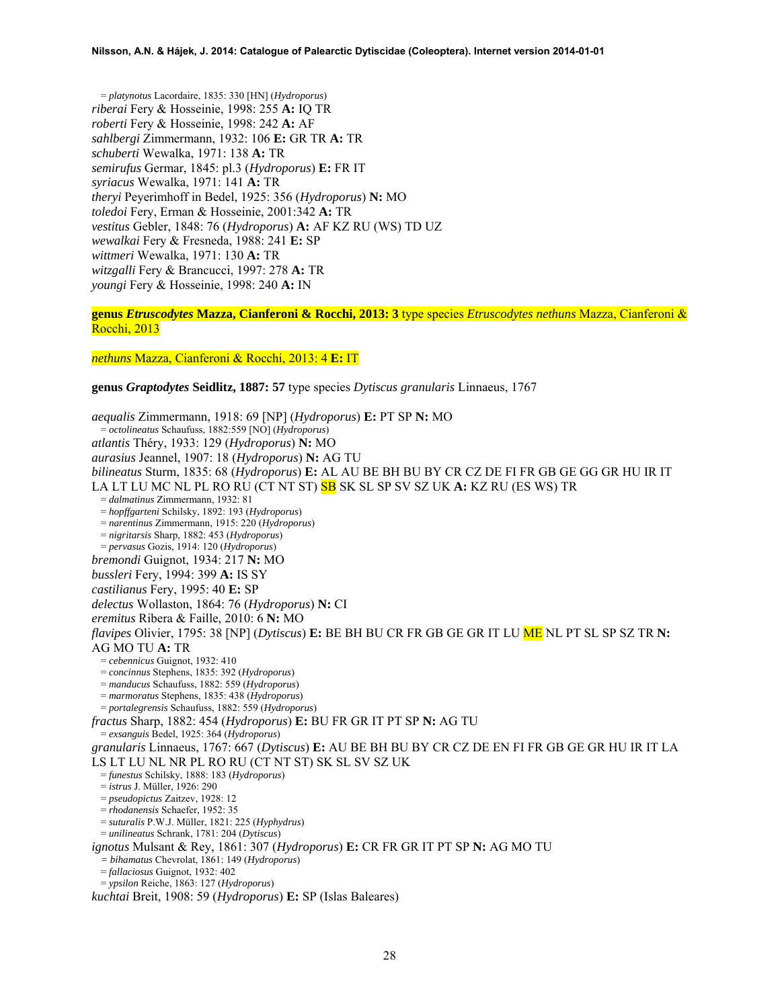= *platynotus* Lacordaire, 1835: 330 [HN] (*Hydroporus*) *riberai* Fery & Hosseinie, 1998: 255 **A:** IQ TR *roberti* Fery & Hosseinie, 1998: 242 **A:** AF *sahlbergi* Zimmermann, 1932: 106 **E:** GR TR **A:** TR *schuberti* Wewalka, 1971: 138 **A:** TR *semirufus* Germar, 1845: pl.3 (*Hydroporus*) **E:** FR IT *syriacus* Wewalka, 1971: 141 **A:** TR *theryi* Peyerimhoff in Bedel, 1925: 356 (*Hydroporus*) **N:** MO *toledoi* Fery, Erman & Hosseinie, 2001:342 **A:** TR *vestitus* Gebler, 1848: 76 (*Hydroporus*) **A:** AF KZ RU (WS) TD UZ *wewalkai* Fery & Fresneda, 1988: 241 **E:** SP *wittmeri* Wewalka, 1971: 130 **A:** TR *witzgalli* Fery & Brancucci, 1997: 278 **A:** TR *youngi* Fery & Hosseinie, 1998: 240 **A:** IN

# **genus** *Etruscodytes* **Mazza, Cianferoni & Rocchi, 2013: 3** type species *Etruscodytes nethuns* Mazza, Cianferoni & Rocchi, 2013

*nethuns* Mazza, Cianferoni & Rocchi, 2013: 4 **E:** IT

**genus** *Graptodytes* **Seidlitz, 1887: 57** type species *Dytiscus granularis* Linnaeus, 1767

*aequalis* Zimmermann, 1918: 69 [NP] (*Hydroporus*) **E:** PT SP **N:** MO = *octolineatus* Schaufuss, 1882:559 [NO] (*Hydroporus*) *atlantis* Théry, 1933: 129 (*Hydroporus*) **N:** MO *aurasius* Jeannel, 1907: 18 (*Hydroporus*) **N:** AG TU *bilineatus* Sturm, 1835: 68 (*Hydroporus*) **E:** AL AU BE BH BU BY CR CZ DE FI FR GB GE GG GR HU IR IT LA LT LU MC NL PL RO RU (CT NT ST) SB SK SL SP SV SZ UK **A:** KZ RU (ES WS) TR = *dalmatinus* Zimmermann, 1932: 81 = *hopffgarteni* Schilsky, 1892: 193 (*Hydroporus*) = *narentinus* Zimmermann, 1915: 220 (*Hydroporus*) = *nigritarsis* Sharp, 1882: 453 (*Hydroporus*) = *pervasus* Gozis, 1914: 120 (*Hydroporus*) *bremondi* Guignot, 1934: 217 **N:** MO *bussleri* Fery, 1994: 399 **A:** IS SY *castilianus* Fery, 1995: 40 **E:** SP *delectus* Wollaston, 1864: 76 (*Hydroporus*) **N:** CI *eremitus* Ribera & Faille, 2010: 6 **N:** MO *flavipes* Olivier, 1795: 38 [NP] (*Dytiscus*) **E:** BE BH BU CR FR GB GE GR IT LU ME NL PT SL SP SZ TR **N:**  AG MO TU **A:** TR = *cebennicus* Guignot, 1932: 410 = *concinnus* Stephens, 1835: 392 (*Hydroporus*) = *manducus* Schaufuss, 1882: 559 (*Hydroporus*) = *marmoratus* Stephens, 1835: 438 (*Hydroporus*) = *portalegrensis* Schaufuss, 1882: 559 (*Hydroporus*) *fractus* Sharp, 1882: 454 (*Hydroporus*) **E:** BU FR GR IT PT SP **N:** AG TU = *exsanguis* Bedel, 1925: 364 (*Hydroporus*) *granularis* Linnaeus, 1767: 667 (*Dytiscus*) **E:** AU BE BH BU BY CR CZ DE EN FI FR GB GE GR HU IR IT LA LS LT LU NL NR PL RO RU (CT NT ST) SK SL SV SZ UK = *funestus* Schilsky, 1888: 183 (*Hydroporus*) = *istrus* J. Müller, 1926: 290 = *pseudopictus* Zaitzev, 1928: 12 = *rhodanensis* Schaefer, 1952: 35 = *suturalis* P.W.J. Müller, 1821: 225 (*Hyphydrus*) = *unilineatus* Schrank, 1781: 204 (*Dytiscus*) *ignotus* Mulsant & Rey, 1861: 307 (*Hydroporus*) **E:** CR FR GR IT PT SP **N:** AG MO TU *= bihamatus* Chevrolat, 1861: 149 (*Hydroporus*) = *fallaciosus* Guignot, 1932: 402 = *ypsilon* Reiche, 1863: 127 (*Hydroporus*) *kuchtai* Breit, 1908: 59 (*Hydroporus*) **E:** SP (Islas Baleares)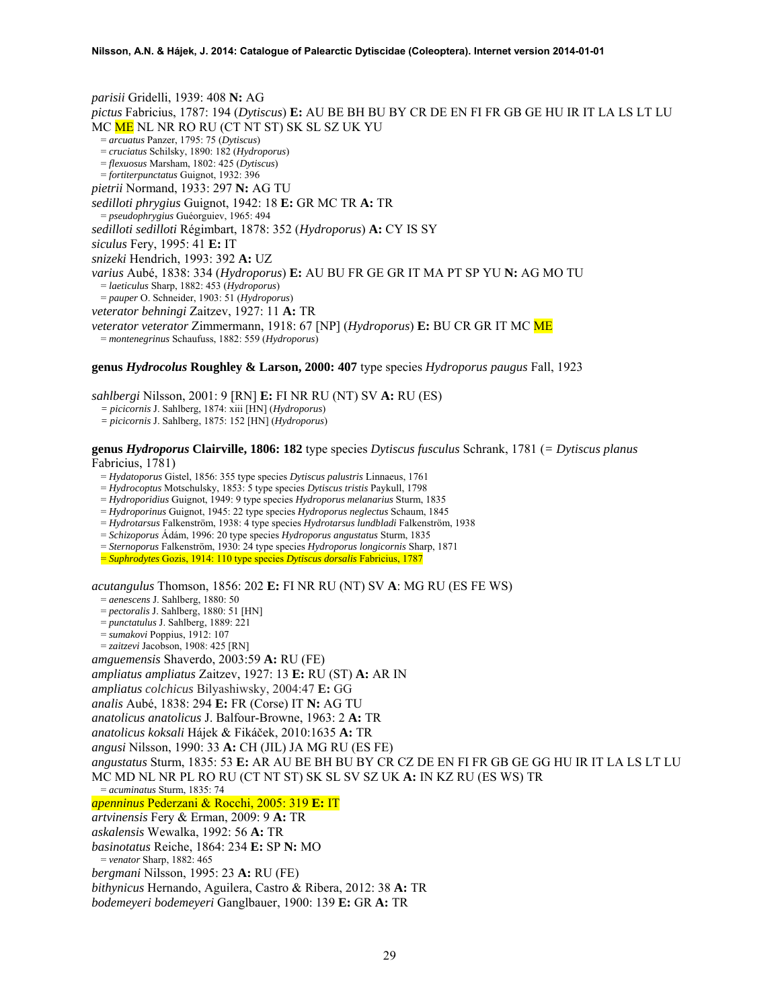*parisii* Gridelli, 1939: 408 **N:** AG *pictus* Fabricius, 1787: 194 (*Dytiscus*) **E:** AU BE BH BU BY CR DE EN FI FR GB GE HU IR IT LA LS LT LU MC ME NL NR RO RU (CT NT ST) SK SL SZ UK YU = *arcuatus* Panzer, 1795: 75 (*Dytiscus*) = *cruciatus* Schilsky, 1890: 182 (*Hydroporus*) = *flexuosus* Marsham, 1802: 425 (*Dytiscus*) = *fortiterpunctatus* Guignot, 1932: 396 *pietrii* Normand, 1933: 297 **N:** AG TU *sedilloti phrygius* Guignot, 1942: 18 **E:** GR MC TR **A:** TR = *pseudophrygius* Guéorguiev, 1965: 494 *sedilloti sedilloti* Régimbart, 1878: 352 (*Hydroporus*) **A:** CY IS SY *siculus* Fery, 1995: 41 **E:** IT *snizeki* Hendrich, 1993: 392 **A:** UZ *varius* Aubé, 1838: 334 (*Hydroporus*) **E:** AU BU FR GE GR IT MA PT SP YU **N:** AG MO TU = *laeticulus* Sharp, 1882: 453 (*Hydroporus*) = *pauper* O. Schneider, 1903: 51 (*Hydroporus*) *veterator behningi* Zaitzev, 1927: 11 **A:** TR *veterator veterator Zimmermann, 1918: 67* [NP] (*Hydroporus*) **E:** BU CR GR IT MC ME = *montenegrinus* Schaufuss, 1882: 559 (*Hydroporus*)

## **genus** *Hydrocolus* **Roughley & Larson, 2000: 407** type species *Hydroporus paugus* Fall, 1923

*sahlbergi* Nilsson, 2001: 9 [RN] **E:** FI NR RU (NT) SV **A:** RU (ES) *= picicornis* J. Sahlberg, 1874: xiii [HN] (*Hydroporus*) *= picicornis* J. Sahlberg, 1875: 152 [HN] (*Hydroporus*)

## **genus** *Hydroporus* **Clairville, 1806: 182** type species *Dytiscus fusculus* Schrank, 1781 (*= Dytiscus planus* Fabricius, 1781)

- = *Hydatoporus* Gistel, 1856: 355 type species *Dytiscus palustris* Linnaeus, 1761
- = *Hydrocoptus* Motschulsky, 1853: 5 type species *Dytiscus tristis* Paykull, 1798
- = *Hydroporidius* Guignot, 1949: 9 type species *Hydroporus melanarius* Sturm, 1835
- = *Hydroporinus* Guignot, 1945: 22 type species *Hydroporus neglectus* Schaum, 1845
- = *Hydrotarsus* Falkenström, 1938: 4 type species *Hydrotarsus lundbladi* Falkenström, 1938
- = *Schizoporus* Ádám, 1996: 20 type species *Hydroporus angustatus* Sturm, 1835
- = *Sternoporus* Falkenström, 1930: 24 type species *Hydroporus longicornis* Sharp, 1871

= *Suphrodytes* Gozis, 1914: 110 type species *Dytiscus dorsalis* Fabricius, 1787

*acutangulus* Thomson, 1856: 202 **E:** FI NR RU (NT) SV **A**: MG RU (ES FE WS) = *aenescens* J. Sahlberg, 1880: 50

- = *pectoralis* J. Sahlberg, 1880: 51 [HN]
- $=$  *punctatulus* J. Sahlberg, 1889: 221
- = *sumakovi* Poppius, 1912: 107

= *zaitzevi* Jacobson, 1908: 425 [RN]

*amguemensis* Shaverdo, 2003:59 **A:** RU (FE)

*ampliatus ampliatus* Zaitzev, 1927: 13 **E:** RU (ST) **A:** AR IN

- *ampliatus colchicus* Bilyashiwsky, 2004:47 **E:** GG
- *analis* Aubé, 1838: 294 **E:** FR (Corse) IT **N:** AG TU

*anatolicus anatolicus* J. Balfour-Browne, 1963: 2 **A:** TR

*anatolicus koksali* Hájek & Fikáček, 2010:1635 **A:** TR

*angusi* Nilsson, 1990: 33 **A:** CH (JIL) JA MG RU (ES FE)

*angustatus* Sturm, 1835: 53 **E:** AR AU BE BH BU BY CR CZ DE EN FI FR GB GE GG HU IR IT LA LS LT LU MC MD NL NR PL RO RU (CT NT ST) SK SL SV SZ UK **A:** IN KZ RU (ES WS) TR = *acuminatus* Sturm, 1835: 74

# *apenninus* Pederzani & Rocchi, 2005: 319 **E:** IT

- *artvinensis* Fery & Erman, 2009: 9 **A:** TR
- *askalensis* Wewalka, 1992: 56 **A:** TR

*basinotatus* Reiche, 1864: 234 **E:** SP **N:** MO = *venator* Sharp, 1882: 465

- 
- *bergmani* Nilsson, 1995: 23 **A:** RU (FE)
- *bithynicus* Hernando, Aguilera, Castro & Ribera, 2012: 38 **A:** TR

*bodemeyeri bodemeyeri* Ganglbauer, 1900: 139 **E:** GR **A:** TR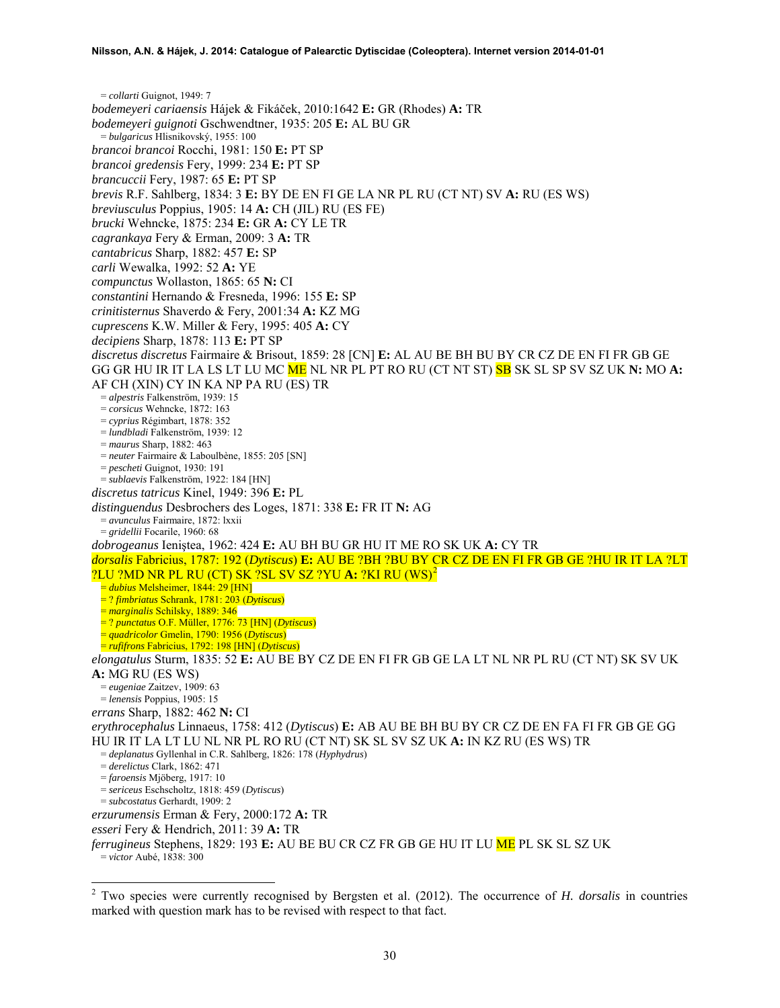<span id="page-29-0"></span>= *collarti* Guignot, 1949: 7 *bodemeyeri cariaensis* Hájek & Fikáček, 2010:1642 **E:** GR (Rhodes) **A:** TR *bodemeyeri guignoti* Gschwendtner, 1935: 205 **E:** AL BU GR = *bulgaricus* Hlisnikovský, 1955: 100 *brancoi brancoi* Rocchi, 1981: 150 **E:** PT SP *brancoi gredensis* Fery, 1999: 234 **E:** PT SP *brancuccii* Fery, 1987: 65 **E:** PT SP *brevis* R.F. Sahlberg, 1834: 3 **E:** BY DE EN FI GE LA NR PL RU (CT NT) SV **A:** RU (ES WS) *breviusculus* Poppius, 1905: 14 **A:** CH (JIL) RU (ES FE) *brucki* Wehncke, 1875: 234 **E:** GR **A:** CY LE TR *cagrankaya* Fery & Erman, 2009: 3 **A:** TR *cantabricus* Sharp, 1882: 457 **E:** SP *carli* Wewalka, 1992: 52 **A:** YE *compunctus* Wollaston, 1865: 65 **N:** CI *constantini* Hernando & Fresneda, 1996: 155 **E:** SP *crinitisternus* Shaverdo & Fery, 2001:34 **A:** KZ MG *cuprescens* K.W. Miller & Fery, 1995: 405 **A:** CY *decipiens* Sharp, 1878: 113 **E:** PT SP *discretus discretus* Fairmaire & Brisout, 1859: 28 [CN] **E:** AL AU BE BH BU BY CR CZ DE EN FI FR GB GE GG GR HU IR IT LA LS LT LU MC ME NL NR PL PT RO RU (CT NT ST) SB SK SL SP SV SZ UK **N:** MO **A:**  AF CH (XIN) CY IN KA NP PA RU (ES) TR = *alpestris* Falkenström, 1939: 15 = *corsicus* Wehncke, 1872: 163 = *cyprius* Régimbart, 1878: 352 = *lundbladi* Falkenström, 1939: 12 = *maurus* Sharp, 1882: 463 = *neuter* Fairmaire & Laboulbène, 1855: 205 [SN] = *pescheti* Guignot, 1930: 191 = *sublaevis* Falkenström, 1922: 184 [HN] *discretus tatricus* Kinel, 1949: 396 **E:** PL *distinguendus* Desbrochers des Loges, 1871: 338 **E:** FR IT **N:** AG = *avunculus* Fairmaire, 1872: lxxii = *gridellii* Focarile, 1960: 68 *dobrogeanus* Ieniştea, 1962: 424 **E:** AU BH BU GR HU IT ME RO SK UK **A:** CY TR *dorsalis* Fabricius, 1787: 192 (*Dytiscus*) **E:** AU BE ?BH ?BU BY CR CZ DE EN FI FR GB GE ?HU IR IT LA ?LT ?LU ?MD NR PL RU (CT) SK ?SL SV SZ ?YU **A:** ?KI RU (WS)[2](#page-29-0) = *dubius* Melsheimer, 1844: 29 [HN] = ? *fimbriatus* Schrank, 1781: 203 (*Dytiscus*) = *marginalis* Schilsky, 1889: 346 = ? *punctatus* O.F. Müller, 1776: 73 [HN] (*Dytiscus*) = *quadricolor* Gmelin, 1790: 1956 (*Dytiscus*) = *rufifrons* Fabricius, 1792: 198 [HN] (*Dytiscus*) *elongatulus* Sturm, 1835: 52 **E:** AU BE BY CZ DE EN FI FR GB GE LA LT NL NR PL RU (CT NT) SK SV UK **A:** MG RU (ES WS) = *eugeniae* Zaitzev, 1909: 63 = *lenensis* Poppius, 1905: 15 *errans* Sharp, 1882: 462 **N:** CI *erythrocephalus* Linnaeus, 1758: 412 (*Dytiscus*) **E:** AB AU BE BH BU BY CR CZ DE EN FA FI FR GB GE GG HU IR IT LA LT LU NL NR PL RO RU (CT NT) SK SL SV SZ UK **A:** IN KZ RU (ES WS) TR = *deplanatus* Gyllenhal in C.R. Sahlberg, 1826: 178 (*Hyphydrus*) = *derelictus* Clark, 1862: 471 = *faroensis* Mjöberg, 1917: 10 = *sericeus* Eschscholtz, 1818: 459 (*Dytiscus*) = *subcostatus* Gerhardt, 1909: 2 *erzurumensis* Erman & Fery, 2000:172 **A:** TR *esseri* Fery & Hendrich, 2011: 39 **A:** TR *ferrugineus* Stephens, 1829: 193 **E:** AU BE BU CR CZ FR GB GE HU IT LU ME PL SK SL SZ UK = *victor* Aubé, 1838: 300

<sup>&</sup>lt;sup>2</sup> Two species were currently recognised by Bergsten et al. (2012). The occurrence of *H. dorsalis* in countries marked with question mark has to be revised with respect to that fact.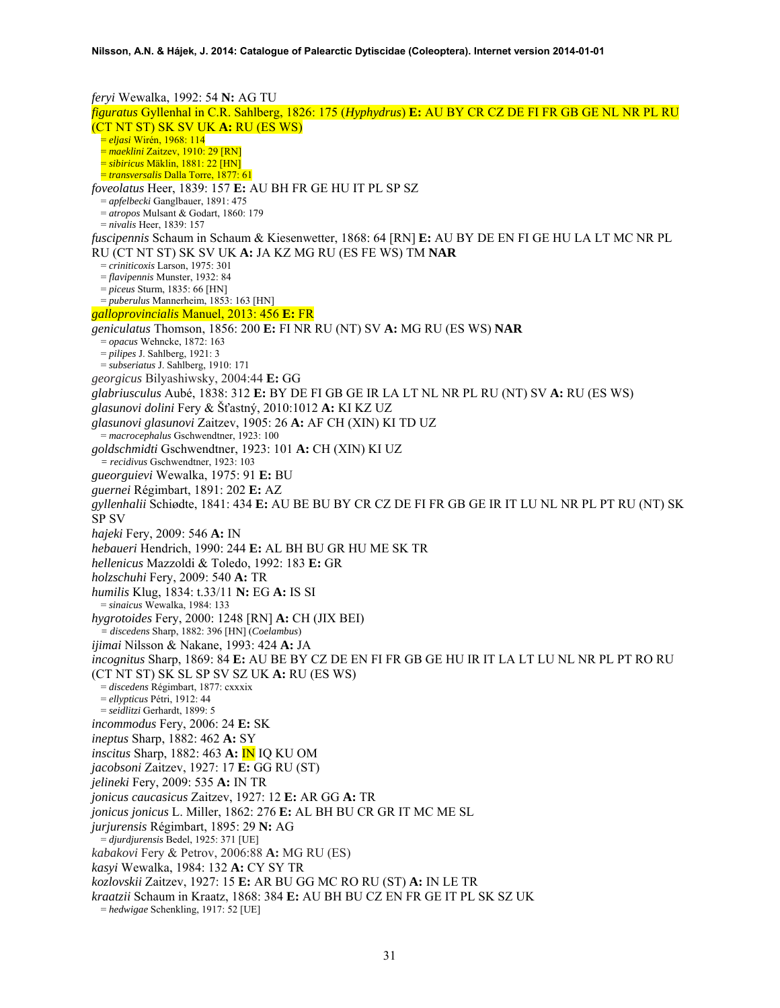*feryi* Wewalka, 1992: 54 **N:** AG TU *figuratus* Gyllenhal in C.R. Sahlberg, 1826: 175 (*Hyphydrus*) **E:** AU BY CR CZ DE FI FR GB GE NL NR PL RU (CT NT ST) SK SV UK **A:** RU (ES WS) = *eljasi* Wirén, 1968: 114 = *maeklini* Zaitzev, 1910: 29 [RN] = *sibiricus* Mäklin, 1881: 22 [HN] = *transversalis* Dalla Torre, 1877: 61 *foveolatus* Heer, 1839: 157 **E:** AU BH FR GE HU IT PL SP SZ = *apfelbecki* Ganglbauer, 1891: 475 = *atropos* Mulsant & Godart, 1860: 179 = *nivalis* Heer, 1839: 157 *fuscipennis* Schaum in Schaum & Kiesenwetter, 1868: 64 [RN] **E:** AU BY DE EN FI GE HU LA LT MC NR PL RU (CT NT ST) SK SV UK **A:** JA KZ MG RU (ES FE WS) TM **NAR** = *criniticoxis* Larson, 1975: 301 = *flavipennis* Munster, 1932: 84 = *piceus* Sturm, 1835: 66 [HN] = *puberulus* Mannerheim, 1853: 163 [HN] *galloprovincialis* Manuel, 2013: 456 **E:** FR *geniculatus* Thomson, 1856: 200 **E:** FI NR RU (NT) SV **A:** MG RU (ES WS) **NAR** = *opacus* Wehncke, 1872: 163 = *pilipes* J. Sahlberg, 1921: 3 = *subseriatus* J. Sahlberg, 1910: 171 *georgicus* Bilyashiwsky, 2004:44 **E:** GG *glabriusculus* Aubé, 1838: 312 **E:** BY DE FI GB GE IR LA LT NL NR PL RU (NT) SV **A:** RU (ES WS) *glasunovi dolini* Fery & Šťastný, 2010:1012 **A:** KI KZ UZ *glasunovi glasunovi* Zaitzev, 1905: 26 **A:** AF CH (XIN) KI TD UZ = *macrocephalus* Gschwendtner, 1923: 100 *goldschmidti* Gschwendtner, 1923: 101 **A:** CH (XIN) KI UZ *= recidivus* Gschwendtner, 1923: 103 *gueorguievi* Wewalka, 1975: 91 **E:** BU *guernei* Régimbart, 1891: 202 **E:** AZ *gyllenhalii* Schiødte, 1841: 434 **E:** AU BE BU BY CR CZ DE FI FR GB GE IR IT LU NL NR PL PT RU (NT) SK SP SV *hajeki* Fery, 2009: 546 **A:** IN *hebaueri* Hendrich, 1990: 244 **E:** AL BH BU GR HU ME SK TR *hellenicus* Mazzoldi & Toledo, 1992: 183 **E:** GR *holzschuhi* Fery, 2009: 540 **A:** TR *humilis* Klug, 1834: t.33/11 **N:** EG **A:** IS SI = *sinaicus* Wewalka, 1984: 133 *hygrotoides* Fery, 2000: 1248 [RN] **A:** CH (JIX BEI) *= discedens* Sharp, 1882: 396 [HN] (*Coelambus*) *ijimai* Nilsson & Nakane, 1993: 424 **A:** JA *incognitus* Sharp, 1869: 84 **E:** AU BE BY CZ DE EN FI FR GB GE HU IR IT LA LT LU NL NR PL PT RO RU (CT NT ST) SK SL SP SV SZ UK **A:** RU (ES WS) = *discedens* Régimbart, 1877: cxxxix = *ellypticus* Pétri, 1912: 44 = *seidlitzi* Gerhardt, 1899: 5 *incommodus* Fery, 2006: 24 **E:** SK *ineptus* Sharp, 1882: 462 **A:** SY *inscitus* Sharp, 1882: 463 **A:** IN IQ KU OM *jacobsoni* Zaitzev, 1927: 17 **E:** GG RU (ST) *jelineki* Fery, 2009: 535 **A:** IN TR *jonicus caucasicus* Zaitzev, 1927: 12 **E:** AR GG **A:** TR *jonicus jonicus* L. Miller, 1862: 276 **E:** AL BH BU CR GR IT MC ME SL *jurjurensis* Régimbart, 1895: 29 **N:** AG = *djurdjurensis* Bedel, 1925: 371 [UE] *kabakovi* Fery & Petrov, 2006:88 **A:** MG RU (ES) *kasyi* Wewalka, 1984: 132 **A:** CY SY TR *kozlovskii* Zaitzev, 1927: 15 **E:** AR BU GG MC RO RU (ST) **A:** IN LE TR *kraatzii* Schaum in Kraatz, 1868: 384 **E:** AU BH BU CZ EN FR GE IT PL SK SZ UK = *hedwigae* Schenkling, 1917: 52 [UE]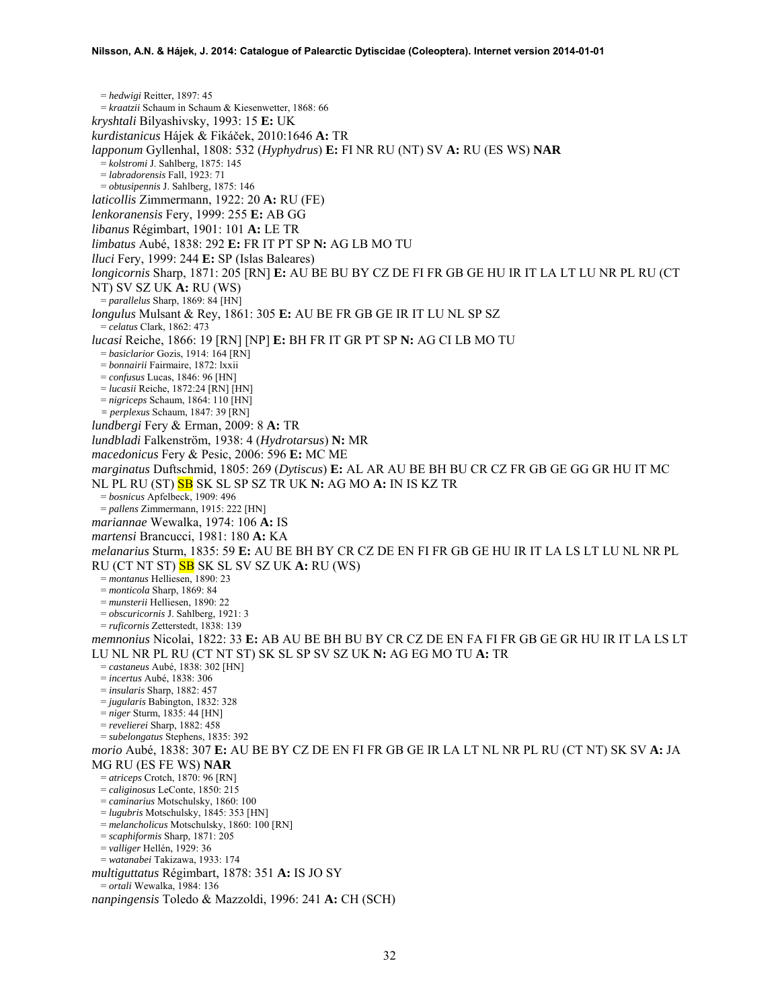= *hedwigi* Reitter, 1897: 45 = *kraatzii* Schaum in Schaum & Kiesenwetter, 1868: 66 *kryshtali* Bilyashivsky, 1993: 15 **E:** UK *kurdistanicus* Hájek & Fikáček, 2010:1646 **A:** TR *lapponum* Gyllenhal, 1808: 532 (*Hyphydrus*) **E:** FI NR RU (NT) SV **A:** RU (ES WS) **NAR** = *kolstromi* J. Sahlberg, 1875: 145 = *labradorensis* Fall, 1923: 71 = *obtusipennis* J. Sahlberg, 1875: 146 *laticollis* Zimmermann, 1922: 20 **A:** RU (FE) *lenkoranensis* Fery, 1999: 255 **E:** AB GG *libanus* Régimbart, 1901: 101 **A:** LE TR *limbatus* Aubé, 1838: 292 **E:** FR IT PT SP **N:** AG LB MO TU *lluci* Fery, 1999: 244 **E:** SP (Islas Baleares) *longicornis* Sharp, 1871: 205 [RN] **E:** AU BE BU BY CZ DE FI FR GB GE HU IR IT LA LT LU NR PL RU (CT NT) SV SZ UK **A:** RU (WS) = *parallelus* Sharp, 1869: 84 [HN] *longulus* Mulsant & Rey, 1861: 305 **E:** AU BE FR GB GE IR IT LU NL SP SZ = *celatus* Clark, 1862: 473 *lucasi* Reiche, 1866: 19 [RN] [NP] **E:** BH FR IT GR PT SP **N:** AG CI LB MO TU = *basiclarior* Gozis, 1914: 164 [RN] = *bonnairii* Fairmaire, 1872: lxxii = *confusus* Lucas, 1846: 96 [HN] = *lucasii* Reiche, 1872:24 [RN] [HN] = *nigriceps* Schaum, 1864: 110 [HN] *= perplexus* Schaum, 1847: 39 [RN] *lundbergi* Fery & Erman, 2009: 8 **A:** TR *lundbladi* Falkenström, 1938: 4 (*Hydrotarsus*) **N:** MR *macedonicus* Fery & Pesic, 2006: 596 **E:** MC ME *marginatus* Duftschmid, 1805: 269 (*Dytiscus*) **E:** AL AR AU BE BH BU CR CZ FR GB GE GG GR HU IT MC NL PL RU (ST) SB SK SL SP SZ TR UK **N:** AG MO **A:** IN IS KZ TR = *bosnicus* Apfelbeck, 1909: 496 = *pallens* Zimmermann, 1915: 222 [HN] *mariannae* Wewalka, 1974: 106 **A:** IS *martensi* Brancucci, 1981: 180 **A:** KA *melanarius* Sturm, 1835: 59 **E:** AU BE BH BY CR CZ DE EN FI FR GB GE HU IR IT LA LS LT LU NL NR PL RU (CT NT ST) SB SK SL SV SZ UK **A:** RU (WS) = *montanus* Helliesen, 1890: 23 = *monticola* Sharp, 1869: 84 = *munsterii* Helliesen, 1890: 22 = *obscuricornis* J. Sahlberg, 1921: 3 = *ruficornis* Zetterstedt, 1838: 139 *memnonius* Nicolai, 1822: 33 **E:** AB AU BE BH BU BY CR CZ DE EN FA FI FR GB GE GR HU IR IT LA LS LT LU NL NR PL RU (CT NT ST) SK SL SP SV SZ UK **N:** AG EG MO TU **A:** TR = *castaneus* Aubé, 1838: 302 [HN] = *incertus* Aubé, 1838: 306 = *insularis* Sharp, 1882: 457 = *jugularis* Babington, 1832: 328 = *niger* Sturm, 1835: 44 [HN] = *revelierei* Sharp, 1882: 458 = *subelongatus* Stephens, 1835: 392 *morio* Aubé, 1838: 307 **E:** AU BE BY CZ DE EN FI FR GB GE IR LA LT NL NR PL RU (CT NT) SK SV **A:** JA MG RU (ES FE WS) **NAR** = *atriceps* Crotch, 1870: 96 [RN] = *caliginosus* LeConte, 1850: 215 = *caminarius* Motschulsky, 1860: 100 = *lugubris* Motschulsky, 1845: 353 [HN] = *melancholicus* Motschulsky, 1860: 100 [RN] = *scaphiformis* Sharp, 1871: 205 = *valliger* Hellén, 1929: 36 = *watanabei* Takizawa, 1933: 174 *multiguttatus* Régimbart, 1878: 351 **A:** IS JO SY = *ortali* Wewalka, 1984: 136 *nanpingensis* Toledo & Mazzoldi, 1996: 241 **A:** CH (SCH)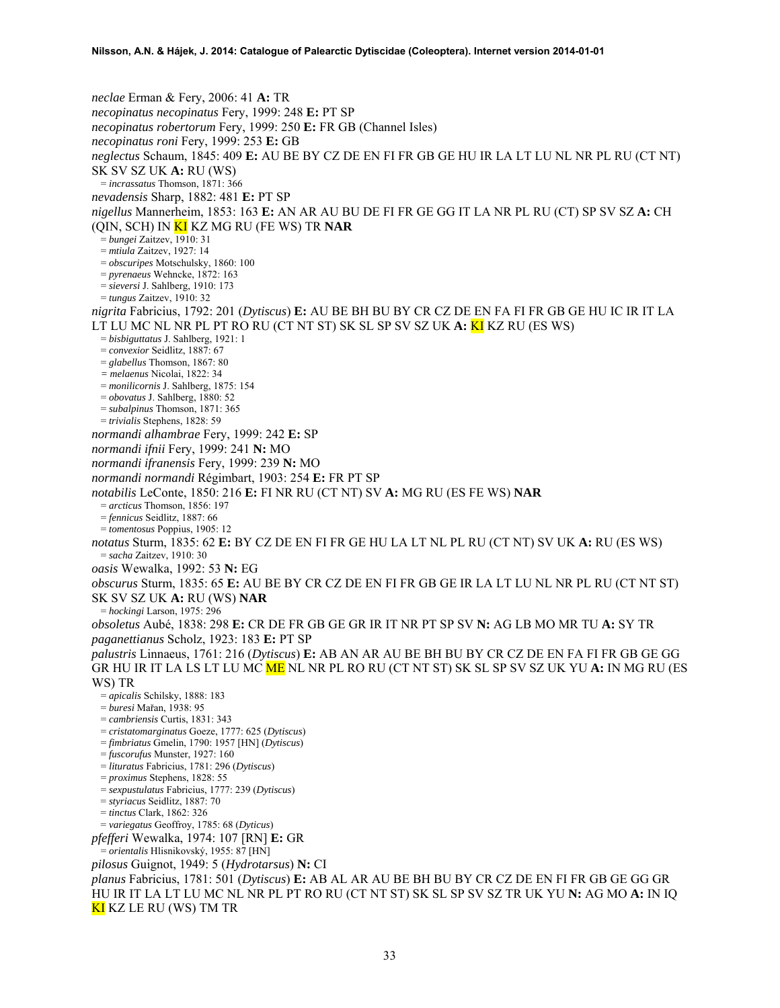*neclae* Erman & Fery, 2006: 41 **A:** TR *necopinatus necopinatus* Fery, 1999: 248 **E:** PT SP *necopinatus robertorum* Fery, 1999: 250 **E:** FR GB (Channel Isles) *necopinatus roni* Fery, 1999: 253 **E:** GB *neglectus* Schaum, 1845: 409 **E:** AU BE BY CZ DE EN FI FR GB GE HU IR LA LT LU NL NR PL RU (CT NT) SK SV SZ UK **A:** RU (WS) = *incrassatus* Thomson, 1871: 366 *nevadensis* Sharp, 1882: 481 **E:** PT SP *nigellus* Mannerheim, 1853: 163 **E:** AN AR AU BU DE FI FR GE GG IT LA NR PL RU (CT) SP SV SZ **A:** CH (QIN, SCH) IN KI KZ MG RU (FE WS) TR **NAR** = *bungei* Zaitzev, 1910: 31 = *mtiula* Zaitzev, 1927: 14 = *obscuripes* Motschulsky, 1860: 100 = *pyrenaeus* Wehncke, 1872: 163 = *sieversi* J. Sahlberg, 1910: 173 = *tungus* Zaitzev, 1910: 32 *nigrita* Fabricius, 1792: 201 (*Dytiscus*) **E:** AU BE BH BU BY CR CZ DE EN FA FI FR GB GE HU IC IR IT LA LT LU MC NL NR PL PT RO RU (CT NT ST) SK SL SP SV SZ UK **A:** KI KZ RU (ES WS) = *bisbiguttatus* J. Sahlberg, 1921: 1 = *convexior* Seidlitz, 1887: 67 = *glabellus* Thomson, 1867: 80 *= melaenus* Nicolai, 1822: 34 = *monilicornis* J. Sahlberg, 1875: 154 = *obovatus* J. Sahlberg, 1880: 52 = *subalpinus* Thomson, 1871: 365 = *trivialis* Stephens, 1828: 59 *normandi alhambrae* Fery, 1999: 242 **E:** SP *normandi ifnii* Fery, 1999: 241 **N:** MO *normandi ifranensis* Fery, 1999: 239 **N:** MO *normandi normandi* Régimbart, 1903: 254 **E:** FR PT SP *notabilis* LeConte, 1850: 216 **E:** FI NR RU (CT NT) SV **A:** MG RU (ES FE WS) **NAR** = *arcticus* Thomson, 1856: 197 = *fennicus* Seidlitz, 1887: 66 = *tomentosus* Poppius, 1905: 12 *notatus* Sturm, 1835: 62 **E:** BY CZ DE EN FI FR GE HU LA LT NL PL RU (CT NT) SV UK **A:** RU (ES WS) = *sacha* Zaitzev, 1910: 30 *oasis* Wewalka, 1992: 53 **N:** EG *obscurus* Sturm, 1835: 65 **E:** AU BE BY CR CZ DE EN FI FR GB GE IR LA LT LU NL NR PL RU (CT NT ST) SK SV SZ UK **A:** RU (WS) **NAR** = *hockingi* Larson, 1975: 296 *obsoletus* Aubé, 1838: 298 **E:** CR DE FR GB GE GR IR IT NR PT SP SV **N:** AG LB MO MR TU **A:** SY TR *paganettianus* Scholz, 1923: 183 **E:** PT SP *palustris* Linnaeus, 1761: 216 (*Dytiscus*) **E:** AB AN AR AU BE BH BU BY CR CZ DE EN FA FI FR GB GE GG GR HU IR IT LA LS LT LU MC ME NL NR PL RO RU (CT NT ST) SK SL SP SV SZ UK YU **A:** IN MG RU (ES WS) TR = *apicalis* Schilsky, 1888: 183 = *buresi* Mařan, 1938: 95 = *cambriensis* Curtis, 1831: 343 = *cristatomarginatus* Goeze, 1777: 625 (*Dytiscus*) = *fimbriatus* Gmelin, 1790: 1957 [HN] (*Dytiscus*) = *fuscorufus* Munster, 1927: 160 = *lituratus* Fabricius, 1781: 296 (*Dytiscus*) = *proximus* Stephens, 1828: 55 = *sexpustulatus* Fabricius, 1777: 239 (*Dytiscus*) = *styriacus* Seidlitz, 1887: 70 = *tinctus* Clark, 1862: 326 = *variegatus* Geoffroy, 1785: 68 (*Dyticus*) *pfefferi* Wewalka, 1974: 107 [RN] **E:** GR = *orientalis* Hlisnikovský, 1955: 87 [HN] *pilosus* Guignot, 1949: 5 (*Hydrotarsus*) **N:** CI *planus* Fabricius, 1781: 501 (*Dytiscus*) **E:** AB AL AR AU BE BH BU BY CR CZ DE EN FI FR GB GE GG GR HU IR IT LA LT LU MC NL NR PL PT RO RU (CT NT ST) SK SL SP SV SZ TR UK YU **N:** AG MO **A:** IN IQ KI KZ LE RU (WS) TM TR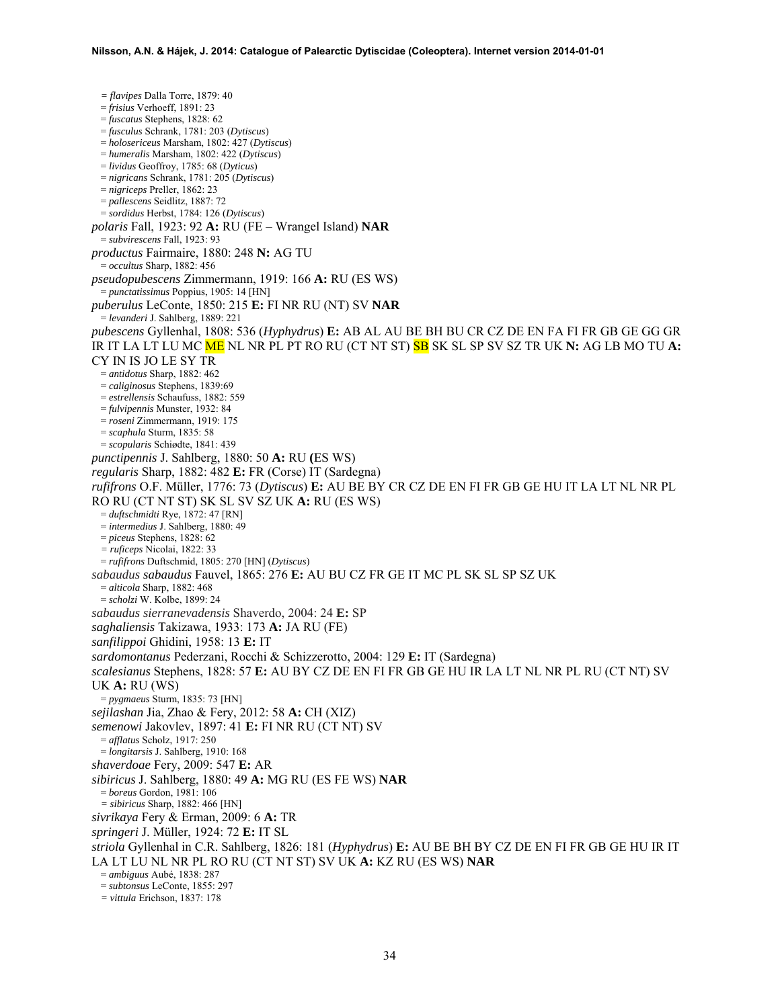*= flavipes* Dalla Torre, 1879: 40 = *frisius* Verhoeff, 1891: 23 = *fuscatus* Stephens, 1828: 62 = *fusculus* Schrank, 1781: 203 (*Dytiscus*) = *holosericeus* Marsham, 1802: 427 (*Dytiscus*) = *humeralis* Marsham, 1802: 422 (*Dytiscus*) = *lividus* Geoffroy, 1785: 68 (*Dyticus*) = *nigricans* Schrank, 1781: 205 (*Dytiscus*) = *nigriceps* Preller, 1862: 23 = *pallescens* Seidlitz, 1887: 72 = *sordidus* Herbst, 1784: 126 (*Dytiscus*) *polaris* Fall, 1923: 92 **A:** RU (FE – Wrangel Island) **NAR** = *subvirescens* Fall, 1923: 93 *productus* Fairmaire, 1880: 248 **N:** AG TU = *occultus* Sharp, 1882: 456 *pseudopubescens* Zimmermann, 1919: 166 **A:** RU (ES WS) = *punctatissimus* Poppius, 1905: 14 [HN] *puberulus* LeConte, 1850: 215 **E:** FI NR RU (NT) SV **NAR** = *levanderi* J. Sahlberg, 1889: 221 *pubescens* Gyllenhal, 1808: 536 (*Hyphydrus*) **E:** AB AL AU BE BH BU CR CZ DE EN FA FI FR GB GE GG GR IR IT LA LT LU MC ME NL NR PL PT RO RU (CT NT ST) SB SK SL SP SV SZ TR UK **N:** AG LB MO TU **A:**  CY IN IS JO LE SY TR = *antidotus* Sharp, 1882: 462 = *caliginosus* Stephens, 1839:69 = *estrellensis* Schaufuss, 1882: 559 = *fulvipennis* Munster, 1932: 84 = *roseni* Zimmermann, 1919: 175 = *scaphula* Sturm, 1835: 58 = *scopularis* Schiødte, 1841: 439 *punctipennis* J. Sahlberg, 1880: 50 **A:** RU **(**ES WS) *regularis* Sharp, 1882: 482 **E:** FR (Corse) IT (Sardegna) *rufifrons* O.F. Müller, 1776: 73 (*Dytiscus*) **E:** AU BE BY CR CZ DE EN FI FR GB GE HU IT LA LT NL NR PL RO RU (CT NT ST) SK SL SV SZ UK **A:** RU (ES WS) = *duftschmidti* Rye, 1872: 47 [RN] = *intermedius* J. Sahlberg, 1880: 49 = *piceus* Stephens, 1828: 62 *= ruficeps* Nicolai, 1822: 33 = *rufifrons* Duftschmid, 1805: 270 [HN] (*Dytiscus*) *sabaudus sabaudus* Fauvel, 1865: 276 **E:** AU BU CZ FR GE IT MC PL SK SL SP SZ UK = *alticola* Sharp, 1882: 468 = *scholzi* W. Kolbe, 1899: 24 *sabaudus sierranevadensis* Shaverdo, 2004: 24 **E:** SP *saghaliensis* Takizawa, 1933: 173 **A:** JA RU (FE) *sanfilippoi* Ghidini, 1958: 13 **E:** IT *sardomontanus* Pederzani, Rocchi & Schizzerotto, 2004: 129 **E:** IT (Sardegna) *scalesianus* Stephens, 1828: 57 **E:** AU BY CZ DE EN FI FR GB GE HU IR LA LT NL NR PL RU (CT NT) SV UK **A:** RU (WS) = *pygmaeus* Sturm, 1835: 73 [HN] *sejilashan* Jia, Zhao & Fery, 2012: 58 **A:** CH (XIZ) *semenowi* Jakovlev, 1897: 41 **E:** FI NR RU (CT NT) SV = *afflatus* Scholz, 1917: 250 = *longitarsis* J. Sahlberg, 1910: 168 *shaverdoae* Fery, 2009: 547 **E:** AR *sibiricus* J. Sahlberg, 1880: 49 **A:** MG RU (ES FE WS) **NAR** = *boreus* Gordon, 1981: 106 *= sibiricus* Sharp, 1882: 466 [HN] *sivrikaya* Fery & Erman, 2009: 6 **A:** TR *springeri* J. Müller, 1924: 72 **E:** IT SL *striola* Gyllenhal in C.R. Sahlberg, 1826: 181 (*Hyphydrus*) **E:** AU BE BH BY CZ DE EN FI FR GB GE HU IR IT LA LT LU NL NR PL RO RU (CT NT ST) SV UK **A:** KZ RU (ES WS) **NAR** = *ambiguus* Aubé, 1838: 287 = *subtonsus* LeConte, 1855: 297 *= vittula* Erichson, 1837: 178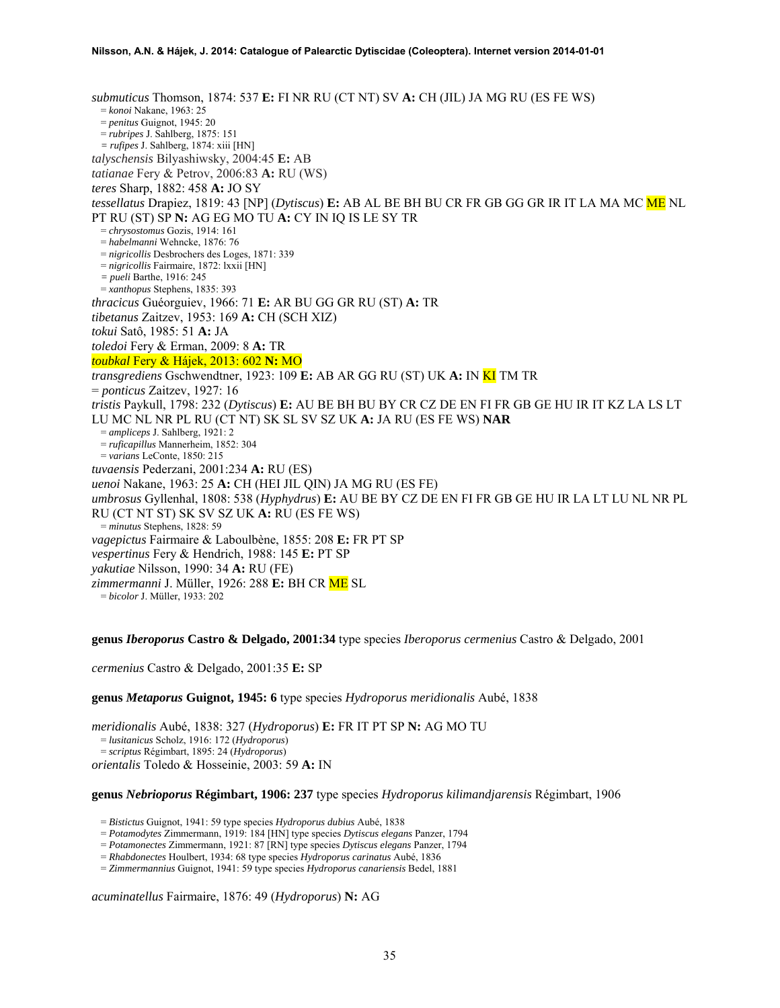*submuticus* Thomson, 1874: 537 **E:** FI NR RU (CT NT) SV **A:** CH (JIL) JA MG RU (ES FE WS) = *konoi* Nakane, 1963: 25 = *penitus* Guignot, 1945: 20 = *rubripes* J. Sahlberg, 1875: 151 *= rufipes* J. Sahlberg, 1874: xiii [HN] *talyschensis* Bilyashiwsky, 2004:45 **E:** AB *tatianae* Fery & Petrov, 2006:83 **A:** RU (WS) *teres* Sharp, 1882: 458 **A:** JO SY *tessellatus* Drapiez, 1819: 43 [NP] (*Dytiscus*) **E:** AB AL BE BH BU CR FR GB GG GR IR IT LA MA MC ME NL PT RU (ST) SP **N:** AG EG MO TU **A:** CY IN IQ IS LE SY TR = *chrysostomus* Gozis, 1914: 161 = *habelmanni* Wehncke, 1876: 76 = *nigricollis* Desbrochers des Loges, 1871: 339 = *nigricollis* Fairmaire, 1872: lxxii [HN] *= pueli* Barthe, 1916: 245 = *xanthopus* Stephens, 1835: 393 *thracicus* Guéorguiev, 1966: 71 **E:** AR BU GG GR RU (ST) **A:** TR *tibetanus* Zaitzev, 1953: 169 **A:** CH (SCH XIZ) *tokui* Satô, 1985: 51 **A:** JA *toledoi* Fery & Erman, 2009: 8 **A:** TR *toubkal* Fery & Hájek, 2013: 602 **N:** MO *transgrediens* Gschwendtner, 1923: 109 **E:** AB AR GG RU (ST) UK **A:** IN KI TM TR = *ponticus* Zaitzev, 1927: 16 *tristis* Paykull, 1798: 232 (*Dytiscus*) **E:** AU BE BH BU BY CR CZ DE EN FI FR GB GE HU IR IT KZ LA LS LT LU MC NL NR PL RU (CT NT) SK SL SV SZ UK **A:** JA RU (ES FE WS) **NAR** = *ampliceps* J. Sahlberg, 1921: 2 = *ruficapillus* Mannerheim, 1852: 304 = *varians* LeConte, 1850: 215 *tuvaensis* Pederzani, 2001:234 **A:** RU (ES) *uenoi* Nakane, 1963: 25 **A:** CH (HEI JIL QIN) JA MG RU (ES FE) *umbrosus* Gyllenhal, 1808: 538 (*Hyphydrus*) **E:** AU BE BY CZ DE EN FI FR GB GE HU IR LA LT LU NL NR PL RU (CT NT ST) SK SV SZ UK **A:** RU (ES FE WS) = *minutus* Stephens, 1828: 59 *vagepictus* Fairmaire & Laboulbène, 1855: 208 **E:** FR PT SP *vespertinus* Fery & Hendrich, 1988: 145 **E:** PT SP *yakutiae* Nilsson, 1990: 34 **A:** RU (FE) *zimmermanni* J. Müller, 1926: 288 **E:** BH CR ME SL = *bicolor* J. Müller, 1933: 202

#### **genus** *Iberoporus* **Castro & Delgado, 2001:34** type species *Iberoporus cermenius* Castro & Delgado, 2001

*cermenius* Castro & Delgado, 2001:35 **E:** SP

#### **genus** *Metaporus* **Guignot, 1945: 6** type species *Hydroporus meridionalis* Aubé, 1838

*meridionalis* Aubé, 1838: 327 (*Hydroporus*) **E:** FR IT PT SP **N:** AG MO TU = *lusitanicus* Scholz, 1916: 172 (*Hydroporus*) = *scriptus* Régimbart, 1895: 24 (*Hydroporus*) *orientalis* Toledo & Hosseinie, 2003: 59 **A:** IN

#### **genus** *Nebrioporus* **Régimbart, 1906: 237** type species *Hydroporus kilimandjarensis* Régimbart, 1906

= *Bistictus* Guignot, 1941: 59 type species *Hydroporus dubius* Aubé, 1838

= *Potamodytes* Zimmermann, 1919: 184 [HN] type species *Dytiscus elegans* Panzer, 1794

= *Potamonectes* Zimmermann, 1921: 87 [RN] type species *Dytiscus elegans* Panzer, 1794

= *Rhabdonectes* Houlbert, 1934: 68 type species *Hydroporus carinatus* Aubé, 1836

= *Zimmermannius* Guignot, 1941: 59 type species *Hydroporus canariensis* Bedel, 1881

*acuminatellus* Fairmaire, 1876: 49 (*Hydroporus*) **N:** AG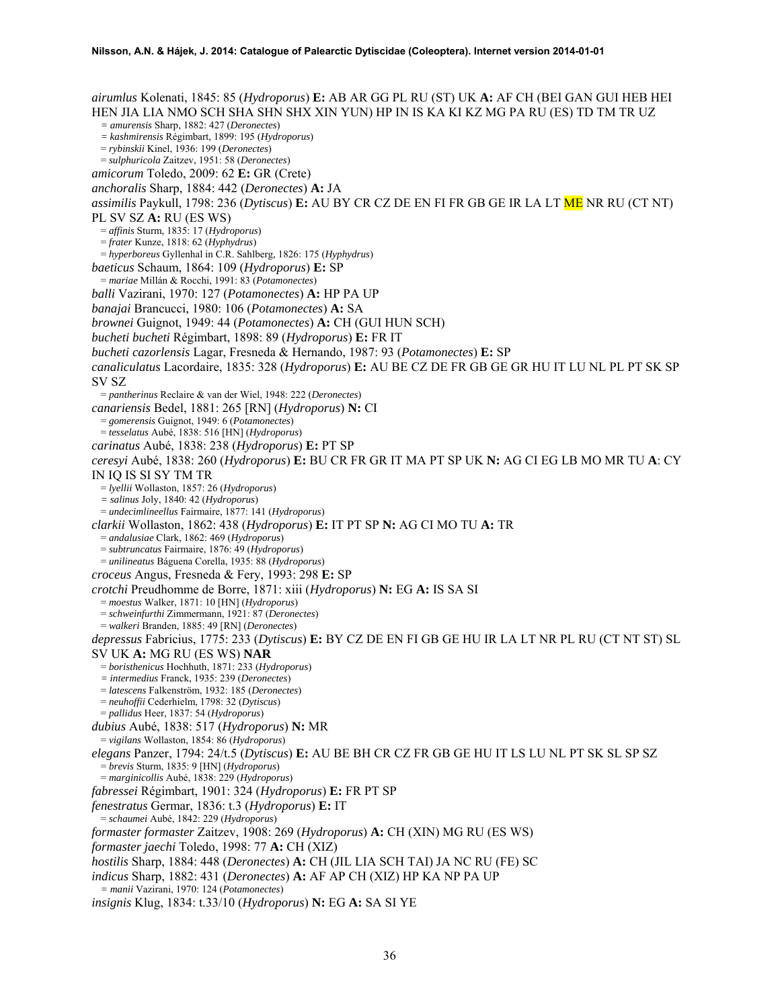*airumlus* Kolenati, 1845: 85 (*Hydroporus*) **E:** AB AR GG PL RU (ST) UK **A:** AF CH (BEI GAN GUI HEB HEI HEN JIA LIA NMO SCH SHA SHN SHX XIN YUN) HP IN IS KA KI KZ MG PA RU (ES) TD TM TR UZ *= amurensis* Sharp, 1882: 427 (*Deronectes*) *= kashmirensis* Régimbart, 1899: 195 (*Hydroporus*) = *rybinskii* Kinel, 1936: 199 (*Deronectes*) = *sulphuricola* Zaitzev, 1951: 58 (*Deronectes*) *amicorum* Toledo, 2009: 62 **E:** GR (Crete) *anchoralis* Sharp, 1884: 442 (*Deronectes*) **A:** JA *assimilis* Paykull, 1798: 236 (*Dytiscus*) **E:** AU BY CR CZ DE EN FI FR GB GE IR LA LT ME NR RU (CT NT) PL SV SZ **A:** RU (ES WS) = *affinis* Sturm, 1835: 17 (*Hydroporus*) = *frater* Kunze, 1818: 62 (*Hyphydrus*) = *hyperboreus* Gyllenhal in C.R. Sahlberg, 1826: 175 (*Hyphydrus*) *baeticus* Schaum, 1864: 109 (*Hydroporus*) **E:** SP = *mariae* Millán & Rocchi, 1991: 83 (*Potamonectes*) *balli* Vazirani, 1970: 127 (*Potamonectes*) **A:** HP PA UP *banajai* Brancucci, 1980: 106 (*Potamonectes*) **A:** SA *brownei* Guignot, 1949: 44 (*Potamonectes*) **A:** CH (GUI HUN SCH) *bucheti bucheti* Régimbart, 1898: 89 (*Hydroporus*) **E:** FR IT *bucheti cazorlensis* Lagar, Fresneda & Hernando, 1987: 93 (*Potamonectes*) **E:** SP *canaliculatus* Lacordaire, 1835: 328 (*Hydroporus*) **E:** AU BE CZ DE FR GB GE GR HU IT LU NL PL PT SK SP SV SZ = *pantherinus* Reclaire & van der Wiel, 1948: 222 (*Deronectes*) *canariensis* Bedel, 1881: 265 [RN] (*Hydroporus*) **N:** CI = *gomerensis* Guignot, 1949: 6 (*Potamonectes*) = *tesselatus* Aubé, 1838: 516 [HN] (*Hydroporus*) *carinatus* Aubé, 1838: 238 (*Hydroporus*) **E:** PT SP *ceresyi* Aubé, 1838: 260 (*Hydroporus*) **E:** BU CR FR GR IT MA PT SP UK **N:** AG CI EG LB MO MR TU **A**: CY IN IQ IS SI SY TM TR = *lyellii* Wollaston, 1857: 26 (*Hydroporus*) *= salinus* Joly, 1840: 42 (*Hydroporus*) = *undecimlineellus* Fairmaire, 1877: 141 (*Hydroporus*) *clarkii* Wollaston, 1862: 438 (*Hydroporus*) **E:** IT PT SP **N:** AG CI MO TU **A:** TR = *andalusiae* Clark, 1862: 469 (*Hydroporus*) = *subtruncatus* Fairmaire, 1876: 49 (*Hydroporus*) = *unilineatus* Báguena Corella, 1935: 88 (*Hydroporus*) *croceus* Angus, Fresneda & Fery, 1993: 298 **E:** SP *crotchi* Preudhomme de Borre, 1871: xiii (*Hydroporus*) **N:** EG **A:** IS SA SI = *moestus* Walker, 1871: 10 [HN] (*Hydroporus*) = *schweinfurthi* Zimmermann, 1921: 87 (*Deronectes*) = *walkeri* Branden, 1885: 49 [RN] (*Deronectes*) *depressus* Fabricius, 1775: 233 (*Dytiscus*) **E:** BY CZ DE EN FI GB GE HU IR LA LT NR PL RU (CT NT ST) SL SV UK **A:** MG RU (ES WS) **NAR** = *boristhenicus* Hochhuth, 1871: 233 (*Hydroporus*) *= intermedius* Franck, 1935: 239 (*Deronectes*) = *latescens* Falkenström, 1932: 185 (*Deronectes*) = *neuhoffii* Cederhielm, 1798: 32 (*Dytiscus*) = *pallidus* Heer, 1837: 54 (*Hydroporus*) *dubius* Aubé, 1838: 517 (*Hydroporus*) **N:** MR = *vigilans* Wollaston, 1854: 86 (*Hydroporus*) *elegans* Panzer, 1794: 24/t.5 (*Dytiscus*) **E:** AU BE BH CR CZ FR GB GE HU IT LS LU NL PT SK SL SP SZ = *brevis* Sturm, 1835: 9 [HN] (*Hydroporus*) = *marginicollis* Aubé, 1838: 229 (*Hydroporus*) *fabressei* Régimbart, 1901: 324 (*Hydroporus*) **E:** FR PT SP *fenestratus* Germar, 1836: t.3 (*Hydroporus*) **E:** IT = *schaumei* Aubé, 1842: 229 (*Hydroporus*) *formaster formaster* Zaitzev, 1908: 269 (*Hydroporus*) **A:** CH (XIN) MG RU (ES WS) *formaster jaechi* Toledo, 1998: 77 **A:** CH (XIZ) *hostilis* Sharp, 1884: 448 (*Deronectes*) **A:** CH (JIL LIA SCH TAI) JA NC RU (FE) SC *indicus* Sharp, 1882: 431 (*Deronectes*) **A:** AF AP CH (XIZ) HP KA NP PA UP *= manii* Vazirani, 1970: 124 (*Potamonectes*) *insignis* Klug, 1834: t.33/10 (*Hydroporus*) **N:** EG **A:** SA SI YE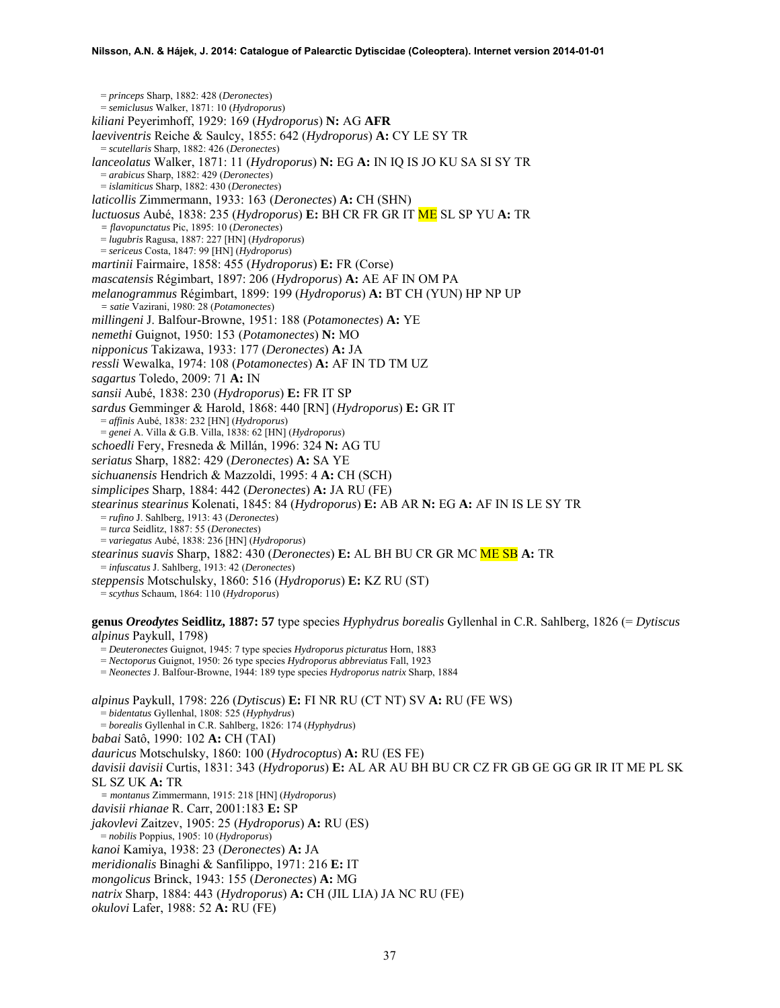= *princeps* Sharp, 1882: 428 (*Deronectes*) = *semiclusus* Walker, 1871: 10 (*Hydroporus*) *kiliani* Peyerimhoff, 1929: 169 (*Hydroporus*) **N:** AG **AFR** *laeviventris* Reiche & Saulcy, 1855: 642 (*Hydroporus*) **A:** CY LE SY TR = *scutellaris* Sharp, 1882: 426 (*Deronectes*) *lanceolatus* Walker, 1871: 11 (*Hydroporus*) **N:** EG **A:** IN IQ IS JO KU SA SI SY TR = *arabicus* Sharp, 1882: 429 (*Deronectes*) = *islamiticus* Sharp, 1882: 430 (*Deronectes*) *laticollis* Zimmermann, 1933: 163 (*Deronectes*) **A:** CH (SHN) *luctuosus* Aubé, 1838: 235 (*Hydroporus*) **E:** BH CR FR GR IT ME SL SP YU **A:** TR *= flavopunctatus* Pic, 1895: 10 (*Deronectes*) = *lugubris* Ragusa, 1887: 227 [HN] (*Hydroporus*) = *sericeus* Costa, 1847: 99 [HN] (*Hydroporus*) *martinii* Fairmaire, 1858: 455 (*Hydroporus*) **E:** FR (Corse) *mascatensis* Régimbart, 1897: 206 (*Hydroporus*) **A:** AE AF IN OM PA *melanogrammus* Régimbart, 1899: 199 (*Hydroporus*) **A:** BT CH (YUN) HP NP UP *= satie* Vazirani, 1980: 28 (*Potamonectes*) *millingeni* J. Balfour-Browne, 1951: 188 (*Potamonectes*) **A:** YE *nemethi* Guignot, 1950: 153 (*Potamonectes*) **N:** MO *nipponicus* Takizawa, 1933: 177 (*Deronectes*) **A:** JA *ressli* Wewalka, 1974: 108 (*Potamonectes*) **A:** AF IN TD TM UZ *sagartus* Toledo, 2009: 71 **A:** IN *sansii* Aubé, 1838: 230 (*Hydroporus*) **E:** FR IT SP *sardus* Gemminger & Harold, 1868: 440 [RN] (*Hydroporus*) **E:** GR IT = *affinis* Aubé, 1838: 232 [HN] (*Hydroporus*) = *genei* A. Villa & G.B. Villa, 1838: 62 [HN] (*Hydroporus*) *schoedli* Fery, Fresneda & Millán, 1996: 324 **N:** AG TU *seriatus* Sharp, 1882: 429 (*Deronectes*) **A:** SA YE *sichuanensis* Hendrich & Mazzoldi, 1995: 4 **A:** CH (SCH) *simplicipes* Sharp, 1884: 442 (*Deronectes*) **A:** JA RU (FE) *stearinus stearinus* Kolenati, 1845: 84 (*Hydroporus*) **E:** AB AR **N:** EG **A:** AF IN IS LE SY TR = *rufino* J. Sahlberg, 1913: 43 (*Deronectes*) = *turca* Seidlitz, 1887: 55 (*Deronectes*) = *variegatus* Aubé, 1838: 236 [HN] (*Hydroporus*) *stearinus suavis* Sharp, 1882: 430 (*Deronectes*) **E:** AL BH BU CR GR MC ME SB **A:** TR = *infuscatus* J. Sahlberg, 1913: 42 (*Deronectes*) *steppensis* Motschulsky, 1860: 516 (*Hydroporus*) **E:** KZ RU (ST) = *scythus* Schaum, 1864: 110 (*Hydroporus*) **genus** *Oreodytes* **Seidlitz, 1887: 57** type species *Hyphydrus borealis* Gyllenhal in C.R. Sahlberg, 1826 (= *Dytiscus alpinus* Paykull, 1798) = *Deuteronectes* Guignot, 1945: 7 type species *Hydroporus picturatus* Horn, 1883 = *Nectoporus* Guignot, 1950: 26 type species *Hydroporus abbreviatus* Fall, 1923 = *Neonectes* J. Balfour-Browne, 1944: 189 type species *Hydroporus natrix* Sharp, 1884 *alpinus* Paykull, 1798: 226 (*Dytiscus*) **E:** FI NR RU (CT NT) SV **A:** RU (FE WS) = *bidentatus* Gyllenhal, 1808: 525 (*Hyphydrus*) = *borealis* Gyllenhal in C.R. Sahlberg, 1826: 174 (*Hyphydrus*) *babai* Satô, 1990: 102 **A:** CH (TAI) *dauricus* Motschulsky, 1860: 100 (*Hydrocoptus*) **A:** RU (ES FE) *davisii davisii* Curtis, 1831: 343 (*Hydroporus*) **E:** AL AR AU BH BU CR CZ FR GB GE GG GR IR IT ME PL SK

SL SZ UK **A:** TR

*= montanus* Zimmermann, 1915: 218 [HN] (*Hydroporus*)

*davisii rhianae* R. Carr, 2001:183 **E:** SP

*jakovlevi* Zaitzev, 1905: 25 (*Hydroporus*) **A:** RU (ES) = *nobilis* Poppius, 1905: 10 (*Hydroporus*)

*kanoi* Kamiya, 1938: 23 (*Deronectes*) **A:** JA

*meridionalis* Binaghi & Sanfilippo, 1971: 216 **E:** IT

*mongolicus* Brinck, 1943: 155 (*Deronectes*) **A:** MG

*natrix* Sharp, 1884: 443 (*Hydroporus*) **A:** CH (JIL LIA) JA NC RU (FE)

*okulovi* Lafer, 1988: 52 **A:** RU (FE)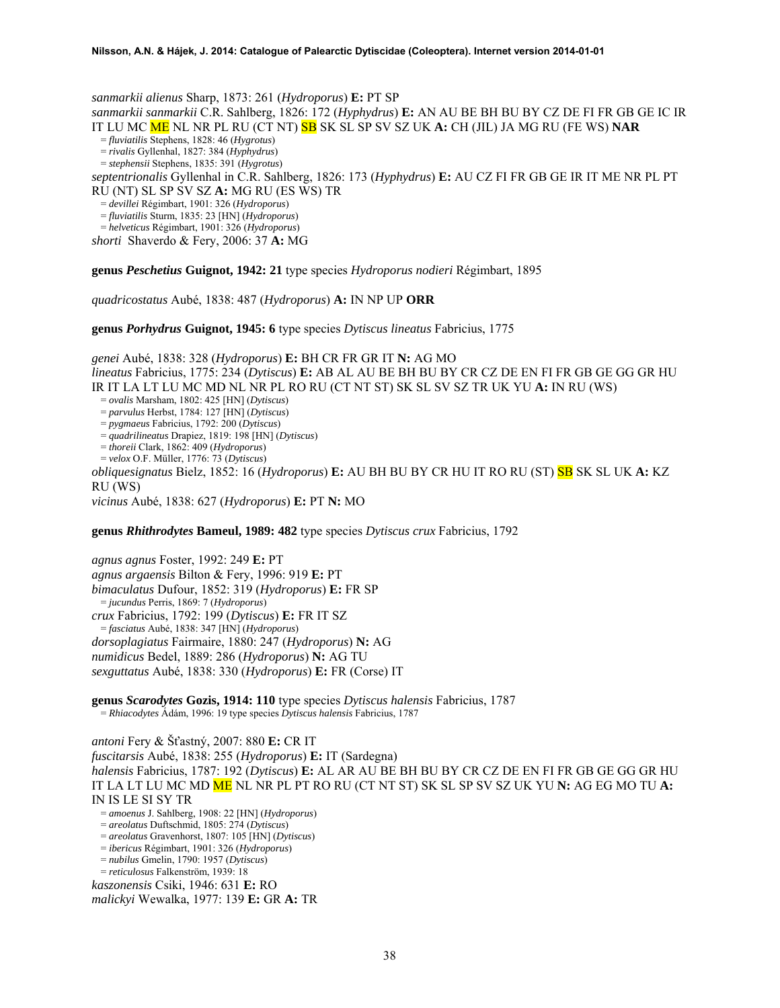*sanmarkii alienus* Sharp, 1873: 261 (*Hydroporus*) **E:** PT SP *sanmarkii sanmarkii* C.R. Sahlberg, 1826: 172 (*Hyphydrus*) **E:** AN AU BE BH BU BY CZ DE FI FR GB GE IC IR IT LU MC ME NL NR PL RU (CT NT) SB SK SL SP SV SZ UK **A:** CH (JIL) JA MG RU (FE WS) **NAR** = *fluviatilis* Stephens, 1828: 46 (*Hygrotus*) = *rivalis* Gyllenhal, 1827: 384 (*Hyphydrus*) = *stephensii* Stephens, 1835: 391 (*Hygrotus*) *septentrionalis* Gyllenhal in C.R. Sahlberg, 1826: 173 (*Hyphydrus*) **E:** AU CZ FI FR GB GE IR IT ME NR PL PT RU (NT) SL SP SV SZ **A:** MG RU (ES WS) TR = *devillei* Régimbart, 1901: 326 (*Hydroporus*) = *fluviatilis* Sturm, 1835: 23 [HN] (*Hydroporus*) = *helveticus* Régimbart, 1901: 326 (*Hydroporus*)

*shorti* Shaverdo & Fery, 2006: 37 **A:** MG

**genus** *Peschetius* **Guignot, 1942: 21** type species *Hydroporus nodieri* Régimbart, 1895

*quadricostatus* Aubé, 1838: 487 (*Hydroporus*) **A:** IN NP UP **ORR** 

**genus** *Porhydrus* **Guignot, 1945: 6** type species *Dytiscus lineatus* Fabricius, 1775

*genei* Aubé, 1838: 328 (*Hydroporus*) **E:** BH CR FR GR IT **N:** AG MO *lineatus* Fabricius, 1775: 234 (*Dytiscus*) **E:** AB AL AU BE BH BU BY CR CZ DE EN FI FR GB GE GG GR HU IR IT LA LT LU MC MD NL NR PL RO RU (CT NT ST) SK SL SV SZ TR UK YU **A:** IN RU (WS) = *ovalis* Marsham, 1802: 425 [HN] (*Dytiscus*) = *parvulus* Herbst, 1784: 127 [HN] (*Dytiscus*) = *pygmaeus* Fabricius, 1792: 200 (*Dytiscus*) = *quadrilineatus* Drapiez, 1819: 198 [HN] (*Dytiscus*) = *thoreii* Clark, 1862: 409 (*Hydroporus*) = *velox* O.F. Müller, 1776: 73 (*Dytiscus*) *obliquesignatus* Bielz, 1852: 16 (*Hydroporus*) **E:** AU BH BU BY CR HU IT RO RU (ST) SB SK SL UK **A:** KZ

RU (WS)

*vicinus* Aubé, 1838: 627 (*Hydroporus*) **E:** PT **N:** MO

**genus** *Rhithrodytes* **Bameul, 1989: 482** type species *Dytiscus crux* Fabricius, 1792

*agnus agnus* Foster, 1992: 249 **E:** PT *agnus argaensis* Bilton & Fery, 1996: 919 **E:** PT *bimaculatus* Dufour, 1852: 319 (*Hydroporus*) **E:** FR SP = *jucundus* Perris, 1869: 7 (*Hydroporus*) *crux* Fabricius, 1792: 199 (*Dytiscus*) **E:** FR IT SZ = *fasciatus* Aubé, 1838: 347 [HN] (*Hydroporus*) *dorsoplagiatus* Fairmaire, 1880: 247 (*Hydroporus*) **N:** AG *numidicus* Bedel, 1889: 286 (*Hydroporus*) **N:** AG TU *sexguttatus* Aubé, 1838: 330 (*Hydroporus*) **E:** FR (Corse) IT

**genus** *Scarodytes* **Gozis, 1914: 110** type species *Dytiscus halensis* Fabricius, 1787 = *Rhiacodytes* Ádám, 1996: 19 type species *Dytiscus halensis* Fabricius, 1787

*antoni* Fery & Šťastný, 2007: 880 **E:** CR IT *fuscitarsis* Aubé, 1838: 255 (*Hydroporus*) **E:** IT (Sardegna) *halensis* Fabricius, 1787: 192 (*Dytiscus*) **E:** AL AR AU BE BH BU BY CR CZ DE EN FI FR GB GE GG GR HU IT LA LT LU MC MD ME NL NR PL PT RO RU (CT NT ST) SK SL SP SV SZ UK YU **N:** AG EG MO TU **A:**  IN IS LE SI SY TR = *amoenus* J. Sahlberg, 1908: 22 [HN] (*Hydroporus*)

= *areolatus* Duftschmid, 1805: 274 (*Dytiscus*)

= *areolatus* Gravenhorst, 1807: 105 [HN] (*Dytiscus*) = *ibericus* Régimbart, 1901: 326 (*Hydroporus*)

= *nubilus* Gmelin, 1790: 1957 (*Dytiscus*)

= *reticulosus* Falkenström, 1939: 18

*kaszonensis* Csiki, 1946: 631 **E:** RO

*malickyi* Wewalka, 1977: 139 **E:** GR **A:** TR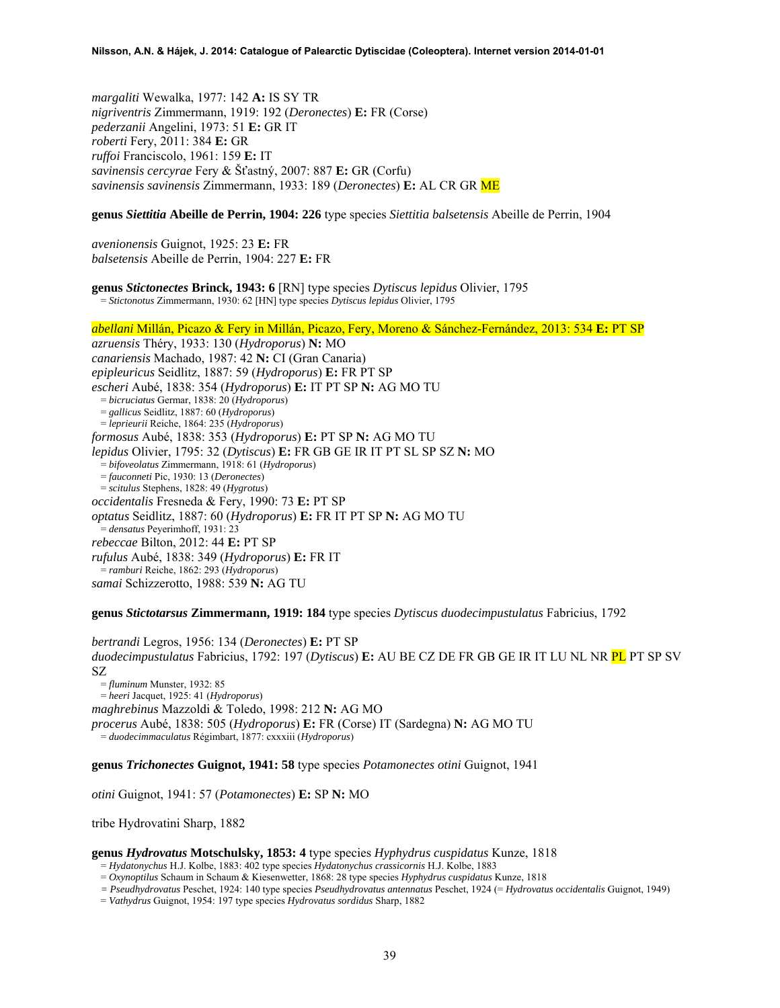*margaliti* Wewalka, 1977: 142 **A:** IS SY TR *nigriventris* Zimmermann, 1919: 192 (*Deronectes*) **E:** FR (Corse) *pederzanii* Angelini, 1973: 51 **E:** GR IT *roberti* Fery, 2011: 384 **E:** GR *ruffoi* Franciscolo, 1961: 159 **E:** IT *savinensis cercyrae* Fery & Šťastný, 2007: 887 **E:** GR (Corfu) *savinensis savinensis* Zimmermann, 1933: 189 (*Deronectes*) **E:** AL CR GR ME

**genus** *Siettitia* **Abeille de Perrin, 1904: 226** type species *Siettitia balsetensis* Abeille de Perrin, 1904

*avenionensis* Guignot, 1925: 23 **E:** FR *balsetensis* Abeille de Perrin, 1904: 227 **E:** FR

**genus** *Stictonectes* **Brinck, 1943: 6** [RN] type species *Dytiscus lepidus* Olivier, 1795 = *Stictonotus* Zimmermann, 1930: 62 [HN] type species *Dytiscus lepidus* Olivier, 1795

*abellani* Millán, Picazo & Fery in Millán, Picazo, Fery, Moreno & Sánchez-Fernández, 2013: 534 **E:** PT SP *azruensis* Théry, 1933: 130 (*Hydroporus*) **N:** MO *canariensis* Machado, 1987: 42 **N:** CI (Gran Canaria) *epipleuricus* Seidlitz, 1887: 59 (*Hydroporus*) **E:** FR PT SP *escheri* Aubé, 1838: 354 (*Hydroporus*) **E:** IT PT SP **N:** AG MO TU = *bicruciatus* Germar, 1838: 20 (*Hydroporus*) = *gallicus* Seidlitz, 1887: 60 (*Hydroporus*) = *leprieurii* Reiche, 1864: 235 (*Hydroporus*) *formosus* Aubé, 1838: 353 (*Hydroporus*) **E:** PT SP **N:** AG MO TU *lepidus* Olivier, 1795: 32 (*Dytiscus*) **E:** FR GB GE IR IT PT SL SP SZ **N:** MO = *bifoveolatus* Zimmermann, 1918: 61 (*Hydroporus*) = *fauconneti* Pic, 1930: 13 (*Deronectes*) = *scitulus* Stephens, 1828: 49 (*Hygrotus*) *occidentalis* Fresneda & Fery, 1990: 73 **E:** PT SP *optatus* Seidlitz, 1887: 60 (*Hydroporus*) **E:** FR IT PT SP **N:** AG MO TU = *densatus* Peyerimhoff, 1931: 23 *rebeccae* Bilton, 2012: 44 **E:** PT SP *rufulus* Aubé, 1838: 349 (*Hydroporus*) **E:** FR IT = *ramburi* Reiche, 1862: 293 (*Hydroporus*) *samai* Schizzerotto, 1988: 539 **N:** AG TU

**genus** *Stictotarsus* **Zimmermann, 1919: 184** type species *Dytiscus duodecimpustulatus* Fabricius, 1792

*bertrandi* Legros, 1956: 134 (*Deronectes*) **E:** PT SP *duodecimpustulatus* Fabricius, 1792: 197 (*Dytiscus*) **E:** AU BE CZ DE FR GB GE IR IT LU NL NR PL PT SP SV SZ = *fluminum* Munster, 1932: 85 = *heeri* Jacquet, 1925: 41 (*Hydroporus*) *maghrebinus* Mazzoldi & Toledo, 1998: 212 **N:** AG MO *procerus* Aubé, 1838: 505 (*Hydroporus*) **E:** FR (Corse) IT (Sardegna) **N:** AG MO TU = *duodecimmaculatus* Régimbart, 1877: cxxxiii (*Hydroporus*)

**genus** *Trichonectes* **Guignot, 1941: 58** type species *Potamonectes otini* Guignot, 1941

*otini* Guignot, 1941: 57 (*Potamonectes*) **E:** SP **N:** MO

tribe Hydrovatini Sharp, 1882

# **genus** *Hydrovatus* **Motschulsky, 1853: 4** type species *Hyphydrus cuspidatus* Kunze, 1818 = *Hydatonychus* H.J. Kolbe, 1883: 402 type species *Hydatonychus crassicornis* H.J. Kolbe, 1883

- = *Oxynoptilus* Schaum in Schaum & Kiesenwetter, 1868: 28 type species *Hyphydrus cuspidatus* Kunze, 1818
- *= Pseudhydrovatus* Peschet, 1924: 140 type species *Pseudhydrovatus antennatus* Peschet, 1924 (= *Hydrovatus occidentalis* Guignot, 1949)

= *Vathydrus* Guignot, 1954: 197 type species *Hydrovatus sordidus* Sharp, 1882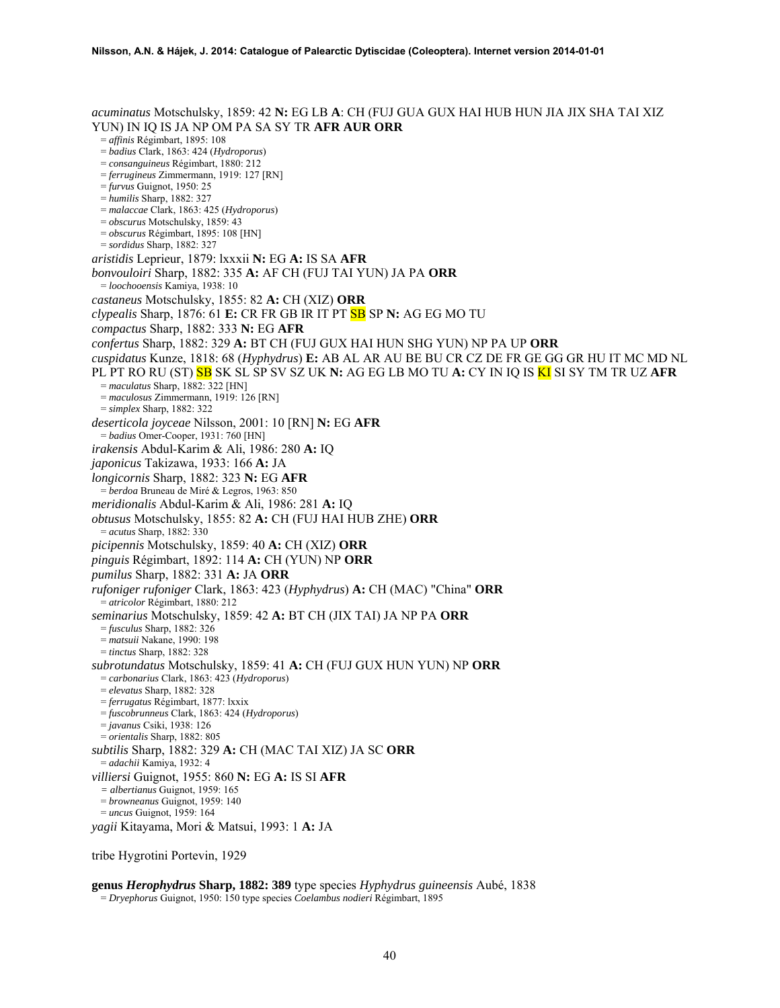*acuminatus* Motschulsky, 1859: 42 **N:** EG LB **A**: CH (FUJ GUA GUX HAI HUB HUN JIA JIX SHA TAI XIZ YUN) IN IQ IS JA NP OM PA SA SY TR **AFR AUR ORR** = *affinis* Régimbart, 1895: 108 = *badius* Clark, 1863: 424 (*Hydroporus*) = *consanguineus* Régimbart, 1880: 212 = *ferrugineus* Zimmermann, 1919: 127 [RN] = *furvus* Guignot, 1950: 25 = *humilis* Sharp, 1882: 327 = *malaccae* Clark, 1863: 425 (*Hydroporus*) = *obscurus* Motschulsky, 1859: 43 = *obscurus* Régimbart, 1895: 108 [HN] = *sordidus* Sharp, 1882: 327 *aristidis* Leprieur, 1879: lxxxii **N:** EG **A:** IS SA **AFR**  *bonvouloiri* Sharp, 1882: 335 **A:** AF CH (FUJ TAI YUN) JA PA **ORR** = *loochooensis* Kamiya, 1938: 10 *castaneus* Motschulsky, 1855: 82 **A:** CH (XIZ) **ORR**  *clypealis* Sharp, 1876: 61 **E:** CR FR GB IR IT PT SB SP **N:** AG EG MO TU *compactus* Sharp, 1882: 333 **N:** EG **AFR**  *confertus* Sharp, 1882: 329 **A:** BT CH (FUJ GUX HAI HUN SHG YUN) NP PA UP **ORR**  *cuspidatus* Kunze, 1818: 68 (*Hyphydrus*) **E:** AB AL AR AU BE BU CR CZ DE FR GE GG GR HU IT MC MD NL PL PT RO RU (ST) SB SK SL SP SV SZ UK **N:** AG EG LB MO TU **A:** CY IN IQ IS KI SI SY TM TR UZ **AFR** = *maculatus* Sharp, 1882: 322 [HN] = *maculosus* Zimmermann, 1919: 126 [RN] = *simplex* Sharp, 1882: 322 *deserticola joyceae* Nilsson, 2001: 10 [RN] **N:** EG **AFR** = *badius* Omer-Cooper, 1931: 760 [HN] *irakensis* Abdul-Karim & Ali, 1986: 280 **A:** IQ *japonicus* Takizawa, 1933: 166 **A:** JA *longicornis* Sharp, 1882: 323 **N:** EG **AFR** = *berdoa* Bruneau de Miré & Legros, 1963: 850 *meridionalis* Abdul-Karim & Ali, 1986: 281 **A:** IQ *obtusus* Motschulsky, 1855: 82 **A:** CH (FUJ HAI HUB ZHE) **ORR** = *acutus* Sharp, 1882: 330 *picipennis* Motschulsky, 1859: 40 **A:** CH (XIZ) **ORR** *pinguis* Régimbart, 1892: 114 **A:** CH (YUN) NP **ORR**  *pumilus* Sharp, 1882: 331 **A:** JA **ORR**  *rufoniger rufoniger* Clark, 1863: 423 (*Hyphydrus*) **A:** CH (MAC) "China" **ORR** = *atricolor* Régimbart, 1880: 212 *seminarius* Motschulsky, 1859: 42 **A:** BT CH (JIX TAI) JA NP PA **ORR** = *fusculus* Sharp, 1882: 326 = *matsuii* Nakane, 1990: 198 = *tinctus* Sharp, 1882: 328 *subrotundatus* Motschulsky, 1859: 41 **A:** CH (FUJ GUX HUN YUN) NP **ORR** = *carbonarius* Clark, 1863: 423 (*Hydroporus*) = *elevatus* Sharp, 1882: 328 = *ferrugatus* Régimbart, 1877: lxxix = *fuscobrunneus* Clark, 1863: 424 (*Hydroporus*) = *javanus* Csiki, 1938: 126 = *orientalis* Sharp, 1882: 805 *subtilis* Sharp, 1882: 329 **A:** CH (MAC TAI XIZ) JA SC **ORR** = *adachii* Kamiya, 1932: 4 *villiersi* Guignot, 1955: 860 **N:** EG **A:** IS SI **AFR**  *= albertianus* Guignot, 1959: 165 = *browneanus* Guignot, 1959: 140 = *uncus* Guignot, 1959: 164 *yagii* Kitayama, Mori & Matsui, 1993: 1 **A:** JA

tribe Hygrotini Portevin, 1929

**genus** *Herophydrus* **Sharp, 1882: 389** type species *Hyphydrus guineensis* Aubé, 1838 = *Dryephorus* Guignot, 1950: 150 type species *Coelambus nodieri* Régimbart, 1895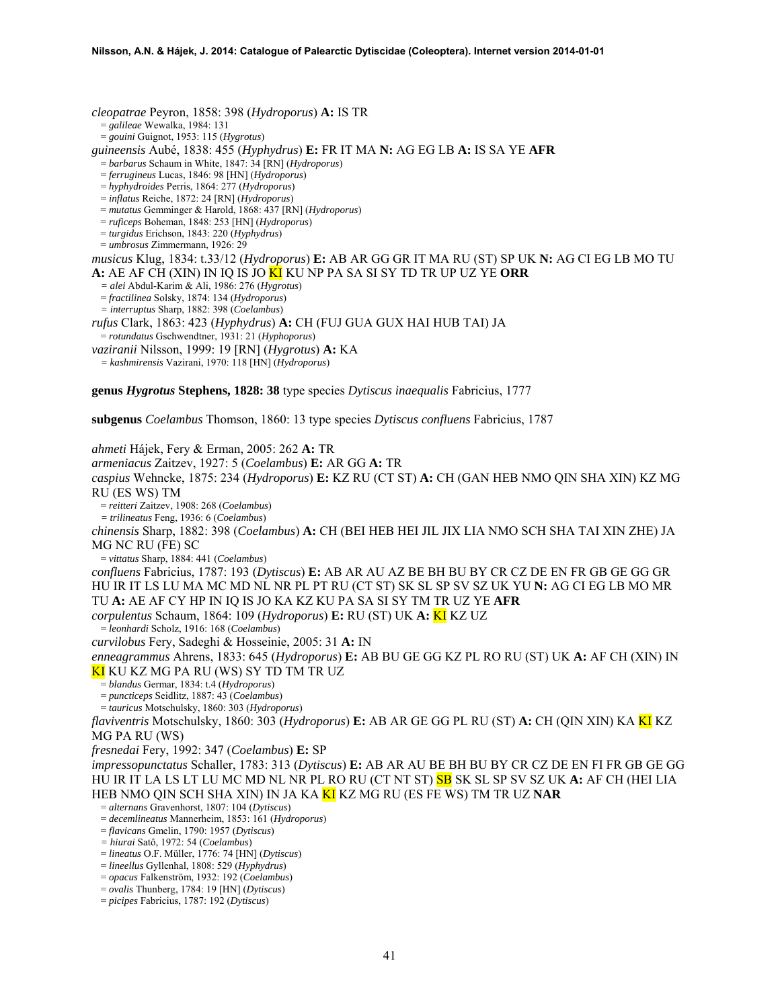*cleopatrae* Peyron, 1858: 398 (*Hydroporus*) **A:** IS TR = *galileae* Wewalka, 1984: 131 = *gouini* Guignot, 1953: 115 (*Hygrotus*) *guineensis* Aubé, 1838: 455 (*Hyphydrus*) **E:** FR IT MA **N:** AG EG LB **A:** IS SA YE **AFR** = *barbarus* Schaum in White, 1847: 34 [RN] (*Hydroporus*) = *ferrugineus* Lucas, 1846: 98 [HN] (*Hydroporus*) = *hyphydroides* Perris, 1864: 277 (*Hydroporus*) = *inflatus* Reiche, 1872: 24 [RN] (*Hydroporus*) = *mutatus* Gemminger & Harold, 1868: 437 [RN] (*Hydroporus*) = *ruficeps* Boheman, 1848: 253 [HN] (*Hydroporus*) = *turgidus* Erichson, 1843: 220 (*Hyphydrus*) = *umbrosus* Zimmermann, 1926: 29 *musicus* Klug, 1834: t.33/12 (*Hydroporus*) **E:** AB AR GG GR IT MA RU (ST) SP UK **N:** AG CI EG LB MO TU **A:** AE AF CH (XIN) IN IQ IS JO KI KU NP PA SA SI SY TD TR UP UZ YE **ORR**  *= alei* Abdul-Karim & Ali, 1986: 276 (*Hygrotus*) = *fractilinea* Solsky, 1874: 134 (*Hydroporus*) *= interruptus* Sharp, 1882: 398 (*Coelambus*) *rufus* Clark, 1863: 423 (*Hyphydrus*) **A:** CH (FUJ GUA GUX HAI HUB TAI) JA = *rotundatus* Gschwendtner, 1931: 21 (*Hyphoporus*) *vaziranii* Nilsson, 1999: 19 [RN] (*Hygrotus*) **A:** KA *= kashmirensis* Vazirani, 1970: 118 [HN] (*Hydroporus*) **genus** *Hygrotus* **Stephens, 1828: 38** type species *Dytiscus inaequalis* Fabricius, 1777 **subgenus** *Coelambus* Thomson, 1860: 13 type species *Dytiscus confluens* Fabricius, 1787 *ahmeti* Hájek, Fery & Erman, 2005: 262 **A:** TR *armeniacus* Zaitzev, 1927: 5 (*Coelambus*) **E:** AR GG **A:** TR *caspius* Wehncke, 1875: 234 (*Hydroporus*) **E:** KZ RU (CT ST) **A:** CH (GAN HEB NMO QIN SHA XIN) KZ MG RU (ES WS) TM = *reitteri* Zaitzev, 1908: 268 (*Coelambus*) *= trilineatus* Feng, 1936: 6 (*Coelambus*) *chinensis* Sharp, 1882: 398 (*Coelambus*) **A:** CH (BEI HEB HEI JIL JIX LIA NMO SCH SHA TAI XIN ZHE) JA MG NC RU (FE) SC = *vittatus* Sharp, 1884: 441 (*Coelambus*) *confluens* Fabricius, 1787: 193 (*Dytiscus*) **E:** AB AR AU AZ BE BH BU BY CR CZ DE EN FR GB GE GG GR HU IR IT LS LU MA MC MD NL NR PL PT RU (CT ST) SK SL SP SV SZ UK YU **N:** AG CI EG LB MO MR TU **A:** AE AF CY HP IN IQ IS JO KA KZ KU PA SA SI SY TM TR UZ YE **AFR** *corpulentus* Schaum, 1864: 109 (*Hydroporus*) **E:** RU (ST) UK **A:** KI KZ UZ = *leonhardi* Scholz, 1916: 168 (*Coelambus*) *curvilobus* Fery, Sadeghi & Hosseinie, 2005: 31 **A:** IN *enneagrammus* Ahrens, 1833: 645 (*Hydroporus*) **E:** AB BU GE GG KZ PL RO RU (ST) UK **A:** AF CH (XIN) IN KI KU KZ MG PA RU (WS) SY TD TM TR UZ = *blandus* Germar, 1834: t.4 (*Hydroporus*) = *puncticeps* Seidlitz, 1887: 43 (*Coelambus*) = *tauricus* Motschulsky, 1860: 303 (*Hydroporus*) *flaviventris* Motschulsky, 1860: 303 (*Hydroporus*) **E:** AB AR GE GG PL RU (ST) **A:** CH (QIN XIN) KA KI KZ MG PA RU (WS) *fresnedai* Fery, 1992: 347 (*Coelambus*) **E:** SP *impressopunctatus* Schaller, 1783: 313 (*Dytiscus*) **E:** AB AR AU BE BH BU BY CR CZ DE EN FI FR GB GE GG HU IR IT LA LS LT LU MC MD NL NR PL RO RU (CT NT ST) SB SK SL SP SV SZ UK **A:** AF CH (HEI LIA

HEB NMO QIN SCH SHA XIN) IN JA KA KI KZ MG RU (ES FE WS) TM TR UZ **NAR** 

= *alternans* Gravenhorst, 1807: 104 (*Dytiscus*)

= *decemlineatus* Mannerheim, 1853: 161 (*Hydroporus*)

= *flavicans* Gmelin, 1790: 1957 (*Dytiscus*)

*= hiurai* Satô, 1972: 54 (*Coelambus*)

= *lineatus* O.F. Müller, 1776: 74 [HN] (*Dytiscus*)

= *lineellus* Gyllenhal, 1808: 529 (*Hyphydrus*)

= *opacus* Falkenström, 1932: 192 (*Coelambus*)

= *ovalis* Thunberg, 1784: 19 [HN] (*Dytiscus*)

= *picipes* Fabricius, 1787: 192 (*Dytiscus*)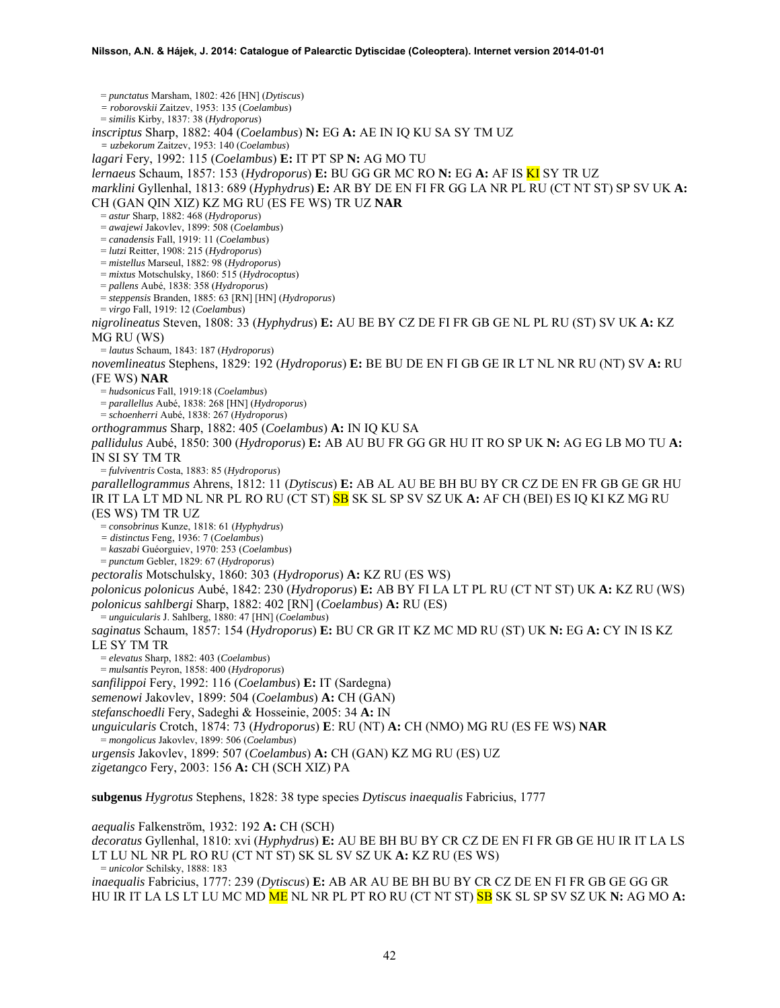= *punctatus* Marsham, 1802: 426 [HN] (*Dytiscus*) *= roborovskii* Zaitzev, 1953: 135 (*Coelambus*) = *similis* Kirby, 1837: 38 (*Hydroporus*) *inscriptus* Sharp, 1882: 404 (*Coelambus*) **N:** EG **A:** AE IN IQ KU SA SY TM UZ *= uzbekorum* Zaitzev, 1953: 140 (*Coelambus*) *lagari* Fery, 1992: 115 (*Coelambus*) **E:** IT PT SP **N:** AG MO TU *lernaeus* Schaum, 1857: 153 (*Hydroporus*) **E:** BU GG GR MC RO **N:** EG **A:** AF IS KI SY TR UZ *marklini* Gyllenhal, 1813: 689 (*Hyphydrus*) **E:** AR BY DE EN FI FR GG LA NR PL RU (CT NT ST) SP SV UK **A:**  CH (GAN QIN XIZ) KZ MG RU (ES FE WS) TR UZ **NAR** = *astur* Sharp, 1882: 468 (*Hydroporus*) = *awajewi* Jakovlev, 1899: 508 (*Coelambus*) = *canadensis* Fall, 1919: 11 (*Coelambus*) = *lutzi* Reitter, 1908: 215 (*Hydroporus*) = *mistellus* Marseul, 1882: 98 (*Hydroporus*) = *mixtus* Motschulsky, 1860: 515 (*Hydrocoptus*) = *pallens* Aubé, 1838: 358 (*Hydroporus*) = *steppensis* Branden, 1885: 63 [RN] [HN] (*Hydroporus*) = *virgo* Fall, 1919: 12 (*Coelambus*) *nigrolineatus* Steven, 1808: 33 (*Hyphydrus*) **E:** AU BE BY CZ DE FI FR GB GE NL PL RU (ST) SV UK **A:** KZ MG RU (WS) = *lautus* Schaum, 1843: 187 (*Hydroporus*) *novemlineatus* Stephens, 1829: 192 (*Hydroporus*) **E:** BE BU DE EN FI GB GE IR LT NL NR RU (NT) SV **A:** RU (FE WS) **NAR** = *hudsonicus* Fall, 1919:18 (*Coelambus*) = *parallellus* Aubé, 1838: 268 [HN] (*Hydroporus*) = *schoenherri* Aubé, 1838: 267 (*Hydroporus*) *orthogrammus* Sharp, 1882: 405 (*Coelambus*) **A:** IN IQ KU SA *pallidulus* Aubé, 1850: 300 (*Hydroporus*) **E:** AB AU BU FR GG GR HU IT RO SP UK **N:** AG EG LB MO TU **A:**  IN SI SY TM TR = *fulviventris* Costa, 1883: 85 (*Hydroporus*) *parallellogrammus* Ahrens, 1812: 11 (*Dytiscus*) **E:** AB AL AU BE BH BU BY CR CZ DE EN FR GB GE GR HU IR IT LA LT MD NL NR PL RO RU (CT ST) SB SK SL SP SV SZ UK **A:** AF CH (BEI) ES IQ KI KZ MG RU (ES WS) TM TR UZ = *consobrinus* Kunze, 1818: 61 (*Hyphydrus*) *= distinctus* Feng, 1936: 7 (*Coelambus*) = *kaszabi* Guéorguiev, 1970: 253 (*Coelambus*) = *punctum* Gebler, 1829: 67 (*Hydroporus*) *pectoralis* Motschulsky, 1860: 303 (*Hydroporus*) **A:** KZ RU (ES WS) *polonicus polonicus* Aubé, 1842: 230 (*Hydroporus*) **E:** AB BY FI LA LT PL RU (CT NT ST) UK **A:** KZ RU (WS) *polonicus sahlbergi* Sharp, 1882: 402 [RN] (*Coelambus*) **A:** RU (ES) = *unguicularis* J. Sahlberg, 1880: 47 [HN] (*Coelambus*) *saginatus* Schaum, 1857: 154 (*Hydroporus*) **E:** BU CR GR IT KZ MC MD RU (ST) UK **N:** EG **A:** CY IN IS KZ LE SY TM TR = *elevatus* Sharp, 1882: 403 (*Coelambus*) = *mulsantis* Peyron, 1858: 400 (*Hydroporus*) *sanfilippoi* Fery, 1992: 116 (*Coelambus*) **E:** IT (Sardegna) *semenowi* Jakovlev, 1899: 504 (*Coelambus*) **A:** CH (GAN) *stefanschoedli* Fery, Sadeghi & Hosseinie, 2005: 34 **A:** IN *unguicularis* Crotch, 1874: 73 (*Hydroporus*) **E**: RU (NT) **A:** CH (NMO) MG RU (ES FE WS) **NAR** = *mongolicus* Jakovlev, 1899: 506 (*Coelambus*) *urgensis* Jakovlev, 1899: 507 (*Coelambus*) **A:** CH (GAN) KZ MG RU (ES) UZ *zigetangco* Fery, 2003: 156 **A:** CH (SCH XIZ) PA **subgenus** *Hygrotus* Stephens, 1828: 38 type species *Dytiscus inaequalis* Fabricius, 1777

*aequalis* Falkenström, 1932: 192 **A:** CH (SCH)

*decoratus* Gyllenhal, 1810: xvi (*Hyphydrus*) **E:** AU BE BH BU BY CR CZ DE EN FI FR GB GE HU IR IT LA LS LT LU NL NR PL RO RU (CT NT ST) SK SL SV SZ UK **A:** KZ RU (ES WS) = *unicolor* Schilsky, 1888: 183

*inaequalis* Fabricius, 1777: 239 (*Dytiscus*) **E:** AB AR AU BE BH BU BY CR CZ DE EN FI FR GB GE GG GR HU IR IT LA LS LT LU MC MD ME NL NR PL PT RO RU (CT NT ST) SB SK SL SP SV SZ UK **N:** AG MO **A:**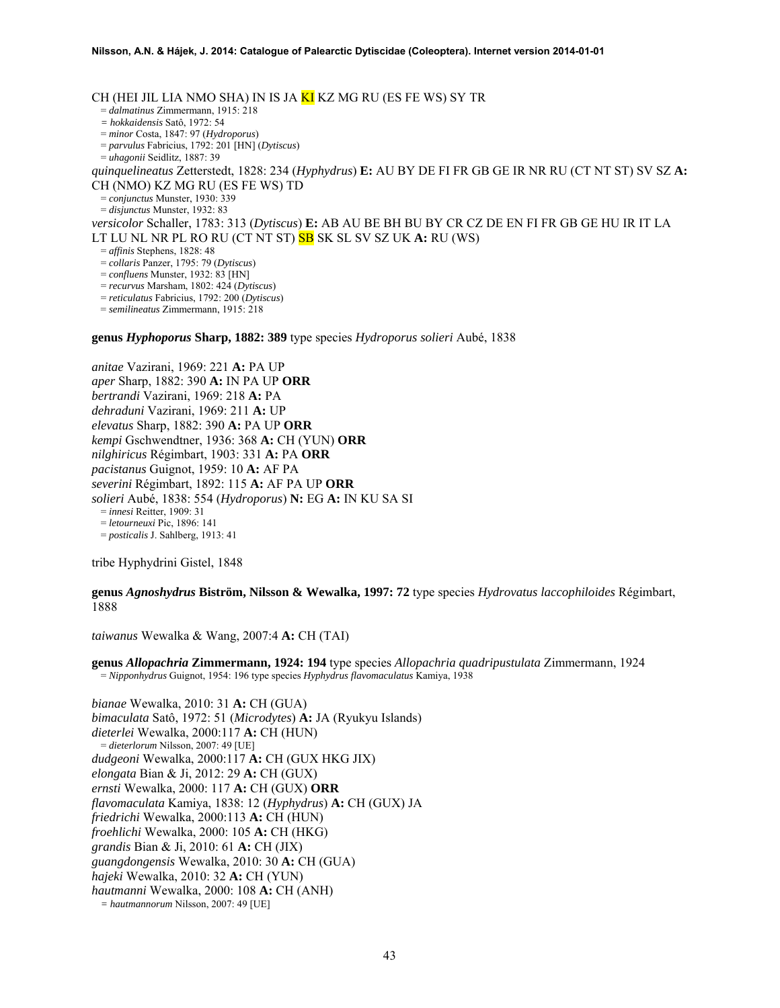CH (HEI JIL LIA NMO SHA) IN IS JA KI KZ MG RU (ES FE WS) SY TR = *dalmatinus* Zimmermann, 1915: 218

*= hokkaidensis* Satô, 1972: 54

= *minor* Costa, 1847: 97 (*Hydroporus*)

= *parvulus* Fabricius, 1792: 201 [HN] (*Dytiscus*)

= *uhagonii* Seidlitz, 1887: 39

*quinquelineatus* Zetterstedt, 1828: 234 (*Hyphydrus*) **E:** AU BY DE FI FR GB GE IR NR RU (CT NT ST) SV SZ **A:**  CH (NMO) KZ MG RU (ES FE WS) TD

= *conjunctus* Munster, 1930: 339

= *disjunctus* Munster, 1932: 83

*versicolor* Schaller, 1783: 313 (*Dytiscus*) **E:** AB AU BE BH BU BY CR CZ DE EN FI FR GB GE HU IR IT LA LT LU NL NR PL RO RU (CT NT ST) SB SK SL SV SZ UK **A:** RU (WS) = *affinis* Stephens, 1828: 48

= *collaris* Panzer, 1795: 79 (*Dytiscus*)

= *confluens* Munster, 1932: 83 [HN]

= *recurvus* Marsham, 1802: 424 (*Dytiscus*)

= *reticulatus* Fabricius, 1792: 200 (*Dytiscus*) = *semilineatus* Zimmermann, 1915: 218

**genus** *Hyphoporus* **Sharp, 1882: 389** type species *Hydroporus solieri* Aubé, 1838

*anitae* Vazirani, 1969: 221 **A:** PA UP *aper* Sharp, 1882: 390 **A:** IN PA UP **ORR**  *bertrandi* Vazirani, 1969: 218 **A:** PA *dehraduni* Vazirani, 1969: 211 **A:** UP *elevatus* Sharp, 1882: 390 **A:** PA UP **ORR**  *kempi* Gschwendtner, 1936: 368 **A:** CH (YUN) **ORR**  *nilghiricus* Régimbart, 1903: 331 **A:** PA **ORR**  *pacistanus* Guignot, 1959: 10 **A:** AF PA *severini* Régimbart, 1892: 115 **A:** AF PA UP **ORR**  *solieri* Aubé, 1838: 554 (*Hydroporus*) **N:** EG **A:** IN KU SA SI = *innesi* Reitter, 1909: 31 = *letourneuxi* Pic, 1896: 141 = *posticalis* J. Sahlberg, 1913: 41

tribe Hyphydrini Gistel, 1848

**genus** *Agnoshydrus* **Biström, Nilsson & Wewalka, 1997: 72** type species *Hydrovatus laccophiloides* Régimbart, 1888

*taiwanus* Wewalka & Wang, 2007:4 **A:** CH (TAI)

**genus** *Allopachria* **Zimmermann, 1924: 194** type species *Allopachria quadripustulata* Zimmermann, 1924 = *Nipponhydrus* Guignot, 1954: 196 type species *Hyphydrus flavomaculatus* Kamiya, 1938

*bianae* Wewalka, 2010: 31 **A:** CH (GUA) *bimaculata* Satô, 1972: 51 (*Microdytes*) **A:** JA (Ryukyu Islands) *dieterlei* Wewalka, 2000:117 **A:** CH (HUN) = *dieterlorum* Nilsson, 2007: 49 [UE] *dudgeoni* Wewalka, 2000:117 **A:** CH (GUX HKG JIX) *elongata* Bian & Ji, 2012: 29 **A:** CH (GUX) *ernsti* Wewalka, 2000: 117 **A:** CH (GUX) **ORR**  *flavomaculata* Kamiya, 1838: 12 (*Hyphydrus*) **A:** CH (GUX) JA *friedrichi* Wewalka, 2000:113 **A:** CH (HUN) *froehlichi* Wewalka, 2000: 105 **A:** CH (HKG) *grandis* Bian & Ji, 2010: 61 **A:** CH (JIX) *guangdongensis* Wewalka, 2010: 30 **A:** CH (GUA) *hajeki* Wewalka, 2010: 32 **A:** CH (YUN) *hautmanni* Wewalka, 2000: 108 **A:** CH (ANH) *= hautmannorum* Nilsson, 2007: 49 [UE]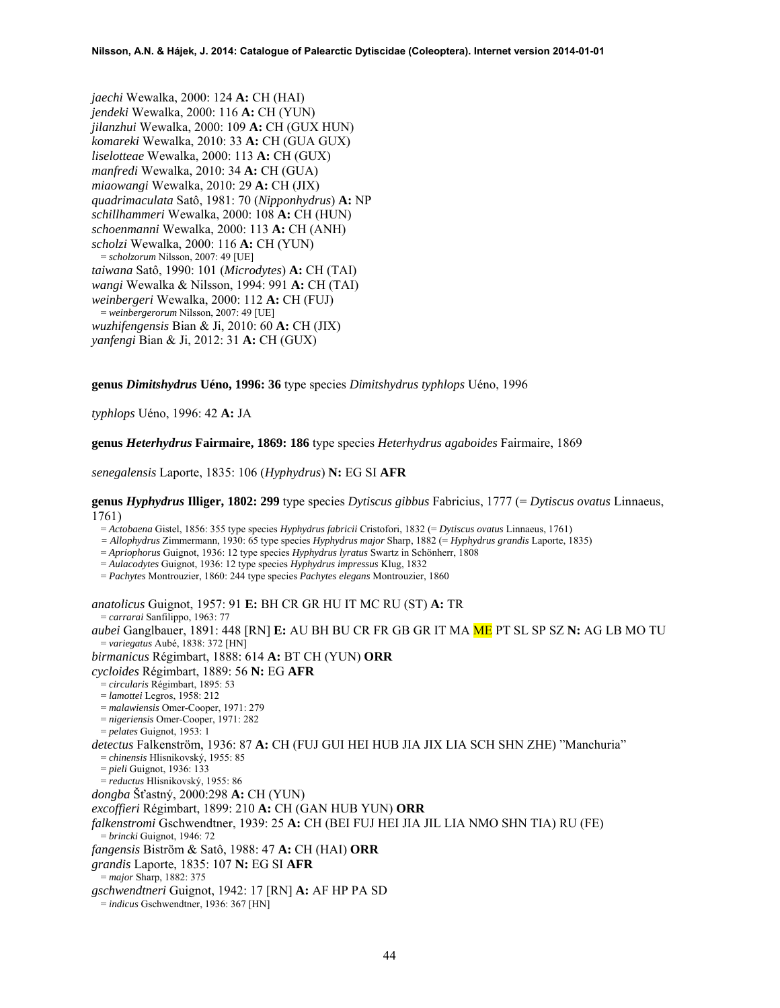*jaechi* Wewalka, 2000: 124 **A:** CH (HAI) *jendeki* Wewalka, 2000: 116 **A:** CH (YUN) *jilanzhui* Wewalka, 2000: 109 **A:** CH (GUX HUN) *komareki* Wewalka, 2010: 33 **A:** CH (GUA GUX) *liselotteae* Wewalka, 2000: 113 **A:** CH (GUX) *manfredi* Wewalka, 2010: 34 **A:** CH (GUA) *miaowangi* Wewalka, 2010: 29 **A:** CH (JIX) *quadrimaculata* Satô, 1981: 70 (*Nipponhydrus*) **A:** NP *schillhammeri* Wewalka, 2000: 108 **A:** CH (HUN) *schoenmanni* Wewalka, 2000: 113 **A:** CH (ANH) *scholzi* Wewalka, 2000: 116 **A:** CH (YUN) = *scholzorum* Nilsson, 2007: 49 [UE] *taiwana* Satô, 1990: 101 (*Microdytes*) **A:** CH (TAI) *wangi* Wewalka & Nilsson, 1994: 991 **A:** CH (TAI) *weinbergeri* Wewalka, 2000: 112 **A:** CH (FUJ) = *weinbergerorum* Nilsson, 2007: 49 [UE] *wuzhifengensis* Bian & Ji, 2010: 60 **A:** CH (JIX) *yanfengi* Bian & Ji, 2012: 31 **A:** CH (GUX)

**genus** *Dimitshydrus* **Uéno, 1996: 36** type species *Dimitshydrus typhlops* Uéno, 1996

*typhlops* Uéno, 1996: 42 **A:** JA

**genus** *Heterhydrus* **Fairmaire, 1869: 186** type species *Heterhydrus agaboides* Fairmaire, 1869

*senegalensis* Laporte, 1835: 106 (*Hyphydrus*) **N:** EG SI **AFR**

## **genus** *Hyphydrus* **Illiger, 1802: 299** type species *Dytiscus gibbus* Fabricius, 1777 (= *Dytiscus ovatus* Linnaeus, 1761)

= *Actobaena* Gistel, 1856: 355 type species *Hyphydrus fabricii* Cristofori, 1832 (= *Dytiscus ovatus* Linnaeus, 1761)

*= Allophydrus* Zimmermann, 1930: 65 type species *Hyphydrus major* Sharp, 1882 (= *Hyphydrus grandis* Laporte, 1835)

= *Apriophorus* Guignot, 1936: 12 type species *Hyphydrus lyratus* Swartz in Schönherr, 1808

= *Aulacodytes* Guignot, 1936: 12 type species *Hyphydrus impressus* Klug, 1832

= *Pachytes* Montrouzier, 1860: 244 type species *Pachytes elegans* Montrouzier, 1860

*anatolicus* Guignot, 1957: 91 **E:** BH CR GR HU IT MC RU (ST) **A:** TR = *carrarai* Sanfilippo, 1963: 77 *aubei* Ganglbauer, 1891: 448 [RN] **E:** AU BH BU CR FR GB GR IT MA ME PT SL SP SZ **N:** AG LB MO TU = *variegatus* Aubé, 1838: 372 [HN] *birmanicus* Régimbart, 1888: 614 **A:** BT CH (YUN) **ORR** *cycloides* Régimbart, 1889: 56 **N:** EG **AFR** = *circularis* Régimbart, 1895: 53 = *lamottei* Legros, 1958: 212 = *malawiensis* Omer-Cooper, 1971: 279 = *nigeriensis* Omer-Cooper, 1971: 282 = *pelates* Guignot, 1953: 1 *detectus* Falkenström, 1936: 87 **A:** CH (FUJ GUI HEI HUB JIA JIX LIA SCH SHN ZHE) "Manchuria" = *chinensis* Hlisnikovský, 1955: 85 = *pieli* Guignot, 1936: 133 = *reductus* Hlisnikovský, 1955: 86 *dongba* Šťastný, 2000:298 **A:** CH (YUN) *excoffieri* Régimbart, 1899: 210 **A:** CH (GAN HUB YUN) **ORR** *falkenstromi* Gschwendtner, 1939: 25 **A:** CH (BEI FUJ HEI JIA JIL LIA NMO SHN TIA) RU (FE) = *brincki* Guignot, 1946: 72 *fangensis* Biström & Satô, 1988: 47 **A:** CH (HAI) **ORR** *grandis* Laporte, 1835: 107 **N:** EG SI **AFR** = *major* Sharp, 1882: 375 *gschwendtneri* Guignot, 1942: 17 [RN] **A:** AF HP PA SD = *indicus* Gschwendtner, 1936: 367 [HN]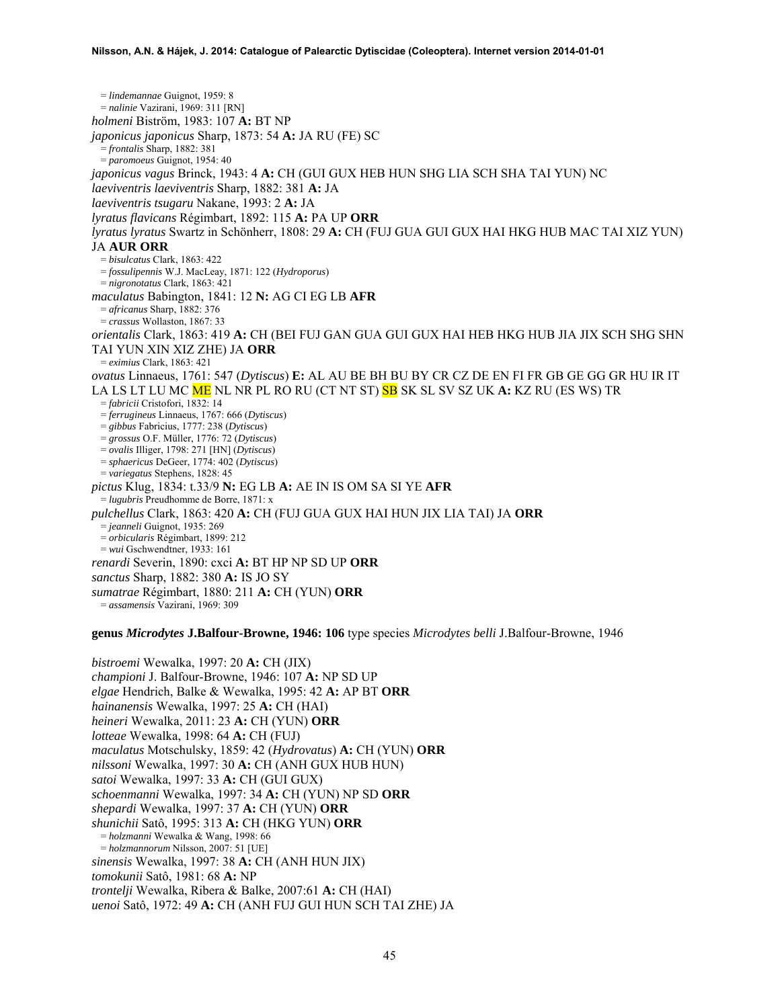= *lindemannae* Guignot, 1959: 8 = *nalinie* Vazirani, 1969: 311 [RN] *holmeni* Biström, 1983: 107 **A:** BT NP *japonicus japonicus* Sharp, 1873: 54 **A:** JA RU (FE) SC = *frontalis* Sharp, 1882: 381 = *paromoeus* Guignot, 1954: 40 *japonicus vagus* Brinck, 1943: 4 **A:** CH (GUI GUX HEB HUN SHG LIA SCH SHA TAI YUN) NC *laeviventris laeviventris* Sharp, 1882: 381 **A:** JA *laeviventris tsugaru* Nakane, 1993: 2 **A:** JA *lyratus flavicans* Régimbart, 1892: 115 **A:** PA UP **ORR** *lyratus lyratus* Swartz in Schönherr, 1808: 29 **A:** CH (FUJ GUA GUI GUX HAI HKG HUB MAC TAI XIZ YUN) JA **AUR ORR** = *bisulcatus* Clark, 1863: 422 = *fossulipennis* W.J. MacLeay, 1871: 122 (*Hydroporus*) = *nigronotatus* Clark, 1863: 421 *maculatus* Babington, 1841: 12 **N:** AG CI EG LB **AFR** = *africanus* Sharp, 1882: 376 = *crassus* Wollaston, 1867: 33 *orientalis* Clark, 1863: 419 **A:** CH (BEI FUJ GAN GUA GUI GUX HAI HEB HKG HUB JIA JIX SCH SHG SHN TAI YUN XIN XIZ ZHE) JA **ORR** = *eximius* Clark, 1863: 421 *ovatus* Linnaeus, 1761: 547 (*Dytiscus*) **E:** AL AU BE BH BU BY CR CZ DE EN FI FR GB GE GG GR HU IR IT LA LS LT LU MC ME NL NR PL RO RU (CT NT ST) SB SK SL SV SZ UK **A:** KZ RU (ES WS) TR = *fabricii* Cristofori, 1832: 14 = *ferrugineus* Linnaeus, 1767: 666 (*Dytiscus*) = *gibbus* Fabricius, 1777: 238 (*Dytiscus*) = *grossus* O.F. Müller, 1776: 72 (*Dytiscus*) = *ovalis* Illiger, 1798: 271 [HN] (*Dytiscus*) = *sphaericus* DeGeer, 1774: 402 (*Dytiscus*) = *variegatus* Stephens, 1828: 45 *pictus* Klug, 1834: t.33/9 **N:** EG LB **A:** AE IN IS OM SA SI YE **AFR** = *lugubris* Preudhomme de Borre, 1871: x *pulchellus* Clark, 1863: 420 **A:** CH (FUJ GUA GUX HAI HUN JIX LIA TAI) JA **ORR** = *jeanneli* Guignot, 1935: 269 = *orbicularis* Régimbart, 1899: 212 = *wui* Gschwendtner, 1933: 161 *renardi* Severin, 1890: cxci **A:** BT HP NP SD UP **ORR** *sanctus* Sharp, 1882: 380 **A:** IS JO SY *sumatrae* Régimbart, 1880: 211 **A:** CH (YUN) **ORR** = *assamensis* Vazirani, 1969: 309

**genus** *Microdytes* **J.Balfour-Browne, 1946: 106** type species *Microdytes belli* J.Balfour-Browne, 1946

*bistroemi* Wewalka, 1997: 20 **A:** CH (JIX) *championi* J. Balfour-Browne, 1946: 107 **A:** NP SD UP *elgae* Hendrich, Balke & Wewalka, 1995: 42 **A:** AP BT **ORR** *hainanensis* Wewalka, 1997: 25 **A:** CH (HAI) *heineri* Wewalka, 2011: 23 **A:** CH (YUN) **ORR** *lotteae* Wewalka, 1998: 64 **A:** CH (FUJ) *maculatus* Motschulsky, 1859: 42 (*Hydrovatus*) **A:** CH (YUN) **ORR** *nilssoni* Wewalka, 1997: 30 **A:** CH (ANH GUX HUB HUN) *satoi* Wewalka, 1997: 33 **A:** CH (GUI GUX) *schoenmanni* Wewalka, 1997: 34 **A:** CH (YUN) NP SD **ORR**  *shepardi* Wewalka, 1997: 37 **A:** CH (YUN) **ORR** *shunichii* Satô, 1995: 313 **A:** CH (HKG YUN) **ORR** = *holzmanni* Wewalka & Wang, 1998: 66 = *holzmannorum* Nilsson, 2007: 51 [UE] *sinensis* Wewalka, 1997: 38 **A:** CH (ANH HUN JIX) *tomokunii* Satô, 1981: 68 **A:** NP *trontelji* Wewalka, Ribera & Balke, 2007:61 **A:** CH (HAI) *uenoi* Satô, 1972: 49 **A:** CH (ANH FUJ GUI HUN SCH TAI ZHE) JA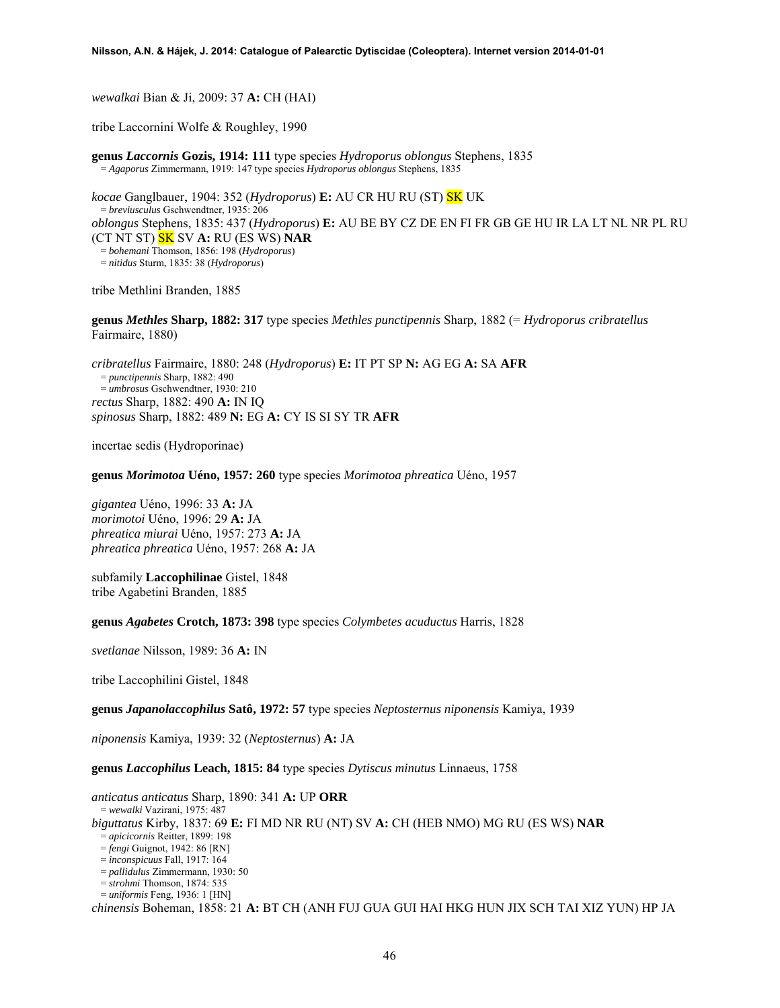*wewalkai* Bian & Ji, 2009: 37 **A:** CH (HAI)

tribe Laccornini Wolfe & Roughley, 1990

**genus** *Laccornis* **Gozis, 1914: 111** type species *Hydroporus oblongus* Stephens, 1835 = *Agaporus* Zimmermann, 1919: 147 type species *Hydroporus oblongus* Stephens, 1835

*kocae* Ganglbauer, 1904: 352 (*Hydroporus*) **E:** AU CR HU RU (ST) SK UK = *breviusculus* Gschwendtner, 1935: 206 *oblongus* Stephens, 1835: 437 (*Hydroporus*) **E:** AU BE BY CZ DE EN FI FR GB GE HU IR LA LT NL NR PL RU (CT NT ST) SK SV **A:** RU (ES WS) **NAR** = *bohemani* Thomson, 1856: 198 (*Hydroporus*) = *nitidus* Sturm, 1835: 38 (*Hydroporus*)

tribe Methlini Branden, 1885

**genus** *Methles* **Sharp, 1882: 317** type species *Methles punctipennis* Sharp, 1882 (= *Hydroporus cribratellus* Fairmaire, 1880)

*cribratellus* Fairmaire, 1880: 248 (*Hydroporus*) **E:** IT PT SP **N:** AG EG **A:** SA **AFR** = *punctipennis* Sharp, 1882: 490 = *umbrosus* Gschwendtner, 1930: 210 *rectus* Sharp, 1882: 490 **A:** IN IQ *spinosus* Sharp, 1882: 489 **N:** EG **A:** CY IS SI SY TR **AFR**

incertae sedis (Hydroporinae)

**genus** *Morimotoa* **Uéno, 1957: 260** type species *Morimotoa phreatica* Uéno, 1957

*gigantea* Uéno, 1996: 33 **A:** JA *morimotoi* Uéno, 1996: 29 **A:** JA *phreatica miurai* Uéno, 1957: 273 **A:** JA *phreatica phreatica* Uéno, 1957: 268 **A:** JA

subfamily **Laccophilinae** Gistel, 1848 tribe Agabetini Branden, 1885

**genus** *Agabetes* **Crotch, 1873: 398** type species *Colymbetes acuductus* Harris, 1828

*svetlanae* Nilsson, 1989: 36 **A:** IN

tribe Laccophilini Gistel, 1848

**genus** *Japanolaccophilus* **Satô, 1972: 57** type species *Neptosternus niponensis* Kamiya, 1939

*niponensis* Kamiya, 1939: 32 (*Neptosternus*) **A:** JA

**genus** *Laccophilus* **Leach, 1815: 84** type species *Dytiscus minutus* Linnaeus, 1758

*anticatus anticatus* Sharp, 1890: 341 **A:** UP **ORR** = *wewalki* Vazirani, 1975: 487 *biguttatus* Kirby, 1837: 69 **E:** FI MD NR RU (NT) SV **A:** CH (HEB NMO) MG RU (ES WS) **NAR** = *apicicornis* Reitter, 1899: 198 = *fengi* Guignot, 1942: 86 [RN] = *inconspicuus* Fall, 1917: 164 = *pallidulus* Zimmermann, 1930: 50 = *strohmi* Thomson, 1874: 535 = *uniformis* Feng, 1936: 1 [HN] *chinensis* Boheman, 1858: 21 **A:** BT CH (ANH FUJ GUA GUI HAI HKG HUN JIX SCH TAI XIZ YUN) HP JA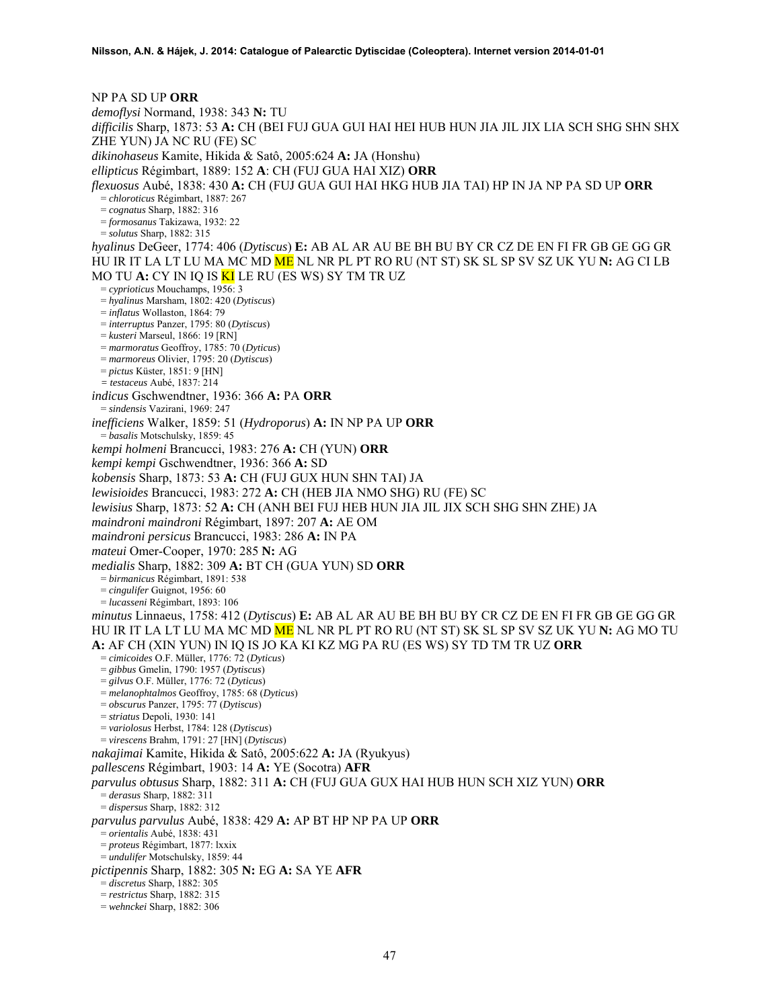NP PA SD UP **ORR**  *demoflysi* Normand, 1938: 343 **N:** TU *difficilis* Sharp, 1873: 53 **A:** CH (BEI FUJ GUA GUI HAI HEI HUB HUN JIA JIL JIX LIA SCH SHG SHN SHX ZHE YUN) JA NC RU (FE) SC *dikinohaseus* Kamite, Hikida & Satô, 2005:624 **A:** JA (Honshu) *ellipticus* Régimbart, 1889: 152 **A**: CH (FUJ GUA HAI XIZ) **ORR**  *flexuosus* Aubé, 1838: 430 **A:** CH (FUJ GUA GUI HAI HKG HUB JIA TAI) HP IN JA NP PA SD UP **ORR** = *chloroticus* Régimbart, 1887: 267 = *cognatus* Sharp, 1882: 316 = *formosanus* Takizawa, 1932: 22 = *solutus* Sharp, 1882: 315 *hyalinus* DeGeer, 1774: 406 (*Dytiscus*) **E:** AB AL AR AU BE BH BU BY CR CZ DE EN FI FR GB GE GG GR HU IR IT LA LT LU MA MC MD ME NL NR PL PT RO RU (NT ST) SK SL SP SV SZ UK YU **N:** AG CI LB MO TU **A:** CY IN IQ IS KI LE RU (ES WS) SY TM TR UZ = *cyprioticus* Mouchamps, 1956: 3 = *hyalinus* Marsham, 1802: 420 (*Dytiscus*) = *inflatus* Wollaston, 1864: 79 = *interruptus* Panzer, 1795: 80 (*Dytiscus*) = *kusteri* Marseul, 1866: 19 [RN] = *marmoratus* Geoffroy, 1785: 70 (*Dyticus*) = *marmoreus* Olivier, 1795: 20 (*Dytiscus*) = *pictus* Küster, 1851: 9 [HN] *= testaceus* Aubé, 1837: 214 *indicus* Gschwendtner, 1936: 366 **A:** PA **ORR** = *sindensis* Vazirani, 1969: 247 *inefficiens* Walker, 1859: 51 (*Hydroporus*) **A:** IN NP PA UP **ORR** = *basalis* Motschulsky, 1859: 45 *kempi holmeni* Brancucci, 1983: 276 **A:** CH (YUN) **ORR**  *kempi kempi* Gschwendtner, 1936: 366 **A:** SD *kobensis* Sharp, 1873: 53 **A:** CH (FUJ GUX HUN SHN TAI) JA *lewisioides* Brancucci, 1983: 272 **A:** CH (HEB JIA NMO SHG) RU (FE) SC *lewisius* Sharp, 1873: 52 **A:** CH (ANH BEI FUJ HEB HUN JIA JIL JIX SCH SHG SHN ZHE) JA *maindroni maindroni* Régimbart, 1897: 207 **A:** AE OM *maindroni persicus* Brancucci, 1983: 286 **A:** IN PA *mateui* Omer-Cooper, 1970: 285 **N:** AG *medialis* Sharp, 1882: 309 **A:** BT CH (GUA YUN) SD **ORR** = *birmanicus* Régimbart, 1891: 538 = *cingulifer* Guignot, 1956: 60 = *lucasseni* Régimbart, 1893: 106 *minutus* Linnaeus, 1758: 412 (*Dytiscus*) **E:** AB AL AR AU BE BH BU BY CR CZ DE EN FI FR GB GE GG GR HU IR IT LA LT LU MA MC MD ME NL NR PL PT RO RU (NT ST) SK SL SP SV SZ UK YU **N:** AG MO TU **A:** AF CH (XIN YUN) IN IQ IS JO KA KI KZ MG PA RU (ES WS) SY TD TM TR UZ **ORR** = *cimicoides* O.F. Müller, 1776: 72 (*Dyticus*) = *gibbus* Gmelin, 1790: 1957 (*Dytiscus*) = *gilvus* O.F. Müller, 1776: 72 (*Dyticus*) = *melanophtalmos* Geoffroy, 1785: 68 (*Dyticus*) = *obscurus* Panzer, 1795: 77 (*Dytiscus*) = *striatus* Depoli, 1930: 141 = *variolosus* Herbst, 1784: 128 (*Dytiscus*) = *virescens* Brahm, 1791: 27 [HN] (*Dytiscus*) *nakajimai* Kamite, Hikida & Satô, 2005:622 **A:** JA (Ryukyus) *pallescens* Régimbart, 1903: 14 **A:** YE (Socotra) **AFR** *parvulus obtusus* Sharp, 1882: 311 **A:** CH (FUJ GUA GUX HAI HUB HUN SCH XIZ YUN) **ORR** = *derasus* Sharp, 1882: 311 = *dispersus* Sharp, 1882: 312 *parvulus parvulus* Aubé, 1838: 429 **A:** AP BT HP NP PA UP **ORR** = *orientalis* Aubé, 1838: 431 = *proteus* Régimbart, 1877: lxxix = *undulifer* Motschulsky, 1859: 44 *pictipennis* Sharp, 1882: 305 **N:** EG **A:** SA YE **AFR** = *discretus* Sharp, 1882: 305 = *restrictus* Sharp, 1882: 315 = *wehnckei* Sharp, 1882: 306